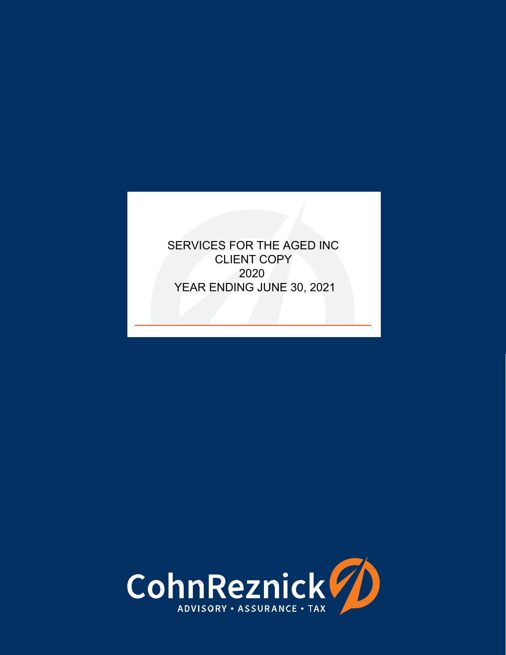SERVICES FOR THE AGED INC CLIENT COPY 2020 YEAR ENDING JUNE 30, 2021

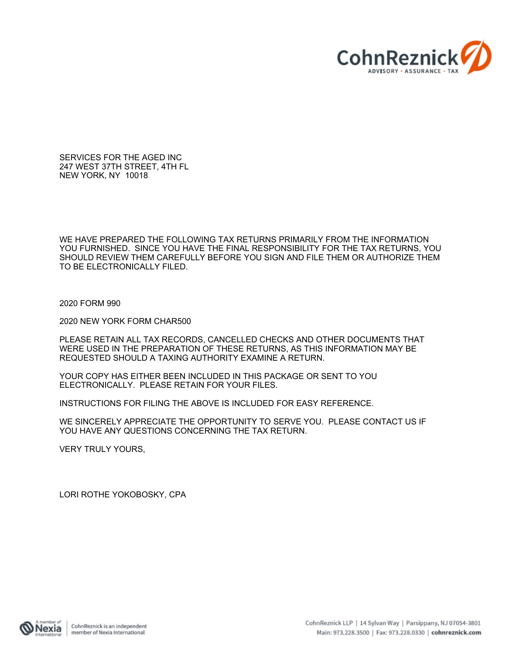

SERVICES FOR THE AGED INC 247 WEST 37TH STREET, 4TH FL NEW YORK, NY 10018

WE HAVE PREPARED THE FOLLOWING TAX RETURNS PRIMARILY FROM THE INFORMATION YOU FURNISHED. SINCE YOU HAVE THE FINAL RESPONSIBILITY FOR THE TAX RETURNS, YOU SHOULD REVIEW THEM CAREFULLY BEFORE YOU SIGN AND FILE THEM OR AUTHORIZE THEM TO BE ELECTRONICALLY FILED.

2020 FORM 990

2020 NEW YORK FORM CHAR500

PLEASE RETAIN ALL TAX RECORDS, CANCELLED CHECKS AND OTHER DOCUMENTS THAT WERE USED IN THE PREPARATION OF THESE RETURNS, AS THIS INFORMATION MAY BE REQUESTED SHOULD A TAXING AUTHORITY EXAMINE A RETURN.

YOUR COPY HAS EITHER BEEN INCLUDED IN THIS PACKAGE OR SENT TO YOU ELECTRONICALLY. PLEASE RETAIN FOR YOUR FILES.

INSTRUCTIONS FOR FILING THE ABOVE IS INCLUDED FOR EASY REFERENCE.

WE SINCERELY APPRECIATE THE OPPORTUNITY TO SERVE YOU. PLEASE CONTACT US IF YOU HAVE ANY QUESTIONS CONCERNING THE TAX RETURN.

VERY TRULY YOURS,

LORI ROTHE YOKOBOSKY, CPA

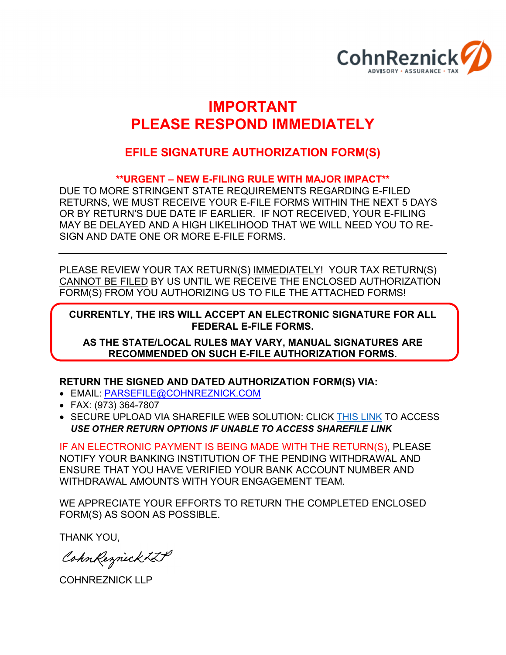

# **IMPORTANT PLEASE RESPOND IMMEDIATELY**

# **EFILE SIGNATURE AUTHORIZATION FORM(S)**

# **\*\*URGENT – NEW E-FILING RULE WITH MAJOR IMPACT\*\***

DUE TO MORE STRINGENT STATE REQUIREMENTS REGARDING E-FILED RETURNS, WE MUST RECEIVE YOUR E-FILE FORMS WITHIN THE NEXT 5 DAYS OR BY RETURN'S DUE DATE IF EARLIER. IF NOT RECEIVED, YOUR E-FILING MAY BE DELAYED AND A HIGH LIKELIHOOD THAT WE WILL NEED YOU TO RE-SIGN AND DATE ONE OR MORE E-FILE FORMS.

PLEASE REVIEW YOUR TAX RETURN(S) IMMEDIATELY! YOUR TAX RETURN(S) CANNOT BE FILED BY US UNTIL WE RECEIVE THE ENCLOSED AUTHORIZATION FORM(S) FROM YOU AUTHORIZING US TO FILE THE ATTACHED FORMS!

# **CURRENTLY, THE IRS WILL ACCEPT AN ELECTRONIC SIGNATURE FOR ALL FEDERAL E-FILE FORMS.**

**AS THE STATE/LOCAL RULES MAY VARY, MANUAL SIGNATURES ARE RECOMMENDED ON SUCH E-FILE AUTHORIZATION FORMS.**

**RETURN THE SIGNED AND DATED AUTHORIZATION FORM(S) VIA:**

- EMAIL: PARSEFILE@COHNREZNICK.COM
- FAX: (973) 364-7807
- **SECURE UPLOAD VIA SHAREFILE WEB SOLUTION: CLICK [THIS](https://cohnreznick.sharefile.com/r-r0e812877ab642da9) [LINK](https://cohnreznick.sharefile.com/r-r0e812877ab642da9) TO ACCESS** *USE OTHER RETURN OPTIONS IF UNABLE TO ACCESS SHAREFILE LINK*

IF AN ELECTRONIC PAYMENT IS BEING MADE WITH THE RETURN(S), PLEASE NOTIFY YOUR BANKING INSTITUTION OF THE PENDING WITHDRAWAL AND ENSURE THAT YOU HAVE VERIFIED YOUR BANK ACCOUNT NUMBER AND WITHDRAWAL AMOUNTS WITH YOUR ENGAGEMENT TEAM.

WE APPRECIATE YOUR EFFORTS TO RETURN THE COMPLETED ENCLOSED FORM(S) AS SOON AS POSSIBLE.

THANK YOU,

CohnReznick ZIP

COHNREZNICK LLP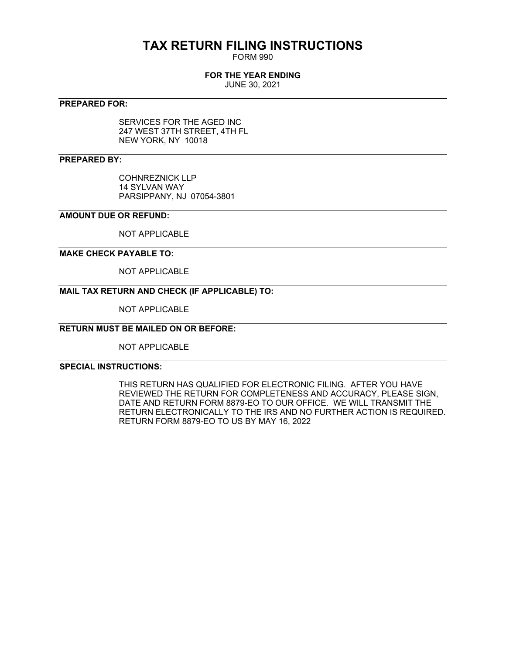# **TAX RETURN FILING INSTRUCTIONS**

FORM 990

# **FOR THE YEAR ENDING**

JUNE 30, 2021

# **PREPARED FOR:**

SERVICES FOR THE AGED INC 247 WEST 37TH STREET, 4TH FL NEW YORK, NY 10018

# **PREPARED BY:**

COHNREZNICK LLP 14 SYLVAN WAY PARSIPPANY, NJ 07054-3801

# **AMOUNT DUE OR REFUND:**

NOT APPLICABLE

# **MAKE CHECK PAYABLE TO:**

NOT APPLICABLE

# **MAIL TAX RETURN AND CHECK (IF APPLICABLE) TO:**

NOT APPLICABLE

# **RETURN MUST BE MAILED ON OR BEFORE:**

NOT APPLICABLE

# **SPECIAL INSTRUCTIONS:**

THIS RETURN HAS QUALIFIED FOR ELECTRONIC FILING. AFTER YOU HAVE REVIEWED THE RETURN FOR COMPLETENESS AND ACCURACY, PLEASE SIGN, DATE AND RETURN FORM 8879-EO TO OUR OFFICE. WE WILL TRANSMIT THE RETURN ELECTRONICALLY TO THE IRS AND NO FURTHER ACTION IS REQUIRED. RETURN FORM 8879-EO TO US BY MAY 16, 2022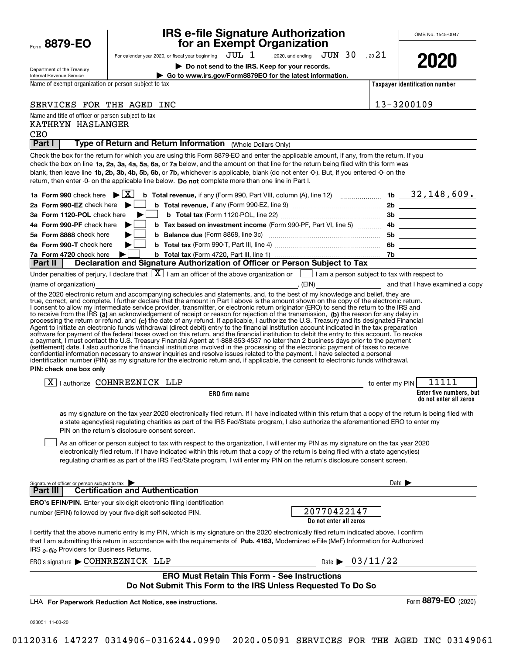| Form | 8879-1<br>E |
|------|-------------|
|      |             |

# **IRS e-file Signature Authorization for an Exempt Organization**

For calendar year 2020, or fiscal year beginning  $\rm\,JUL~$   $1$   $\rm\,$  , 2020, and ending  $\rm\,JUN~$   $30$   $\rm\,$  , 20 $21$ 

**| Do not send to the IRS. Keep for your records.**



OMB No. 1545-0047

Department of the Treasury Internal Revenue Service

**| Go to www.irs.gov/Form8879EO for the latest information.**

Name of exempt organization or person subject to tax

SERVICES FOR THE AGED INC

Name and title of officer or person subject to tax

KATHRYN HASLANGER

**Taxpayer identification number**

|--|

| Part I                                                                                                                                                                                                                                                                                                                                                                                                                                                                                                                                                                                                                                                                                                                                                                                                                                                                                                                                                                                                                                                                                                                                                                                                                                                                                                            |                        |                                |                                                   |
|-------------------------------------------------------------------------------------------------------------------------------------------------------------------------------------------------------------------------------------------------------------------------------------------------------------------------------------------------------------------------------------------------------------------------------------------------------------------------------------------------------------------------------------------------------------------------------------------------------------------------------------------------------------------------------------------------------------------------------------------------------------------------------------------------------------------------------------------------------------------------------------------------------------------------------------------------------------------------------------------------------------------------------------------------------------------------------------------------------------------------------------------------------------------------------------------------------------------------------------------------------------------------------------------------------------------|------------------------|--------------------------------|---------------------------------------------------|
| Type of Return and Return Information (Whole Dollars Only)                                                                                                                                                                                                                                                                                                                                                                                                                                                                                                                                                                                                                                                                                                                                                                                                                                                                                                                                                                                                                                                                                                                                                                                                                                                        |                        |                                |                                                   |
| Check the box for the return for which you are using this Form 8879-EO and enter the applicable amount, if any, from the return. If you<br>check the box on line 1a, 2a, 3a, 4a, 5a, 6a, or 7a below, and the amount on that line for the return being filed with this form was<br>blank, then leave line 1b, 2b, 3b, 4b, 5b, 6b, or 7b, whichever is applicable, blank (do not enter -0-). But, if you entered -0- on the<br>return, then enter -0- on the applicable line below. Do not complete more than one line in Part I.                                                                                                                                                                                                                                                                                                                                                                                                                                                                                                                                                                                                                                                                                                                                                                                  |                        |                                |                                                   |
|                                                                                                                                                                                                                                                                                                                                                                                                                                                                                                                                                                                                                                                                                                                                                                                                                                                                                                                                                                                                                                                                                                                                                                                                                                                                                                                   |                        |                                |                                                   |
| 2a Form 990-EZ check here $\blacktriangleright$                                                                                                                                                                                                                                                                                                                                                                                                                                                                                                                                                                                                                                                                                                                                                                                                                                                                                                                                                                                                                                                                                                                                                                                                                                                                   |                        |                                |                                                   |
| 3a Form 1120-POL check here                                                                                                                                                                                                                                                                                                                                                                                                                                                                                                                                                                                                                                                                                                                                                                                                                                                                                                                                                                                                                                                                                                                                                                                                                                                                                       |                        |                                |                                                   |
| 4a Form 990-PF check here                                                                                                                                                                                                                                                                                                                                                                                                                                                                                                                                                                                                                                                                                                                                                                                                                                                                                                                                                                                                                                                                                                                                                                                                                                                                                         |                        |                                |                                                   |
| 5a Form 8868 check here                                                                                                                                                                                                                                                                                                                                                                                                                                                                                                                                                                                                                                                                                                                                                                                                                                                                                                                                                                                                                                                                                                                                                                                                                                                                                           |                        |                                | 5b _____________________                          |
| 6a Form 990-T check here                                                                                                                                                                                                                                                                                                                                                                                                                                                                                                                                                                                                                                                                                                                                                                                                                                                                                                                                                                                                                                                                                                                                                                                                                                                                                          |                        |                                |                                                   |
| 7a Form 4720 check here                                                                                                                                                                                                                                                                                                                                                                                                                                                                                                                                                                                                                                                                                                                                                                                                                                                                                                                                                                                                                                                                                                                                                                                                                                                                                           |                        |                                |                                                   |
| Declaration and Signature Authorization of Officer or Person Subject to Tax<br>Part II                                                                                                                                                                                                                                                                                                                                                                                                                                                                                                                                                                                                                                                                                                                                                                                                                                                                                                                                                                                                                                                                                                                                                                                                                            |                        |                                |                                                   |
| Under penalties of perjury, I declare that $\boxed{\mathbf{X}}$ I am an officer of the above organization or $\boxed{\phantom{\mathbf{1}}}$ I am a person subject to tax with respect to                                                                                                                                                                                                                                                                                                                                                                                                                                                                                                                                                                                                                                                                                                                                                                                                                                                                                                                                                                                                                                                                                                                          |                        |                                |                                                   |
| (name of organization)                                                                                                                                                                                                                                                                                                                                                                                                                                                                                                                                                                                                                                                                                                                                                                                                                                                                                                                                                                                                                                                                                                                                                                                                                                                                                            |                        |                                | and that I have examined a copy                   |
| I consent to allow my intermediate service provider, transmitter, or electronic return originator (ERO) to send the return to the IRS and<br>to receive from the IRS (a) an acknowledgement of receipt or reason for rejection of the transmission, (b) the reason for any delay in<br>processing the return or refund, and (c) the date of any refund. If applicable, I authorize the U.S. Treasury and its designated Financial<br>Agent to initiate an electronic funds withdrawal (direct debit) entry to the financial institution account indicated in the tax preparation<br>software for payment of the federal taxes owed on this return, and the financial institution to debit the entry to this account. To revoke<br>a payment, I must contact the U.S. Treasury Financial Agent at 1-888-353-4537 no later than 2 business days prior to the payment<br>(settlement) date. I also authorize the financial institutions involved in the processing of the electronic payment of taxes to receive<br>confidential information necessary to answer inquiries and resolve issues related to the payment. I have selected a personal<br>identification number (PIN) as my signature for the electronic return and, if applicable, the consent to electronic funds withdrawal.<br>PIN: check one box only |                        |                                |                                                   |
| X   lauthorize COHNREZNICK LLP                                                                                                                                                                                                                                                                                                                                                                                                                                                                                                                                                                                                                                                                                                                                                                                                                                                                                                                                                                                                                                                                                                                                                                                                                                                                                    |                        | to enter my PIN                | 11111                                             |
| ERO firm name                                                                                                                                                                                                                                                                                                                                                                                                                                                                                                                                                                                                                                                                                                                                                                                                                                                                                                                                                                                                                                                                                                                                                                                                                                                                                                     |                        |                                | Enter five numbers, but<br>do not enter all zeros |
|                                                                                                                                                                                                                                                                                                                                                                                                                                                                                                                                                                                                                                                                                                                                                                                                                                                                                                                                                                                                                                                                                                                                                                                                                                                                                                                   |                        |                                |                                                   |
| as my signature on the tax year 2020 electronically filed return. If I have indicated within this return that a copy of the return is being filed with<br>a state agency(ies) regulating charities as part of the IRS Fed/State program, I also authorize the aforementioned ERO to enter my<br>PIN on the return's disclosure consent screen.                                                                                                                                                                                                                                                                                                                                                                                                                                                                                                                                                                                                                                                                                                                                                                                                                                                                                                                                                                    |                        |                                |                                                   |
| As an officer or person subject to tax with respect to the organization, I will enter my PIN as my signature on the tax year 2020<br>electronically filed return. If I have indicated within this return that a copy of the return is being filed with a state agency(ies)<br>regulating charities as part of the IRS Fed/State program, I will enter my PIN on the return's disclosure consent screen.                                                                                                                                                                                                                                                                                                                                                                                                                                                                                                                                                                                                                                                                                                                                                                                                                                                                                                           |                        |                                |                                                   |
| Signature of officer or person subject to tax<br><b>Certification and Authentication</b><br>Part III                                                                                                                                                                                                                                                                                                                                                                                                                                                                                                                                                                                                                                                                                                                                                                                                                                                                                                                                                                                                                                                                                                                                                                                                              |                        |                                | Date $\blacktriangleright$                        |
|                                                                                                                                                                                                                                                                                                                                                                                                                                                                                                                                                                                                                                                                                                                                                                                                                                                                                                                                                                                                                                                                                                                                                                                                                                                                                                                   |                        |                                |                                                   |
| ERO's EFIN/PIN. Enter your six-digit electronic filing identification<br>number (EFIN) followed by your five-digit self-selected PIN.                                                                                                                                                                                                                                                                                                                                                                                                                                                                                                                                                                                                                                                                                                                                                                                                                                                                                                                                                                                                                                                                                                                                                                             | 20770422147            |                                |                                                   |
| I certify that the above numeric entry is my PIN, which is my signature on the 2020 electronically filed return indicated above. I confirm<br>that I am submitting this return in accordance with the requirements of Pub. 4163, Modernized e-File (MeF) Information for Authorized<br>IRS e-file Providers for Business Returns.                                                                                                                                                                                                                                                                                                                                                                                                                                                                                                                                                                                                                                                                                                                                                                                                                                                                                                                                                                                 | Do not enter all zeros |                                |                                                   |
| ERO's signature COHNREZNICK LLP                                                                                                                                                                                                                                                                                                                                                                                                                                                                                                                                                                                                                                                                                                                                                                                                                                                                                                                                                                                                                                                                                                                                                                                                                                                                                   |                        | Date $\triangleright$ 03/11/22 |                                                   |
|                                                                                                                                                                                                                                                                                                                                                                                                                                                                                                                                                                                                                                                                                                                                                                                                                                                                                                                                                                                                                                                                                                                                                                                                                                                                                                                   |                        |                                |                                                   |
| <b>ERO Must Retain This Form - See Instructions</b><br>Do Not Submit This Form to the IRS Unless Requested To Do So                                                                                                                                                                                                                                                                                                                                                                                                                                                                                                                                                                                                                                                                                                                                                                                                                                                                                                                                                                                                                                                                                                                                                                                               |                        |                                |                                                   |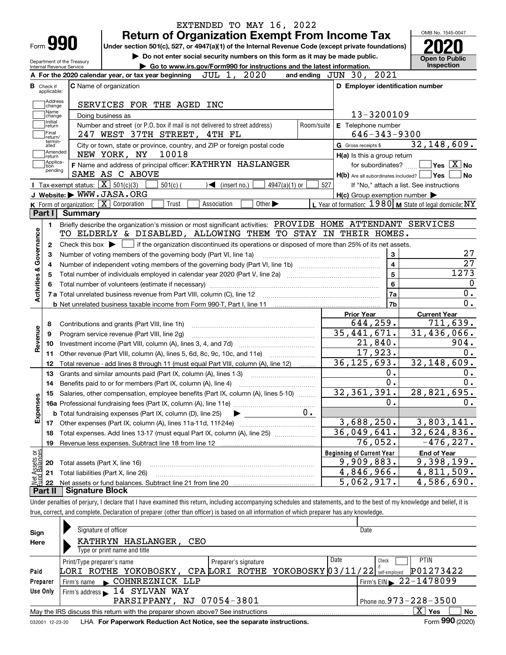| Do not enter social security numbers on this form as it may be made public.<br>Department of the Treasury<br>Go to www.irs.gov/Form990 for instructions and the latest information.<br>Internal Revenue Service<br>2021<br>JUL 1, 2020<br>and ending $JUN$ 30,<br>A For the 2020 calendar year, or tax year beginning<br>D Employer identification number<br><b>C</b> Name of organization<br><b>B</b> Check if<br>applicable:<br>Address<br>SERVICES FOR THE AGED INC<br>change<br>Name<br>13-3200109<br>Doing business as<br>change<br>Initial<br>Number and street (or P.O. box if mail is not delivered to street address)<br>E Telephone number<br>Room/suite<br>return<br> Final<br>$646 - 343 - 9300$<br>247 WEST 37TH STREET, 4TH FL<br>return/<br>termin-<br>City or town, state or province, country, and ZIP or foreign postal code<br>G Gross receipts \$<br>ated<br> Amended<br>10018<br>NEW YORK, NY<br>H(a) Is this a group return<br>∣return<br> Applica-<br>F Name and address of principal officer: KATHRYN HASLANGER<br>for subordinates?<br>tion<br>pending<br>SAME AS C ABOVE<br>H(b) Are all subordinates included?   Yes<br>Tax-exempt status: $\boxed{\mathbf{X}}$ 501(c)(3)<br>$501(c)$ (<br>$\blacktriangleleft$ (insert no.)<br>$4947(a)(1)$ or<br>527<br>If "No," attach a list. See instructions<br>J Website: WWW.JASA.ORG<br>$H(c)$ Group exemption number $\blacktriangleright$<br>K Form of organization: $\boxed{\mathbf{X}}$ Corporation<br>L Year of formation: $1980$ M State of legal domicile: NY<br>Other $\blacktriangleright$<br>Trust<br>Association<br>Part I<br>Summary<br>Briefly describe the organization's mission or most significant activities: PROVIDE HOME ATTENDANT SERVICES<br>1.<br>Activities & Governance<br>TO ELDERLY & DISABLED, ALLOWING THEM TO STAY IN THEIR HOMES.<br>Check this box $\blacktriangleright$ $\Box$ if the organization discontinued its operations or disposed of more than 25% of its net assets.<br>2<br>3<br>Number of voting members of the governing body (Part VI, line 1a)<br>З<br>$\overline{\mathbf{4}}$<br>4<br>5<br>5<br>6<br>  7a<br>7b<br><b>Prior Year</b><br>644,259.<br>Contributions and grants (Part VIII, line 1h)<br>8<br>Revenue<br>35, 441, 671.<br>31,436,066.<br>Program service revenue (Part VIII, line 2g)<br>9<br>21,840.<br>10<br>17,923.<br>Other revenue (Part VIII, column (A), lines 5, 6d, 8c, 9c, 10c, and 11e)<br>11<br>36, 125, 693.<br>Total revenue - add lines 8 through 11 (must equal Part VIII, column (A), line 12)<br>12<br>0.<br>13<br>Grants and similar amounts paid (Part IX, column (A), lines 1-3)<br>0.<br>14<br>32, 361, 391.<br>15 Salaries, other compensation, employee benefits (Part IX, column (A), lines 5-10)<br>Expenses<br>0.<br>$0$ .<br><b>b</b> Total fundraising expenses (Part IX, column (D), line 25)<br>3,688,250.<br>17<br>36,049,641.<br>Total expenses. Add lines 13-17 (must equal Part IX, column (A), line 25)<br>18<br>76,052.<br>19<br>t Assets or<br>d Balances<br><b>Beginning of Current Year</b><br>9,909,883.<br>Total assets (Part X, line 16)<br>20<br>4,846,966.<br>Total liabilities (Part X, line 26)<br>21<br>혏<br>5,062,917.<br>22<br>Part II<br><b>Signature Block</b> | <b>Return of Organization Exempt From Income Tax</b><br>Form <b>990</b><br>Under section 501(c), 527, or 4947(a)(1) of the Internal Revenue Code (except private foundations) | OMB No. 1545-0047                                                               |
|-----------------------------------------------------------------------------------------------------------------------------------------------------------------------------------------------------------------------------------------------------------------------------------------------------------------------------------------------------------------------------------------------------------------------------------------------------------------------------------------------------------------------------------------------------------------------------------------------------------------------------------------------------------------------------------------------------------------------------------------------------------------------------------------------------------------------------------------------------------------------------------------------------------------------------------------------------------------------------------------------------------------------------------------------------------------------------------------------------------------------------------------------------------------------------------------------------------------------------------------------------------------------------------------------------------------------------------------------------------------------------------------------------------------------------------------------------------------------------------------------------------------------------------------------------------------------------------------------------------------------------------------------------------------------------------------------------------------------------------------------------------------------------------------------------------------------------------------------------------------------------------------------------------------------------------------------------------------------------------------------------------------------------------------------------------------------------------------------------------------------------------------------------------------------------------------------------------------------------------------------------------------------------------------------------------------------------------------------------------------------------------------------------------------------------------------------------------------------------------------------------------------------------------------------------------------------------------------------------------------------------------------------------------------------------------------------------------------------------------------------------------------------------------------------------------------------------------------------------------------------------------------------------------------------------------------------------------------------------------------------------------------------------------------------------------------------------------------------------------------------------------------------------------------------------------------------------------------------------------------------------|-------------------------------------------------------------------------------------------------------------------------------------------------------------------------------|---------------------------------------------------------------------------------|
|                                                                                                                                                                                                                                                                                                                                                                                                                                                                                                                                                                                                                                                                                                                                                                                                                                                                                                                                                                                                                                                                                                                                                                                                                                                                                                                                                                                                                                                                                                                                                                                                                                                                                                                                                                                                                                                                                                                                                                                                                                                                                                                                                                                                                                                                                                                                                                                                                                                                                                                                                                                                                                                                                                                                                                                                                                                                                                                                                                                                                                                                                                                                                                                                                                                     |                                                                                                                                                                               | <b>Open to Public</b><br><b>Inspection</b>                                      |
|                                                                                                                                                                                                                                                                                                                                                                                                                                                                                                                                                                                                                                                                                                                                                                                                                                                                                                                                                                                                                                                                                                                                                                                                                                                                                                                                                                                                                                                                                                                                                                                                                                                                                                                                                                                                                                                                                                                                                                                                                                                                                                                                                                                                                                                                                                                                                                                                                                                                                                                                                                                                                                                                                                                                                                                                                                                                                                                                                                                                                                                                                                                                                                                                                                                     |                                                                                                                                                                               |                                                                                 |
|                                                                                                                                                                                                                                                                                                                                                                                                                                                                                                                                                                                                                                                                                                                                                                                                                                                                                                                                                                                                                                                                                                                                                                                                                                                                                                                                                                                                                                                                                                                                                                                                                                                                                                                                                                                                                                                                                                                                                                                                                                                                                                                                                                                                                                                                                                                                                                                                                                                                                                                                                                                                                                                                                                                                                                                                                                                                                                                                                                                                                                                                                                                                                                                                                                                     |                                                                                                                                                                               |                                                                                 |
|                                                                                                                                                                                                                                                                                                                                                                                                                                                                                                                                                                                                                                                                                                                                                                                                                                                                                                                                                                                                                                                                                                                                                                                                                                                                                                                                                                                                                                                                                                                                                                                                                                                                                                                                                                                                                                                                                                                                                                                                                                                                                                                                                                                                                                                                                                                                                                                                                                                                                                                                                                                                                                                                                                                                                                                                                                                                                                                                                                                                                                                                                                                                                                                                                                                     |                                                                                                                                                                               |                                                                                 |
|                                                                                                                                                                                                                                                                                                                                                                                                                                                                                                                                                                                                                                                                                                                                                                                                                                                                                                                                                                                                                                                                                                                                                                                                                                                                                                                                                                                                                                                                                                                                                                                                                                                                                                                                                                                                                                                                                                                                                                                                                                                                                                                                                                                                                                                                                                                                                                                                                                                                                                                                                                                                                                                                                                                                                                                                                                                                                                                                                                                                                                                                                                                                                                                                                                                     |                                                                                                                                                                               |                                                                                 |
|                                                                                                                                                                                                                                                                                                                                                                                                                                                                                                                                                                                                                                                                                                                                                                                                                                                                                                                                                                                                                                                                                                                                                                                                                                                                                                                                                                                                                                                                                                                                                                                                                                                                                                                                                                                                                                                                                                                                                                                                                                                                                                                                                                                                                                                                                                                                                                                                                                                                                                                                                                                                                                                                                                                                                                                                                                                                                                                                                                                                                                                                                                                                                                                                                                                     |                                                                                                                                                                               |                                                                                 |
|                                                                                                                                                                                                                                                                                                                                                                                                                                                                                                                                                                                                                                                                                                                                                                                                                                                                                                                                                                                                                                                                                                                                                                                                                                                                                                                                                                                                                                                                                                                                                                                                                                                                                                                                                                                                                                                                                                                                                                                                                                                                                                                                                                                                                                                                                                                                                                                                                                                                                                                                                                                                                                                                                                                                                                                                                                                                                                                                                                                                                                                                                                                                                                                                                                                     |                                                                                                                                                                               | 32, 148, 609.                                                                   |
|                                                                                                                                                                                                                                                                                                                                                                                                                                                                                                                                                                                                                                                                                                                                                                                                                                                                                                                                                                                                                                                                                                                                                                                                                                                                                                                                                                                                                                                                                                                                                                                                                                                                                                                                                                                                                                                                                                                                                                                                                                                                                                                                                                                                                                                                                                                                                                                                                                                                                                                                                                                                                                                                                                                                                                                                                                                                                                                                                                                                                                                                                                                                                                                                                                                     |                                                                                                                                                                               | $ {\mathsf Y}{\mathsf e}{\mathsf s} \: \mid \! \underline{{\mathsf X}} \:  $ No |
|                                                                                                                                                                                                                                                                                                                                                                                                                                                                                                                                                                                                                                                                                                                                                                                                                                                                                                                                                                                                                                                                                                                                                                                                                                                                                                                                                                                                                                                                                                                                                                                                                                                                                                                                                                                                                                                                                                                                                                                                                                                                                                                                                                                                                                                                                                                                                                                                                                                                                                                                                                                                                                                                                                                                                                                                                                                                                                                                                                                                                                                                                                                                                                                                                                                     |                                                                                                                                                                               | No                                                                              |
|                                                                                                                                                                                                                                                                                                                                                                                                                                                                                                                                                                                                                                                                                                                                                                                                                                                                                                                                                                                                                                                                                                                                                                                                                                                                                                                                                                                                                                                                                                                                                                                                                                                                                                                                                                                                                                                                                                                                                                                                                                                                                                                                                                                                                                                                                                                                                                                                                                                                                                                                                                                                                                                                                                                                                                                                                                                                                                                                                                                                                                                                                                                                                                                                                                                     |                                                                                                                                                                               |                                                                                 |
|                                                                                                                                                                                                                                                                                                                                                                                                                                                                                                                                                                                                                                                                                                                                                                                                                                                                                                                                                                                                                                                                                                                                                                                                                                                                                                                                                                                                                                                                                                                                                                                                                                                                                                                                                                                                                                                                                                                                                                                                                                                                                                                                                                                                                                                                                                                                                                                                                                                                                                                                                                                                                                                                                                                                                                                                                                                                                                                                                                                                                                                                                                                                                                                                                                                     |                                                                                                                                                                               |                                                                                 |
|                                                                                                                                                                                                                                                                                                                                                                                                                                                                                                                                                                                                                                                                                                                                                                                                                                                                                                                                                                                                                                                                                                                                                                                                                                                                                                                                                                                                                                                                                                                                                                                                                                                                                                                                                                                                                                                                                                                                                                                                                                                                                                                                                                                                                                                                                                                                                                                                                                                                                                                                                                                                                                                                                                                                                                                                                                                                                                                                                                                                                                                                                                                                                                                                                                                     |                                                                                                                                                                               |                                                                                 |
|                                                                                                                                                                                                                                                                                                                                                                                                                                                                                                                                                                                                                                                                                                                                                                                                                                                                                                                                                                                                                                                                                                                                                                                                                                                                                                                                                                                                                                                                                                                                                                                                                                                                                                                                                                                                                                                                                                                                                                                                                                                                                                                                                                                                                                                                                                                                                                                                                                                                                                                                                                                                                                                                                                                                                                                                                                                                                                                                                                                                                                                                                                                                                                                                                                                     |                                                                                                                                                                               |                                                                                 |
|                                                                                                                                                                                                                                                                                                                                                                                                                                                                                                                                                                                                                                                                                                                                                                                                                                                                                                                                                                                                                                                                                                                                                                                                                                                                                                                                                                                                                                                                                                                                                                                                                                                                                                                                                                                                                                                                                                                                                                                                                                                                                                                                                                                                                                                                                                                                                                                                                                                                                                                                                                                                                                                                                                                                                                                                                                                                                                                                                                                                                                                                                                                                                                                                                                                     |                                                                                                                                                                               |                                                                                 |
|                                                                                                                                                                                                                                                                                                                                                                                                                                                                                                                                                                                                                                                                                                                                                                                                                                                                                                                                                                                                                                                                                                                                                                                                                                                                                                                                                                                                                                                                                                                                                                                                                                                                                                                                                                                                                                                                                                                                                                                                                                                                                                                                                                                                                                                                                                                                                                                                                                                                                                                                                                                                                                                                                                                                                                                                                                                                                                                                                                                                                                                                                                                                                                                                                                                     |                                                                                                                                                                               |                                                                                 |
|                                                                                                                                                                                                                                                                                                                                                                                                                                                                                                                                                                                                                                                                                                                                                                                                                                                                                                                                                                                                                                                                                                                                                                                                                                                                                                                                                                                                                                                                                                                                                                                                                                                                                                                                                                                                                                                                                                                                                                                                                                                                                                                                                                                                                                                                                                                                                                                                                                                                                                                                                                                                                                                                                                                                                                                                                                                                                                                                                                                                                                                                                                                                                                                                                                                     |                                                                                                                                                                               |                                                                                 |
|                                                                                                                                                                                                                                                                                                                                                                                                                                                                                                                                                                                                                                                                                                                                                                                                                                                                                                                                                                                                                                                                                                                                                                                                                                                                                                                                                                                                                                                                                                                                                                                                                                                                                                                                                                                                                                                                                                                                                                                                                                                                                                                                                                                                                                                                                                                                                                                                                                                                                                                                                                                                                                                                                                                                                                                                                                                                                                                                                                                                                                                                                                                                                                                                                                                     |                                                                                                                                                                               |                                                                                 |
|                                                                                                                                                                                                                                                                                                                                                                                                                                                                                                                                                                                                                                                                                                                                                                                                                                                                                                                                                                                                                                                                                                                                                                                                                                                                                                                                                                                                                                                                                                                                                                                                                                                                                                                                                                                                                                                                                                                                                                                                                                                                                                                                                                                                                                                                                                                                                                                                                                                                                                                                                                                                                                                                                                                                                                                                                                                                                                                                                                                                                                                                                                                                                                                                                                                     |                                                                                                                                                                               |                                                                                 |
|                                                                                                                                                                                                                                                                                                                                                                                                                                                                                                                                                                                                                                                                                                                                                                                                                                                                                                                                                                                                                                                                                                                                                                                                                                                                                                                                                                                                                                                                                                                                                                                                                                                                                                                                                                                                                                                                                                                                                                                                                                                                                                                                                                                                                                                                                                                                                                                                                                                                                                                                                                                                                                                                                                                                                                                                                                                                                                                                                                                                                                                                                                                                                                                                                                                     |                                                                                                                                                                               |                                                                                 |
|                                                                                                                                                                                                                                                                                                                                                                                                                                                                                                                                                                                                                                                                                                                                                                                                                                                                                                                                                                                                                                                                                                                                                                                                                                                                                                                                                                                                                                                                                                                                                                                                                                                                                                                                                                                                                                                                                                                                                                                                                                                                                                                                                                                                                                                                                                                                                                                                                                                                                                                                                                                                                                                                                                                                                                                                                                                                                                                                                                                                                                                                                                                                                                                                                                                     |                                                                                                                                                                               | 1273                                                                            |
|                                                                                                                                                                                                                                                                                                                                                                                                                                                                                                                                                                                                                                                                                                                                                                                                                                                                                                                                                                                                                                                                                                                                                                                                                                                                                                                                                                                                                                                                                                                                                                                                                                                                                                                                                                                                                                                                                                                                                                                                                                                                                                                                                                                                                                                                                                                                                                                                                                                                                                                                                                                                                                                                                                                                                                                                                                                                                                                                                                                                                                                                                                                                                                                                                                                     |                                                                                                                                                                               |                                                                                 |
|                                                                                                                                                                                                                                                                                                                                                                                                                                                                                                                                                                                                                                                                                                                                                                                                                                                                                                                                                                                                                                                                                                                                                                                                                                                                                                                                                                                                                                                                                                                                                                                                                                                                                                                                                                                                                                                                                                                                                                                                                                                                                                                                                                                                                                                                                                                                                                                                                                                                                                                                                                                                                                                                                                                                                                                                                                                                                                                                                                                                                                                                                                                                                                                                                                                     |                                                                                                                                                                               | 0.                                                                              |
|                                                                                                                                                                                                                                                                                                                                                                                                                                                                                                                                                                                                                                                                                                                                                                                                                                                                                                                                                                                                                                                                                                                                                                                                                                                                                                                                                                                                                                                                                                                                                                                                                                                                                                                                                                                                                                                                                                                                                                                                                                                                                                                                                                                                                                                                                                                                                                                                                                                                                                                                                                                                                                                                                                                                                                                                                                                                                                                                                                                                                                                                                                                                                                                                                                                     |                                                                                                                                                                               |                                                                                 |
|                                                                                                                                                                                                                                                                                                                                                                                                                                                                                                                                                                                                                                                                                                                                                                                                                                                                                                                                                                                                                                                                                                                                                                                                                                                                                                                                                                                                                                                                                                                                                                                                                                                                                                                                                                                                                                                                                                                                                                                                                                                                                                                                                                                                                                                                                                                                                                                                                                                                                                                                                                                                                                                                                                                                                                                                                                                                                                                                                                                                                                                                                                                                                                                                                                                     |                                                                                                                                                                               | <b>Current Year</b>                                                             |
|                                                                                                                                                                                                                                                                                                                                                                                                                                                                                                                                                                                                                                                                                                                                                                                                                                                                                                                                                                                                                                                                                                                                                                                                                                                                                                                                                                                                                                                                                                                                                                                                                                                                                                                                                                                                                                                                                                                                                                                                                                                                                                                                                                                                                                                                                                                                                                                                                                                                                                                                                                                                                                                                                                                                                                                                                                                                                                                                                                                                                                                                                                                                                                                                                                                     |                                                                                                                                                                               | 711,639.                                                                        |
|                                                                                                                                                                                                                                                                                                                                                                                                                                                                                                                                                                                                                                                                                                                                                                                                                                                                                                                                                                                                                                                                                                                                                                                                                                                                                                                                                                                                                                                                                                                                                                                                                                                                                                                                                                                                                                                                                                                                                                                                                                                                                                                                                                                                                                                                                                                                                                                                                                                                                                                                                                                                                                                                                                                                                                                                                                                                                                                                                                                                                                                                                                                                                                                                                                                     |                                                                                                                                                                               |                                                                                 |
|                                                                                                                                                                                                                                                                                                                                                                                                                                                                                                                                                                                                                                                                                                                                                                                                                                                                                                                                                                                                                                                                                                                                                                                                                                                                                                                                                                                                                                                                                                                                                                                                                                                                                                                                                                                                                                                                                                                                                                                                                                                                                                                                                                                                                                                                                                                                                                                                                                                                                                                                                                                                                                                                                                                                                                                                                                                                                                                                                                                                                                                                                                                                                                                                                                                     |                                                                                                                                                                               |                                                                                 |
|                                                                                                                                                                                                                                                                                                                                                                                                                                                                                                                                                                                                                                                                                                                                                                                                                                                                                                                                                                                                                                                                                                                                                                                                                                                                                                                                                                                                                                                                                                                                                                                                                                                                                                                                                                                                                                                                                                                                                                                                                                                                                                                                                                                                                                                                                                                                                                                                                                                                                                                                                                                                                                                                                                                                                                                                                                                                                                                                                                                                                                                                                                                                                                                                                                                     |                                                                                                                                                                               |                                                                                 |
|                                                                                                                                                                                                                                                                                                                                                                                                                                                                                                                                                                                                                                                                                                                                                                                                                                                                                                                                                                                                                                                                                                                                                                                                                                                                                                                                                                                                                                                                                                                                                                                                                                                                                                                                                                                                                                                                                                                                                                                                                                                                                                                                                                                                                                                                                                                                                                                                                                                                                                                                                                                                                                                                                                                                                                                                                                                                                                                                                                                                                                                                                                                                                                                                                                                     |                                                                                                                                                                               |                                                                                 |
|                                                                                                                                                                                                                                                                                                                                                                                                                                                                                                                                                                                                                                                                                                                                                                                                                                                                                                                                                                                                                                                                                                                                                                                                                                                                                                                                                                                                                                                                                                                                                                                                                                                                                                                                                                                                                                                                                                                                                                                                                                                                                                                                                                                                                                                                                                                                                                                                                                                                                                                                                                                                                                                                                                                                                                                                                                                                                                                                                                                                                                                                                                                                                                                                                                                     |                                                                                                                                                                               |                                                                                 |
|                                                                                                                                                                                                                                                                                                                                                                                                                                                                                                                                                                                                                                                                                                                                                                                                                                                                                                                                                                                                                                                                                                                                                                                                                                                                                                                                                                                                                                                                                                                                                                                                                                                                                                                                                                                                                                                                                                                                                                                                                                                                                                                                                                                                                                                                                                                                                                                                                                                                                                                                                                                                                                                                                                                                                                                                                                                                                                                                                                                                                                                                                                                                                                                                                                                     |                                                                                                                                                                               |                                                                                 |
|                                                                                                                                                                                                                                                                                                                                                                                                                                                                                                                                                                                                                                                                                                                                                                                                                                                                                                                                                                                                                                                                                                                                                                                                                                                                                                                                                                                                                                                                                                                                                                                                                                                                                                                                                                                                                                                                                                                                                                                                                                                                                                                                                                                                                                                                                                                                                                                                                                                                                                                                                                                                                                                                                                                                                                                                                                                                                                                                                                                                                                                                                                                                                                                                                                                     |                                                                                                                                                                               |                                                                                 |
|                                                                                                                                                                                                                                                                                                                                                                                                                                                                                                                                                                                                                                                                                                                                                                                                                                                                                                                                                                                                                                                                                                                                                                                                                                                                                                                                                                                                                                                                                                                                                                                                                                                                                                                                                                                                                                                                                                                                                                                                                                                                                                                                                                                                                                                                                                                                                                                                                                                                                                                                                                                                                                                                                                                                                                                                                                                                                                                                                                                                                                                                                                                                                                                                                                                     |                                                                                                                                                                               |                                                                                 |
|                                                                                                                                                                                                                                                                                                                                                                                                                                                                                                                                                                                                                                                                                                                                                                                                                                                                                                                                                                                                                                                                                                                                                                                                                                                                                                                                                                                                                                                                                                                                                                                                                                                                                                                                                                                                                                                                                                                                                                                                                                                                                                                                                                                                                                                                                                                                                                                                                                                                                                                                                                                                                                                                                                                                                                                                                                                                                                                                                                                                                                                                                                                                                                                                                                                     |                                                                                                                                                                               |                                                                                 |
|                                                                                                                                                                                                                                                                                                                                                                                                                                                                                                                                                                                                                                                                                                                                                                                                                                                                                                                                                                                                                                                                                                                                                                                                                                                                                                                                                                                                                                                                                                                                                                                                                                                                                                                                                                                                                                                                                                                                                                                                                                                                                                                                                                                                                                                                                                                                                                                                                                                                                                                                                                                                                                                                                                                                                                                                                                                                                                                                                                                                                                                                                                                                                                                                                                                     |                                                                                                                                                                               |                                                                                 |
|                                                                                                                                                                                                                                                                                                                                                                                                                                                                                                                                                                                                                                                                                                                                                                                                                                                                                                                                                                                                                                                                                                                                                                                                                                                                                                                                                                                                                                                                                                                                                                                                                                                                                                                                                                                                                                                                                                                                                                                                                                                                                                                                                                                                                                                                                                                                                                                                                                                                                                                                                                                                                                                                                                                                                                                                                                                                                                                                                                                                                                                                                                                                                                                                                                                     |                                                                                                                                                                               |                                                                                 |
|                                                                                                                                                                                                                                                                                                                                                                                                                                                                                                                                                                                                                                                                                                                                                                                                                                                                                                                                                                                                                                                                                                                                                                                                                                                                                                                                                                                                                                                                                                                                                                                                                                                                                                                                                                                                                                                                                                                                                                                                                                                                                                                                                                                                                                                                                                                                                                                                                                                                                                                                                                                                                                                                                                                                                                                                                                                                                                                                                                                                                                                                                                                                                                                                                                                     |                                                                                                                                                                               | 904.<br>32, 148, 609.<br>0.<br>0.<br>28,821,695.<br>3,803,141.                  |
|                                                                                                                                                                                                                                                                                                                                                                                                                                                                                                                                                                                                                                                                                                                                                                                                                                                                                                                                                                                                                                                                                                                                                                                                                                                                                                                                                                                                                                                                                                                                                                                                                                                                                                                                                                                                                                                                                                                                                                                                                                                                                                                                                                                                                                                                                                                                                                                                                                                                                                                                                                                                                                                                                                                                                                                                                                                                                                                                                                                                                                                                                                                                                                                                                                                     |                                                                                                                                                                               |                                                                                 |
|                                                                                                                                                                                                                                                                                                                                                                                                                                                                                                                                                                                                                                                                                                                                                                                                                                                                                                                                                                                                                                                                                                                                                                                                                                                                                                                                                                                                                                                                                                                                                                                                                                                                                                                                                                                                                                                                                                                                                                                                                                                                                                                                                                                                                                                                                                                                                                                                                                                                                                                                                                                                                                                                                                                                                                                                                                                                                                                                                                                                                                                                                                                                                                                                                                                     |                                                                                                                                                                               |                                                                                 |
|                                                                                                                                                                                                                                                                                                                                                                                                                                                                                                                                                                                                                                                                                                                                                                                                                                                                                                                                                                                                                                                                                                                                                                                                                                                                                                                                                                                                                                                                                                                                                                                                                                                                                                                                                                                                                                                                                                                                                                                                                                                                                                                                                                                                                                                                                                                                                                                                                                                                                                                                                                                                                                                                                                                                                                                                                                                                                                                                                                                                                                                                                                                                                                                                                                                     |                                                                                                                                                                               | <b>End of Year</b>                                                              |
|                                                                                                                                                                                                                                                                                                                                                                                                                                                                                                                                                                                                                                                                                                                                                                                                                                                                                                                                                                                                                                                                                                                                                                                                                                                                                                                                                                                                                                                                                                                                                                                                                                                                                                                                                                                                                                                                                                                                                                                                                                                                                                                                                                                                                                                                                                                                                                                                                                                                                                                                                                                                                                                                                                                                                                                                                                                                                                                                                                                                                                                                                                                                                                                                                                                     |                                                                                                                                                                               | 32,624,836.<br>$-476, 227.$<br>9,398,199.                                       |
|                                                                                                                                                                                                                                                                                                                                                                                                                                                                                                                                                                                                                                                                                                                                                                                                                                                                                                                                                                                                                                                                                                                                                                                                                                                                                                                                                                                                                                                                                                                                                                                                                                                                                                                                                                                                                                                                                                                                                                                                                                                                                                                                                                                                                                                                                                                                                                                                                                                                                                                                                                                                                                                                                                                                                                                                                                                                                                                                                                                                                                                                                                                                                                                                                                                     |                                                                                                                                                                               | 4,811,509.                                                                      |
|                                                                                                                                                                                                                                                                                                                                                                                                                                                                                                                                                                                                                                                                                                                                                                                                                                                                                                                                                                                                                                                                                                                                                                                                                                                                                                                                                                                                                                                                                                                                                                                                                                                                                                                                                                                                                                                                                                                                                                                                                                                                                                                                                                                                                                                                                                                                                                                                                                                                                                                                                                                                                                                                                                                                                                                                                                                                                                                                                                                                                                                                                                                                                                                                                                                     |                                                                                                                                                                               | 4,586,690.                                                                      |

| Sign                                                                                                         | Signature of officer                                                                                         | Date                       |  |  |  |  |
|--------------------------------------------------------------------------------------------------------------|--------------------------------------------------------------------------------------------------------------|----------------------------|--|--|--|--|
| Here                                                                                                         | KATHRYN HASLANGER,<br>CEO                                                                                    |                            |  |  |  |  |
|                                                                                                              | Type or print name and title                                                                                 |                            |  |  |  |  |
|                                                                                                              | Date<br>Preparer's signature<br>Print/Type preparer's name                                                   | <b>PTIN</b><br>Check       |  |  |  |  |
| Paid                                                                                                         | LORI ROTHE YOKOBOSKY, CPALORI ROTHE YOKOBOSKY 03/11/22                                                       | P01273422<br>self-emploved |  |  |  |  |
| Preparer                                                                                                     | Firm's EIN $\triangleright$ 22-1478099<br>COHNREZNICK LLP<br>Firm's name                                     |                            |  |  |  |  |
| Use Only                                                                                                     | Firm's address 14 SYLVAN WAY                                                                                 |                            |  |  |  |  |
|                                                                                                              | Phone no. $973 - 228 - 3500$<br>PARSIPPANY, NJ 07054-3801                                                    |                            |  |  |  |  |
| $\mathbf{x}$<br>Yes<br>No<br>May the IRS discuss this return with the preparer shown above? See instructions |                                                                                                              |                            |  |  |  |  |
|                                                                                                              | Form 990 (2020)<br>LHA For Paperwork Reduction Act Notice, see the separate instructions.<br>032001 12-23-20 |                            |  |  |  |  |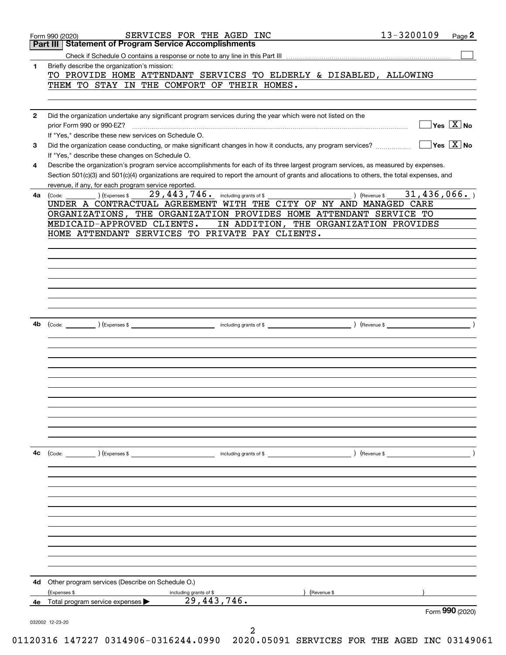|              |                                                                                                                                                                                                     |             | Form 990 (2020)                                      |
|--------------|-----------------------------------------------------------------------------------------------------------------------------------------------------------------------------------------------------|-------------|------------------------------------------------------|
| 4e           | (Expenses \$<br>including grants of \$<br>29, 443, 746.<br>Total program service expenses                                                                                                           |             |                                                      |
| 4d           | Other program services (Describe on Schedule O.)<br>(Revenue \$                                                                                                                                     |             |                                                      |
|              |                                                                                                                                                                                                     |             |                                                      |
|              |                                                                                                                                                                                                     |             |                                                      |
|              |                                                                                                                                                                                                     |             |                                                      |
|              |                                                                                                                                                                                                     |             |                                                      |
|              |                                                                                                                                                                                                     |             |                                                      |
|              |                                                                                                                                                                                                     |             |                                                      |
|              |                                                                                                                                                                                                     |             |                                                      |
| 4с           | including grants of \$<br>(Code: ) (Expenses \$<br>) (Revenue \$                                                                                                                                    |             |                                                      |
|              |                                                                                                                                                                                                     |             |                                                      |
|              |                                                                                                                                                                                                     |             |                                                      |
|              |                                                                                                                                                                                                     |             |                                                      |
|              |                                                                                                                                                                                                     |             |                                                      |
|              |                                                                                                                                                                                                     |             |                                                      |
|              |                                                                                                                                                                                                     |             |                                                      |
|              |                                                                                                                                                                                                     |             |                                                      |
|              |                                                                                                                                                                                                     |             |                                                      |
| 4b           |                                                                                                                                                                                                     |             |                                                      |
|              |                                                                                                                                                                                                     |             |                                                      |
|              |                                                                                                                                                                                                     |             |                                                      |
|              |                                                                                                                                                                                                     |             |                                                      |
|              |                                                                                                                                                                                                     |             |                                                      |
|              | HOME ATTENDANT SERVICES TO PRIVATE PAY CLIENTS.                                                                                                                                                     |             |                                                      |
|              | IN ADDITION, THE ORGANIZATION PROVIDES<br>MEDICAID-APPROVED CLIENTS.                                                                                                                                |             |                                                      |
|              | UNDER A CONTRACTUAL AGREEMENT WITH THE CITY OF NY AND MANAGED CARE<br>ORGANIZATIONS, THE ORGANIZATION PROVIDES HOME ATTENDANT SERVICE TO                                                            |             |                                                      |
| 4а           | 29,443,746.<br>) (Revenue \$<br>) (Expenses \$<br>including grants of \$<br>(Code:                                                                                                                  | 31,436,066. |                                                      |
|              | Section 501(c)(3) and 501(c)(4) organizations are required to report the amount of grants and allocations to others, the total expenses, and<br>revenue, if any, for each program service reported. |             |                                                      |
| 4            | Describe the organization's program service accomplishments for each of its three largest program services, as measured by expenses.                                                                |             |                                                      |
| 3            | Did the organization cease conducting, or make significant changes in how it conducts, any program services?<br>If "Yes," describe these changes on Schedule O.                                     |             | $\Box$ Yes $\boxed{\text{X}}$ No                     |
|              | If "Yes," describe these new services on Schedule O.                                                                                                                                                |             |                                                      |
| $\mathbf{2}$ | Did the organization undertake any significant program services during the year which were not listed on the<br>prior Form 990 or 990-EZ?                                                           |             | $\overline{\mathsf{Yes}}$ $\overline{\mathsf{X}}$ No |
|              |                                                                                                                                                                                                     |             |                                                      |
|              | THEM TO STAY IN THE COMFORT OF THEIR HOMES.                                                                                                                                                         |             |                                                      |
|              | Briefly describe the organization's mission:<br>TO PROVIDE HOME ATTENDANT SERVICES TO ELDERLY & DISABLED, ALLOWING                                                                                  |             |                                                      |
| 1            |                                                                                                                                                                                                     |             |                                                      |
|              |                                                                                                                                                                                                     |             |                                                      |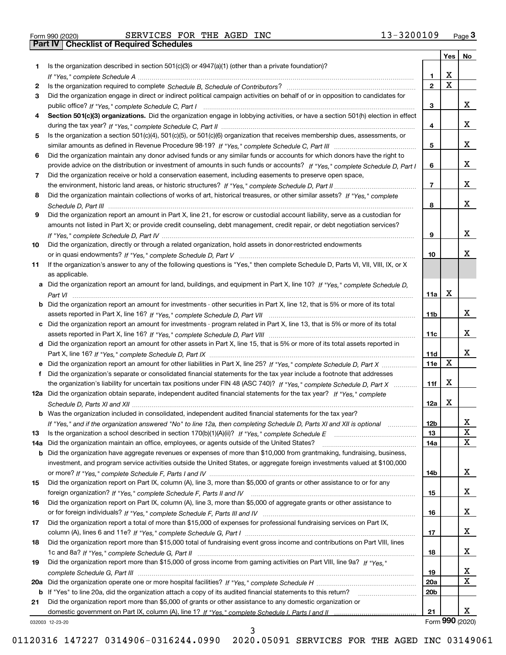| Form 990 (2020) |  |  |
|-----------------|--|--|
|                 |  |  |

|     |                                                                                                                                                 |                 | Yes         | No              |
|-----|-------------------------------------------------------------------------------------------------------------------------------------------------|-----------------|-------------|-----------------|
| 1.  | Is the organization described in section $501(c)(3)$ or $4947(a)(1)$ (other than a private foundation)?                                         |                 |             |                 |
|     |                                                                                                                                                 | 1.              | X           |                 |
| 2   |                                                                                                                                                 | $\overline{2}$  | $\mathbf x$ |                 |
| 3   | Did the organization engage in direct or indirect political campaign activities on behalf of or in opposition to candidates for                 |                 |             |                 |
|     |                                                                                                                                                 | 3               |             | x               |
| 4   | Section 501(c)(3) organizations. Did the organization engage in lobbying activities, or have a section 501(h) election in effect                |                 |             |                 |
|     |                                                                                                                                                 | 4               |             | x               |
| 5   | Is the organization a section 501(c)(4), 501(c)(5), or 501(c)(6) organization that receives membership dues, assessments, or                    |                 |             |                 |
|     |                                                                                                                                                 | 5               |             | x               |
| 6   | Did the organization maintain any donor advised funds or any similar funds or accounts for which donors have the right to                       |                 |             |                 |
|     | provide advice on the distribution or investment of amounts in such funds or accounts? If "Yes," complete Schedule D, Part I                    | 6               |             | x               |
| 7   | Did the organization receive or hold a conservation easement, including easements to preserve open space,                                       |                 |             |                 |
|     |                                                                                                                                                 | $\overline{7}$  |             | X.              |
| 8   | Did the organization maintain collections of works of art, historical treasures, or other similar assets? If "Yes," complete                    |                 |             |                 |
|     |                                                                                                                                                 | 8               |             | X.              |
| 9   | Did the organization report an amount in Part X, line 21, for escrow or custodial account liability, serve as a custodian for                   |                 |             |                 |
|     | amounts not listed in Part X; or provide credit counseling, debt management, credit repair, or debt negotiation services?                       |                 |             | x               |
|     |                                                                                                                                                 | 9               |             |                 |
| 10  | Did the organization, directly or through a related organization, hold assets in donor-restricted endowments                                    |                 |             | x               |
|     | If the organization's answer to any of the following questions is "Yes," then complete Schedule D, Parts VI, VII, VIII, IX, or X                | 10              |             |                 |
| 11  |                                                                                                                                                 |                 |             |                 |
|     | as applicable.<br>a Did the organization report an amount for land, buildings, and equipment in Part X, line 10? If "Yes," complete Schedule D, |                 |             |                 |
|     |                                                                                                                                                 | 11a             | х           |                 |
|     | <b>b</b> Did the organization report an amount for investments - other securities in Part X, line 12, that is 5% or more of its total           |                 |             |                 |
|     |                                                                                                                                                 | 11 <sub>b</sub> |             | X.              |
|     | c Did the organization report an amount for investments - program related in Part X, line 13, that is 5% or more of its total                   |                 |             |                 |
|     |                                                                                                                                                 | 11c             |             | х               |
|     | d Did the organization report an amount for other assets in Part X, line 15, that is 5% or more of its total assets reported in                 |                 |             |                 |
|     |                                                                                                                                                 | 11d             |             | x               |
|     | e Did the organization report an amount for other liabilities in Part X, line 25? If "Yes," complete Schedule D, Part X                         | 11e             | х           |                 |
| f   | Did the organization's separate or consolidated financial statements for the tax year include a footnote that addresses                         |                 |             |                 |
|     | the organization's liability for uncertain tax positions under FIN 48 (ASC 740)? If "Yes," complete Schedule D, Part X                          | 11f             | х           |                 |
|     | 12a Did the organization obtain separate, independent audited financial statements for the tax year? If "Yes," complete                         |                 |             |                 |
|     |                                                                                                                                                 | 12a             | х           |                 |
|     | <b>b</b> Was the organization included in consolidated, independent audited financial statements for the tax year?                              |                 |             |                 |
|     | If "Yes," and if the organization answered "No" to line 12a, then completing Schedule D, Parts XI and XII is optional                           | 12b             |             | A               |
| 13  |                                                                                                                                                 | 13              |             | $\mathbf X$     |
| 14a | Did the organization maintain an office, employees, or agents outside of the United States?                                                     | 14a             |             | х               |
|     | <b>b</b> Did the organization have aggregate revenues or expenses of more than \$10,000 from grantmaking, fundraising, business,                |                 |             |                 |
|     | investment, and program service activities outside the United States, or aggregate foreign investments valued at \$100,000                      |                 |             |                 |
|     |                                                                                                                                                 | 14b             |             | X               |
| 15  | Did the organization report on Part IX, column (A), line 3, more than \$5,000 of grants or other assistance to or for any                       |                 |             |                 |
|     |                                                                                                                                                 | 15              |             | x               |
| 16  | Did the organization report on Part IX, column (A), line 3, more than \$5,000 of aggregate grants or other assistance to                        |                 |             |                 |
|     |                                                                                                                                                 | 16              |             | x               |
| 17  | Did the organization report a total of more than \$15,000 of expenses for professional fundraising services on Part IX,                         |                 |             |                 |
|     |                                                                                                                                                 | 17              |             | x               |
| 18  | Did the organization report more than \$15,000 total of fundraising event gross income and contributions on Part VIII, lines                    |                 |             |                 |
|     |                                                                                                                                                 | 18              |             | x               |
| 19  | Did the organization report more than \$15,000 of gross income from gaming activities on Part VIII, line 9a? If "Yes."                          |                 |             |                 |
|     |                                                                                                                                                 | 19              |             | x               |
|     |                                                                                                                                                 | 20a             |             | х               |
|     | b If "Yes" to line 20a, did the organization attach a copy of its audited financial statements to this return?                                  | 20 <sub>b</sub> |             |                 |
| 21  | Did the organization report more than \$5,000 of grants or other assistance to any domestic organization or                                     |                 |             |                 |
|     |                                                                                                                                                 | 21              |             | X.              |
|     | 032003 12-23-20                                                                                                                                 |                 |             | Form 990 (2020) |

032003 12-23-20

3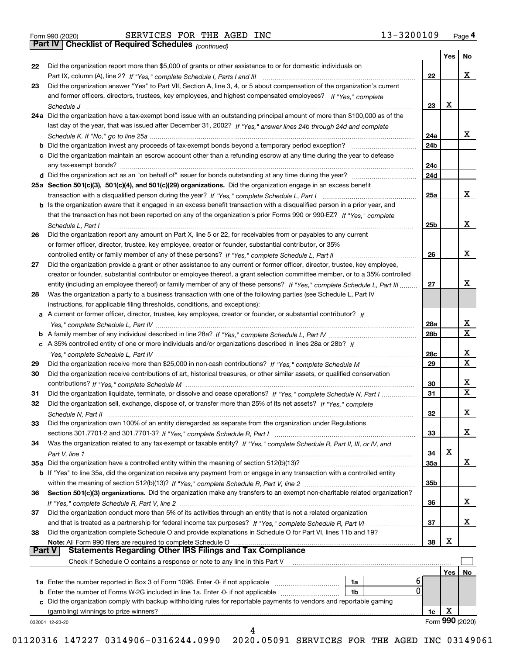|  | Form 990 (2020) |
|--|-----------------|

*(continued)*

|               |                                                                                                                                                                                                                                |                 | Yes | No              |
|---------------|--------------------------------------------------------------------------------------------------------------------------------------------------------------------------------------------------------------------------------|-----------------|-----|-----------------|
| 22            | Did the organization report more than \$5,000 of grants or other assistance to or for domestic individuals on                                                                                                                  |                 |     |                 |
|               |                                                                                                                                                                                                                                | 22              |     | x               |
| 23            | Did the organization answer "Yes" to Part VII, Section A, line 3, 4, or 5 about compensation of the organization's current                                                                                                     |                 |     |                 |
|               | and former officers, directors, trustees, key employees, and highest compensated employees? If "Yes," complete                                                                                                                 |                 |     |                 |
|               |                                                                                                                                                                                                                                | 23              | х   |                 |
|               | 24a Did the organization have a tax-exempt bond issue with an outstanding principal amount of more than \$100,000 as of the                                                                                                    |                 |     |                 |
|               | last day of the year, that was issued after December 31, 2002? If "Yes," answer lines 24b through 24d and complete                                                                                                             |                 |     |                 |
|               |                                                                                                                                                                                                                                | 24a             |     | х               |
|               |                                                                                                                                                                                                                                | 24 <sub>b</sub> |     |                 |
|               | c Did the organization maintain an escrow account other than a refunding escrow at any time during the year to defease                                                                                                         |                 |     |                 |
|               |                                                                                                                                                                                                                                | 24c             |     |                 |
|               |                                                                                                                                                                                                                                | 24d             |     |                 |
|               | 25a Section 501(c)(3), 501(c)(4), and 501(c)(29) organizations. Did the organization engage in an excess benefit                                                                                                               |                 |     |                 |
|               |                                                                                                                                                                                                                                | 25a             |     | х               |
|               | b Is the organization aware that it engaged in an excess benefit transaction with a disqualified person in a prior year, and                                                                                                   |                 |     |                 |
|               | that the transaction has not been reported on any of the organization's prior Forms 990 or 990-EZ? If "Yes," complete                                                                                                          |                 |     |                 |
|               | Schedule L, Part I                                                                                                                                                                                                             | 25 <sub>b</sub> |     | х               |
| 26            | Did the organization report any amount on Part X, line 5 or 22, for receivables from or payables to any current                                                                                                                |                 |     |                 |
|               | or former officer, director, trustee, key employee, creator or founder, substantial contributor, or 35%                                                                                                                        |                 |     |                 |
|               |                                                                                                                                                                                                                                | 26              |     | х               |
| 27            | Did the organization provide a grant or other assistance to any current or former officer, director, trustee, key employee,                                                                                                    |                 |     |                 |
|               | creator or founder, substantial contributor or employee thereof, a grant selection committee member, or to a 35% controlled                                                                                                    |                 |     |                 |
|               | entity (including an employee thereof) or family member of any of these persons? If "Yes," complete Schedule L, Part III                                                                                                       | 27              |     | х               |
| 28            | Was the organization a party to a business transaction with one of the following parties (see Schedule L, Part IV                                                                                                              |                 |     |                 |
|               | instructions, for applicable filing thresholds, conditions, and exceptions):                                                                                                                                                   |                 |     |                 |
|               | a A current or former officer, director, trustee, key employee, creator or founder, or substantial contributor? If                                                                                                             |                 |     |                 |
|               |                                                                                                                                                                                                                                | 28a             |     | х               |
|               |                                                                                                                                                                                                                                | 28b             |     | $\mathbf x$     |
|               | c A 35% controlled entity of one or more individuals and/or organizations described in lines 28a or 28b? If                                                                                                                    |                 |     |                 |
|               |                                                                                                                                                                                                                                | 28c             |     | х               |
| 29            |                                                                                                                                                                                                                                | 29              |     | $\mathbf x$     |
| 30            | Did the organization receive contributions of art, historical treasures, or other similar assets, or qualified conservation                                                                                                    |                 |     |                 |
|               |                                                                                                                                                                                                                                | 30              |     | х               |
| 31            | Did the organization liquidate, terminate, or dissolve and cease operations? If "Yes," complete Schedule N, Part I                                                                                                             | 31              |     | $\mathbf x$     |
| 32            | Did the organization sell, exchange, dispose of, or transfer more than 25% of its net assets? If "Yes," complete                                                                                                               |                 |     |                 |
|               |                                                                                                                                                                                                                                | 32              |     | х               |
| 33            | Did the organization own 100% of an entity disregarded as separate from the organization under Regulations                                                                                                                     |                 |     |                 |
|               |                                                                                                                                                                                                                                | 33              |     | х               |
| 34            | Was the organization related to any tax-exempt or taxable entity? If "Yes," complete Schedule R, Part II, III, or IV, and                                                                                                      |                 |     |                 |
|               |                                                                                                                                                                                                                                | 34              | х   |                 |
|               | 35a Did the organization have a controlled entity within the meaning of section 512(b)(13)?                                                                                                                                    | 35a             |     | X               |
|               | <b>b</b> If "Yes" to line 35a, did the organization receive any payment from or engage in any transaction with a controlled entity                                                                                             |                 |     |                 |
|               |                                                                                                                                                                                                                                | 35b             |     |                 |
| 36            | Section 501(c)(3) organizations. Did the organization make any transfers to an exempt non-charitable related organization?                                                                                                     |                 |     |                 |
|               |                                                                                                                                                                                                                                | 36              |     | x               |
| 37            | Did the organization conduct more than 5% of its activities through an entity that is not a related organization                                                                                                               |                 |     |                 |
|               |                                                                                                                                                                                                                                | 37              |     | х               |
| 38            | and that is treated as a partnership for federal income tax purposes? If "Yes," complete Schedule R, Part VI<br>Did the organization complete Schedule O and provide explanations in Schedule O for Part VI, lines 11b and 19? |                 |     |                 |
|               |                                                                                                                                                                                                                                |                 | х   |                 |
| <b>Part V</b> | Note: All Form 990 filers are required to complete Schedule O<br><b>Statements Regarding Other IRS Filings and Tax Compliance</b>                                                                                              | 38              |     |                 |
|               | Check if Schedule O contains a response or note to any line in this Part V                                                                                                                                                     |                 |     |                 |
|               |                                                                                                                                                                                                                                |                 |     |                 |
|               |                                                                                                                                                                                                                                |                 | Yes | No              |
|               | 6<br>1a Enter the number reported in Box 3 of Form 1096. Enter -0- if not applicable<br>1a<br>0                                                                                                                                |                 |     |                 |
|               | 1b                                                                                                                                                                                                                             |                 |     |                 |
|               | c Did the organization comply with backup withholding rules for reportable payments to vendors and reportable gaming                                                                                                           |                 | х   |                 |
|               | (gambling) winnings to prize winners?                                                                                                                                                                                          | 1c              |     | Form 990 (2020) |
|               | 032004 12-23-20<br>4                                                                                                                                                                                                           |                 |     |                 |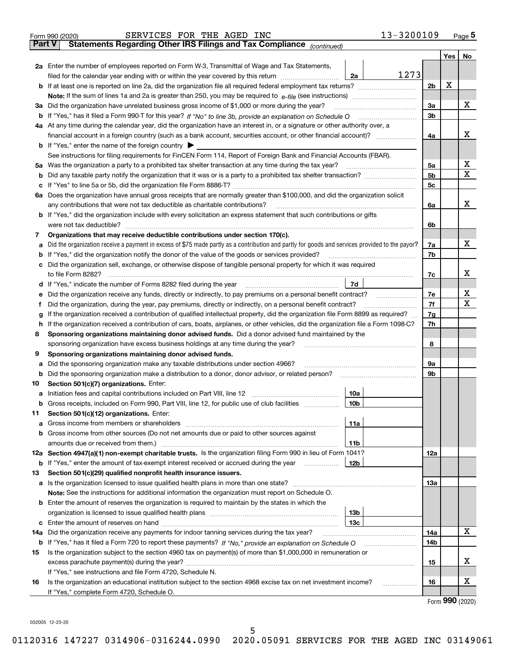|               | SERVICES FOR THE AGED INC<br>Form 990 (2020)                                                                                                      |                 | 13-3200109     |     | $_{\text{Page}}$ 5 |
|---------------|---------------------------------------------------------------------------------------------------------------------------------------------------|-----------------|----------------|-----|--------------------|
| <b>Part V</b> | Statements Regarding Other IRS Filings and Tax Compliance (continued)                                                                             |                 |                |     |                    |
|               |                                                                                                                                                   |                 |                | Yes | No                 |
|               | 2a Enter the number of employees reported on Form W-3, Transmittal of Wage and Tax Statements,                                                    |                 |                |     |                    |
|               | filed for the calendar year ending with or within the year covered by this return <i>manumumumum</i>                                              | 2a              | 1273           |     |                    |
|               |                                                                                                                                                   |                 | 2b             | х   |                    |
|               |                                                                                                                                                   |                 |                |     |                    |
|               | 3a Did the organization have unrelated business gross income of \$1,000 or more during the year?                                                  |                 | 3a             |     | х                  |
|               |                                                                                                                                                   |                 | 3b             |     |                    |
|               | 4a At any time during the calendar year, did the organization have an interest in, or a signature or other authority over, a                      |                 |                |     |                    |
|               |                                                                                                                                                   |                 | 4a             |     | х                  |
|               | <b>b</b> If "Yes," enter the name of the foreign country $\blacktriangleright$                                                                    |                 |                |     |                    |
|               | See instructions for filing requirements for FinCEN Form 114, Report of Foreign Bank and Financial Accounts (FBAR).                               |                 |                |     |                    |
|               |                                                                                                                                                   |                 |                |     | х                  |
|               | 5a Was the organization a party to a prohibited tax shelter transaction at any time during the tax year?                                          |                 | 5а             |     | X                  |
|               |                                                                                                                                                   |                 | 5 <sub>b</sub> |     |                    |
|               |                                                                                                                                                   |                 | 5c             |     |                    |
|               | 6a Does the organization have annual gross receipts that are normally greater than \$100,000, and did the organization solicit                    |                 |                |     |                    |
|               | any contributions that were not tax deductible as charitable contributions?                                                                       |                 | 6a             |     | x                  |
|               | <b>b</b> If "Yes," did the organization include with every solicitation an express statement that such contributions or gifts                     |                 |                |     |                    |
|               | were not tax deductible?                                                                                                                          |                 | 6b             |     |                    |
| 7             | Organizations that may receive deductible contributions under section 170(c).                                                                     |                 |                |     |                    |
|               | a Did the organization receive a payment in excess of \$75 made partly as a contribution and partly for goods and services provided to the payor? |                 | 7a             |     | х                  |
|               | <b>b</b> If "Yes," did the organization notify the donor of the value of the goods or services provided?                                          |                 | 7b             |     |                    |
|               | c Did the organization sell, exchange, or otherwise dispose of tangible personal property for which it was required                               |                 |                |     |                    |
|               |                                                                                                                                                   |                 | 7c             |     | х                  |
|               |                                                                                                                                                   | 7d              |                |     |                    |
| е             |                                                                                                                                                   |                 | 7е             |     | х                  |
| Ť.            | Did the organization, during the year, pay premiums, directly or indirectly, on a personal benefit contract?                                      |                 | 7f             |     | х                  |
| g             | If the organization received a contribution of qualified intellectual property, did the organization file Form 8899 as required?                  |                 | 7g             |     |                    |
|               | h If the organization received a contribution of cars, boats, airplanes, or other vehicles, did the organization file a Form 1098-C?              |                 | 7h             |     |                    |
| 8             | Sponsoring organizations maintaining donor advised funds. Did a donor advised fund maintained by the                                              |                 |                |     |                    |
|               | sponsoring organization have excess business holdings at any time during the year?                                                                |                 | 8              |     |                    |
| 9             | Sponsoring organizations maintaining donor advised funds.                                                                                         |                 |                |     |                    |
| а             | Did the sponsoring organization make any taxable distributions under section 4966?                                                                |                 | 9а             |     |                    |
|               | <b>b</b> Did the sponsoring organization make a distribution to a donor, donor advisor, or related person?                                        |                 | 9b             |     |                    |
| 10            | Section 501(c)(7) organizations. Enter:                                                                                                           |                 |                |     |                    |
|               |                                                                                                                                                   | 10a             |                |     |                    |
|               | Gross receipts, included on Form 990, Part VIII, line 12, for public use of club facilities                                                       | 10 <sub>b</sub> |                |     |                    |
| 11            | Section 501(c)(12) organizations. Enter:                                                                                                          |                 |                |     |                    |
|               |                                                                                                                                                   | 11a             |                |     |                    |
|               | b Gross income from other sources (Do not net amounts due or paid to other sources against                                                        |                 |                |     |                    |
|               |                                                                                                                                                   | 11b             |                |     |                    |
|               | 12a Section 4947(a)(1) non-exempt charitable trusts. Is the organization filing Form 990 in lieu of Form 1041?                                    |                 | 12a            |     |                    |
|               | <b>b</b> If "Yes," enter the amount of tax-exempt interest received or accrued during the year                                                    | 12b             |                |     |                    |
| 13            | Section 501(c)(29) qualified nonprofit health insurance issuers.                                                                                  |                 |                |     |                    |
|               | a Is the organization licensed to issue qualified health plans in more than one state?                                                            |                 | 13a            |     |                    |
|               | Note: See the instructions for additional information the organization must report on Schedule O.                                                 |                 |                |     |                    |
|               | <b>b</b> Enter the amount of reserves the organization is required to maintain by the states in which the                                         |                 |                |     |                    |
|               |                                                                                                                                                   | 13b             |                |     |                    |
|               |                                                                                                                                                   | 13с             |                |     |                    |
| 14a           | Did the organization receive any payments for indoor tanning services during the tax year?                                                        |                 | 14a            |     | x                  |
|               | <b>b</b> If "Yes," has it filed a Form 720 to report these payments? If "No," provide an explanation on Schedule O                                |                 | 14b            |     |                    |
| 15            | Is the organization subject to the section 4960 tax on payment(s) of more than \$1,000,000 in remuneration or                                     |                 |                |     |                    |
|               |                                                                                                                                                   |                 | 15             |     | x                  |
|               | If "Yes," see instructions and file Form 4720, Schedule N.                                                                                        |                 |                |     |                    |
| 16            | Is the organization an educational institution subject to the section 4968 excise tax on net investment income?                                   |                 | 16             |     | х                  |
|               | If "Yes," complete Form 4720, Schedule O.                                                                                                         |                 |                |     |                    |
|               |                                                                                                                                                   |                 |                |     | Form 990 (2020)    |

032005 12-23-20

5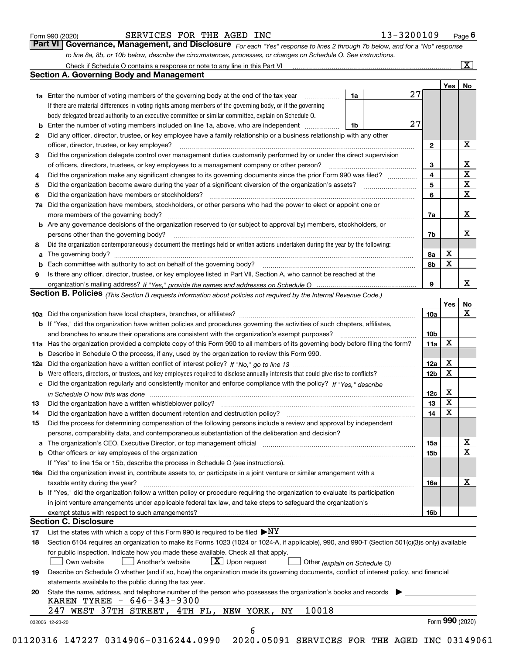|  | Form 990 (2020) |
|--|-----------------|
|  |                 |

# SERVICES FOR THE AGED INC 13-3200109

*For each "Yes" response to lines 2 through 7b below, and for a "No" response to line 8a, 8b, or 10b below, describe the circumstances, processes, or changes on Schedule O. See instructions.* Form 990 (2020) **CONVERT BERVICES FOR THE AGED INC 13-3200109** Page **6**<br>**Part VI Governance, Management, and Disclosure** For each "Yes" response to lines 2 through 7b below, and for a "No" response

|    |                                                                                                                                                                               |    |    |                 | Yes             | No                      |
|----|-------------------------------------------------------------------------------------------------------------------------------------------------------------------------------|----|----|-----------------|-----------------|-------------------------|
|    | <b>1a</b> Enter the number of voting members of the governing body at the end of the tax year <i>manumum</i>                                                                  | 1a | 27 |                 |                 |                         |
|    | If there are material differences in voting rights among members of the governing body, or if the governing                                                                   |    |    |                 |                 |                         |
|    | body delegated broad authority to an executive committee or similar committee, explain on Schedule O.                                                                         |    |    |                 |                 |                         |
| b  | Enter the number of voting members included on line 1a, above, who are independent                                                                                            | 1b | 27 |                 |                 |                         |
| 2  | Did any officer, director, trustee, or key employee have a family relationship or a business relationship with any other                                                      |    |    |                 |                 |                         |
|    | officer, director, trustee, or key employee?                                                                                                                                  |    |    | $\mathbf{2}$    |                 | X                       |
| 3  | Did the organization delegate control over management duties customarily performed by or under the direct supervision                                                         |    |    |                 |                 |                         |
|    |                                                                                                                                                                               |    |    | 3               |                 | X                       |
| 4  | Did the organization make any significant changes to its governing documents since the prior Form 990 was filed?                                                              |    |    | 4               |                 | $\overline{\mathbf{x}}$ |
| 5  |                                                                                                                                                                               |    |    | 5               |                 | $\mathbf X$             |
| 6  | Did the organization have members or stockholders?                                                                                                                            |    |    | 6               |                 | $\mathbf X$             |
| 7a | Did the organization have members, stockholders, or other persons who had the power to elect or appoint one or                                                                |    |    |                 |                 |                         |
|    |                                                                                                                                                                               |    |    | 7a              |                 | X                       |
|    | <b>b</b> Are any governance decisions of the organization reserved to (or subject to approval by) members, stockholders, or                                                   |    |    |                 |                 |                         |
|    | persons other than the governing body?                                                                                                                                        |    |    | 7b              |                 | X                       |
| 8  | Did the organization contemporaneously document the meetings held or written actions undertaken during the year by the following:                                             |    |    |                 |                 |                         |
| a  |                                                                                                                                                                               |    |    | 8a              | X               |                         |
| b  |                                                                                                                                                                               |    |    | 8b              | X               |                         |
| 9  | Is there any officer, director, trustee, or key employee listed in Part VII, Section A, who cannot be reached at the                                                          |    |    |                 |                 |                         |
|    |                                                                                                                                                                               |    |    | 9               |                 | х                       |
|    | Section B. Policies <sub>(This Section B requests information about policies not required by the Internal Revenue Code.)</sub>                                                |    |    |                 |                 |                         |
|    |                                                                                                                                                                               |    |    |                 | Yes             | No                      |
|    |                                                                                                                                                                               |    |    | 10a             |                 | X                       |
|    | <b>b</b> If "Yes," did the organization have written policies and procedures governing the activities of such chapters, affiliates,                                           |    |    |                 |                 |                         |
|    |                                                                                                                                                                               |    |    | 10b             |                 |                         |
|    | 11a Has the organization provided a complete copy of this Form 990 to all members of its governing body before filing the form?                                               |    |    | 11a             | X               |                         |
|    | <b>b</b> Describe in Schedule O the process, if any, used by the organization to review this Form 990.                                                                        |    |    |                 |                 |                         |
|    |                                                                                                                                                                               |    |    | 12a             | X               |                         |
| b  |                                                                                                                                                                               |    |    | 12b             | X               |                         |
| c  | Did the organization regularly and consistently monitor and enforce compliance with the policy? If "Yes," describe                                                            |    |    |                 |                 |                         |
|    | in Schedule O how this was done manufactured and contact the state of the state of the state of the state of t                                                                |    |    | 12c             | X               |                         |
| 13 |                                                                                                                                                                               |    |    | 13              | X               |                         |
| 14 | Did the organization have a written document retention and destruction policy? manufactured and the organization have a written document retention and destruction policy?    |    |    | 14              | X               |                         |
| 15 | Did the process for determining compensation of the following persons include a review and approval by independent                                                            |    |    |                 |                 |                         |
|    | persons, comparability data, and contemporaneous substantiation of the deliberation and decision?                                                                             |    |    |                 |                 |                         |
| а  | The organization's CEO, Executive Director, or top management official manufactured content content of the organization's CEO, Executive Director, or top management official |    |    | 15a             |                 | X                       |
|    | <b>b</b> Other officers or key employees of the organization                                                                                                                  |    |    | 15 <sub>b</sub> |                 | $\mathbf X$             |
|    | If "Yes" to line 15a or 15b, describe the process in Schedule O (see instructions).                                                                                           |    |    |                 |                 |                         |
|    | 16a Did the organization invest in, contribute assets to, or participate in a joint venture or similar arrangement with a                                                     |    |    |                 |                 |                         |
|    | taxable entity during the year?                                                                                                                                               |    |    | 16a             |                 | X                       |
|    | b If "Yes," did the organization follow a written policy or procedure requiring the organization to evaluate its participation                                                |    |    |                 |                 |                         |
|    | in joint venture arrangements under applicable federal tax law, and take steps to safeguard the organization's                                                                |    |    |                 |                 |                         |
|    | exempt status with respect to such arrangements?                                                                                                                              |    |    | 16b             |                 |                         |
|    | <b>Section C. Disclosure</b>                                                                                                                                                  |    |    |                 |                 |                         |
| 17 | List the states with which a copy of this Form 990 is required to be filed $\blacktriangleright$ NY                                                                           |    |    |                 |                 |                         |
| 18 | Section 6104 requires an organization to make its Forms 1023 (1024 or 1024-A, if applicable), 990, and 990-T (Section 501(c)(3)s only) available                              |    |    |                 |                 |                         |
|    | for public inspection. Indicate how you made these available. Check all that apply.                                                                                           |    |    |                 |                 |                         |
|    | $X$ Upon request<br>Another's website<br>Own website<br>Other (explain on Schedule O)                                                                                         |    |    |                 |                 |                         |
| 19 | Describe on Schedule O whether (and if so, how) the organization made its governing documents, conflict of interest policy, and financial                                     |    |    |                 |                 |                         |
|    | statements available to the public during the tax year.                                                                                                                       |    |    |                 |                 |                         |
| 20 | State the name, address, and telephone number of the person who possesses the organization's books and records<br>KAREN TYREE - 646-343-9300                                  |    |    |                 |                 |                         |
|    | 10018<br>247 WEST 37TH STREET, 4TH FL, NEW YORK, NY                                                                                                                           |    |    |                 |                 |                         |
|    |                                                                                                                                                                               |    |    |                 | Form 990 (2020) |                         |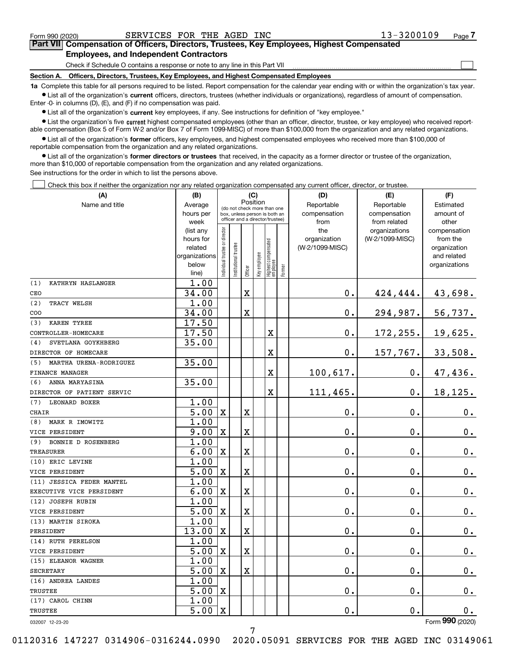$\mathcal{L}^{\text{max}}$ 

# **7Part VII Compensation of Officers, Directors, Trustees, Key Employees, Highest Compensated Employees, and Independent Contractors**

Check if Schedule O contains a response or note to any line in this Part VII

**Section A. Officers, Directors, Trustees, Key Employees, and Highest Compensated Employees**

**1a**  Complete this table for all persons required to be listed. Report compensation for the calendar year ending with or within the organization's tax year. **•** List all of the organization's current officers, directors, trustees (whether individuals or organizations), regardless of amount of compensation.

Enter -0- in columns (D), (E), and (F) if no compensation was paid.

 $\bullet$  List all of the organization's  $\,$ current key employees, if any. See instructions for definition of "key employee."

**•** List the organization's five current highest compensated employees (other than an officer, director, trustee, or key employee) who received reportable compensation (Box 5 of Form W-2 and/or Box 7 of Form 1099-MISC) of more than \$100,000 from the organization and any related organizations.

**•** List all of the organization's former officers, key employees, and highest compensated employees who received more than \$100,000 of reportable compensation from the organization and any related organizations.

**former directors or trustees**  ¥ List all of the organization's that received, in the capacity as a former director or trustee of the organization, more than \$10,000 of reportable compensation from the organization and any related organizations.

See instructions for the order in which to list the persons above.

Check this box if neither the organization nor any related organization compensated any current officer, director, or trustee.  $\mathcal{L}^{\text{max}}$ 

| (A)                           | (B)                    |                               |                                                                  | (C)                     |                              |                                 |           | (D)                 | (E)                              | (F)                      |
|-------------------------------|------------------------|-------------------------------|------------------------------------------------------------------|-------------------------|------------------------------|---------------------------------|-----------|---------------------|----------------------------------|--------------------------|
| Name and title                | Average                |                               | Position<br>(do not check more than one                          |                         | Reportable                   | Reportable                      | Estimated |                     |                                  |                          |
|                               | hours per              |                               | box, unless person is both an<br>officer and a director/trustee) |                         | compensation<br>compensation |                                 | amount of |                     |                                  |                          |
|                               | week                   |                               |                                                                  |                         |                              |                                 |           | from                | from related                     | other                    |
|                               | (list any<br>hours for |                               |                                                                  |                         |                              |                                 |           | the<br>organization | organizations<br>(W-2/1099-MISC) | compensation<br>from the |
|                               | related                |                               |                                                                  |                         |                              |                                 |           | (W-2/1099-MISC)     |                                  | organization             |
|                               | organizations          |                               |                                                                  |                         |                              |                                 |           |                     |                                  | and related              |
|                               | below                  | ndividual trustee or director | In stitutional trustee                                           |                         | Key employee                 | Highest compensated<br>employee |           |                     |                                  | organizations            |
|                               | line)                  |                               |                                                                  | Officer                 |                              |                                 | Former    |                     |                                  |                          |
| (1)<br>KATHRYN HASLANGER      | 1.00                   |                               |                                                                  |                         |                              |                                 |           |                     |                                  |                          |
| CEO                           | 34.00                  |                               |                                                                  | $\mathbf X$             |                              |                                 |           | $\mathbf{0}$ .      | 424,444.                         | 43,698.                  |
| (2)<br>TRACY WELSH            | 1.00                   |                               |                                                                  |                         |                              |                                 |           |                     |                                  |                          |
| COO                           | 34.00                  |                               |                                                                  | Χ                       |                              |                                 |           | $\mathbf 0$ .       | 294,987.                         | 56,737.                  |
| (3)<br>KAREN TYREE            | 17.50                  |                               |                                                                  |                         |                              |                                 |           |                     |                                  |                          |
| CONTROLLER-HOMECARE           | 17.50                  |                               |                                                                  |                         |                              | $\mathbf X$                     |           | $\mathbf 0$ .       | 172,255.                         | 19,625.                  |
| SVETLANA GOYKHBERG<br>(4)     | 35.00                  |                               |                                                                  |                         |                              |                                 |           |                     |                                  |                          |
| DIRECTOR OF HOMECARE          |                        |                               |                                                                  |                         |                              | $\overline{\textbf{X}}$         |           | 0.                  | 157,767.                         | 33,508.                  |
| MARTHA URENA-RODRIGUEZ<br>(5) | 35.00                  |                               |                                                                  |                         |                              |                                 |           |                     |                                  |                          |
| FINANCE MANAGER               |                        |                               |                                                                  |                         |                              | X                               |           | 100,617.            | $\mathbf 0$ .                    | 47,436.                  |
| ANNA MARYASINA<br>(6)         | 35.00                  |                               |                                                                  |                         |                              |                                 |           |                     |                                  |                          |
| DIRECTOR OF PATIENT SERVIC    |                        |                               |                                                                  |                         |                              | $\overline{\textbf{X}}$         |           | 111,465.            | 0.                               | 18,125.                  |
| <b>LEONARD BOXER</b><br>(7)   | 1.00                   |                               |                                                                  |                         |                              |                                 |           |                     |                                  |                          |
| <b>CHAIR</b>                  | 5.00                   | $\mathbf X$                   |                                                                  | X                       |                              |                                 |           | 0.                  | 0.                               | $0_{.}$                  |
| MARK R IMOWITZ<br>(8)         | 1.00                   |                               |                                                                  |                         |                              |                                 |           |                     |                                  |                          |
| VICE PERSIDENT                | 9.00                   | $\mathbf X$                   |                                                                  | X                       |                              |                                 |           | $\mathbf 0$ .       | 0.                               | 0.                       |
| (9)<br>BONNIE D ROSENBERG     | 1.00                   |                               |                                                                  |                         |                              |                                 |           |                     |                                  |                          |
| <b>TREASURER</b>              | 6.00                   | X                             |                                                                  | Χ                       |                              |                                 |           | $\mathbf 0$ .       | 0.                               | 0.                       |
| (10) ERIC LEVINE              | 1.00                   |                               |                                                                  |                         |                              |                                 |           |                     |                                  |                          |
| VICE PERSIDENT                | 5.00                   | X                             |                                                                  | $\overline{\textbf{X}}$ |                              |                                 |           | $\mathbf 0$ .       | 0.                               | 0.                       |
| (11) JESSICA FEDER MANTEL     | 1.00                   |                               |                                                                  |                         |                              |                                 |           |                     |                                  |                          |
| EXECUTIVE VICE PERSIDENT      | 6.00                   | X                             |                                                                  | X                       |                              |                                 |           | $\mathbf 0$ .       | Ο.                               | 0.                       |
| (12) JOSEPH RUBIN             | 1.00                   |                               |                                                                  |                         |                              |                                 |           |                     |                                  |                          |
| VICE PERSIDENT                | 5.00                   | $\mathbf X$                   |                                                                  | X                       |                              |                                 |           | $\mathbf 0$ .       | 0.                               | $0_{.}$                  |
| (13) MARTIN SIROKA            | 1.00                   |                               |                                                                  |                         |                              |                                 |           |                     |                                  |                          |
| PERSIDENT                     | 13.00                  | $\mathbf X$                   |                                                                  | X                       |                              |                                 |           | $\mathbf 0$ .       | 0.                               | $0_{.}$                  |
| (14) RUTH PERELSON            | 1.00                   |                               |                                                                  |                         |                              |                                 |           |                     |                                  |                          |
| VICE PERSIDENT                | 5.00                   | X                             |                                                                  | $\mathbf X$             |                              |                                 |           | $\mathbf 0$ .       | 0.                               | $\mathbf 0$ .            |
| (15) ELEANOR WAGNER           | 1.00                   |                               |                                                                  |                         |                              |                                 |           |                     |                                  |                          |
| <b>SECRETARY</b>              | $\overline{5.00}$      | $\mathbf X$                   |                                                                  | X                       |                              |                                 |           | $\mathbf 0$ .       | 0.                               | 0.                       |
| (16) ANDREA LANDES            | 1.00                   |                               |                                                                  |                         |                              |                                 |           |                     |                                  |                          |
| <b>TRUSTEE</b>                | $\overline{5.00}$      | $\mathbf X$                   |                                                                  |                         |                              |                                 |           | $\mathbf 0$ .       | 0.                               | $\mathbf 0$ .            |
| (17) CAROL CHINN              | 1.00                   |                               |                                                                  |                         |                              |                                 |           |                     |                                  |                          |
| <b>TRUSTEE</b>                | 5.00                   | $\mathbf X$                   |                                                                  |                         |                              |                                 |           | $\mathbf{0}$ .      | 0.                               | 0.<br>$\overline{2}$     |

032007 12-23-20

7

Form (2020) **990**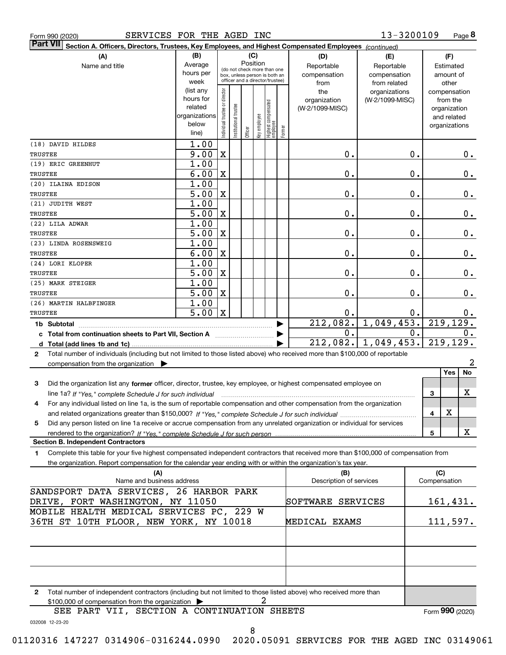|  | Form 990 (2020) |
|--|-----------------|
|  |                 |

| SERVICES FOR THE AGED INC<br>Form 990 (2020)                                                                                                         |                          |                               |                      |          |              |                                                              |                       |                 | 13-3200109            |     | Page 8                       |  |
|------------------------------------------------------------------------------------------------------------------------------------------------------|--------------------------|-------------------------------|----------------------|----------|--------------|--------------------------------------------------------------|-----------------------|-----------------|-----------------------|-----|------------------------------|--|
| <b>Part VII</b><br>Section A. Officers, Directors, Trustees, Key Employees, and Highest Compensated Employees (continued)                            |                          |                               |                      |          |              |                                                              |                       |                 |                       |     |                              |  |
| (A)                                                                                                                                                  | (B)                      |                               |                      |          | (C)          |                                                              |                       | (D)             | (E)                   |     | (F)                          |  |
| Name and title                                                                                                                                       | Average                  |                               |                      | Position |              |                                                              |                       | Reportable      | Reportable            |     | Estimated                    |  |
|                                                                                                                                                      | hours per                |                               |                      |          |              | (do not check more than one<br>box, unless person is both an |                       | compensation    | compensation          |     | amount of                    |  |
|                                                                                                                                                      | week                     |                               |                      |          |              | officer and a director/trustee)                              |                       | from            | from related          |     | other                        |  |
|                                                                                                                                                      | (list any                |                               |                      |          |              |                                                              |                       | the             | organizations         |     | compensation                 |  |
|                                                                                                                                                      | hours for                |                               |                      |          |              |                                                              |                       | organization    | (W-2/1099-MISC)       |     | from the                     |  |
|                                                                                                                                                      | related<br>organizations |                               |                      |          |              |                                                              |                       | (W-2/1099-MISC) |                       |     | organization                 |  |
|                                                                                                                                                      | below                    |                               |                      |          |              |                                                              |                       |                 |                       |     | and related<br>organizations |  |
|                                                                                                                                                      | line)                    | ndividual trustee or director | nstitutional trustee | Officer  | Key employee | Highest compensated<br>employee                              | Former                |                 |                       |     |                              |  |
| (18) DAVID HILDES                                                                                                                                    | 1.00                     |                               |                      |          |              |                                                              |                       |                 |                       |     |                              |  |
| TRUSTEE                                                                                                                                              | 9.00                     | X                             |                      |          |              |                                                              |                       | 0.              | 0.                    |     | 0.                           |  |
| (19) ERIC GREENHUT                                                                                                                                   | 1.00                     |                               |                      |          |              |                                                              |                       |                 |                       |     |                              |  |
| TRUSTEE                                                                                                                                              | 6.00                     | $\mathbf X$                   |                      |          |              |                                                              |                       | 0.              | 0.                    |     | $0$ .                        |  |
| (20) ILAINA EDISON                                                                                                                                   | 1.00                     |                               |                      |          |              |                                                              |                       |                 |                       |     |                              |  |
| TRUSTEE                                                                                                                                              | 5.00                     | $\mathbf X$                   |                      |          |              |                                                              |                       | 0.              | 0.                    |     | 0.                           |  |
| (21) JUDITH WEST                                                                                                                                     | 1.00                     |                               |                      |          |              |                                                              |                       |                 |                       |     |                              |  |
| TRUSTEE                                                                                                                                              | 5.00                     | $\mathbf X$                   |                      |          |              |                                                              |                       | 0.              | 0.                    |     | 0.                           |  |
| (22) LILA ADWAR                                                                                                                                      | 1.00                     |                               |                      |          |              |                                                              |                       |                 |                       |     |                              |  |
| TRUSTEE                                                                                                                                              | 5.00                     | $\mathbf X$                   |                      |          |              |                                                              |                       | 0.              | $0$ .                 |     | 0.                           |  |
| (23) LINDA ROSENSWEIG                                                                                                                                | 1.00                     |                               |                      |          |              |                                                              |                       |                 |                       |     |                              |  |
| <b>TRUSTEE</b>                                                                                                                                       | 6.00                     | $\mathbf X$                   |                      |          |              |                                                              |                       | 0.              | $0$ .                 |     | 0.                           |  |
| (24) LORI KLOPER                                                                                                                                     | 1.00                     |                               |                      |          |              |                                                              |                       |                 |                       |     |                              |  |
| <b>TRUSTEE</b>                                                                                                                                       | 5.00                     | $\mathbf X$                   |                      |          |              |                                                              |                       | 0.              | $0$ .                 |     | 0.                           |  |
| (25) MARK STEIGER                                                                                                                                    | 1.00                     |                               |                      |          |              |                                                              |                       |                 |                       |     |                              |  |
| TRUSTEE                                                                                                                                              | 5.00                     | $\mathbf X$                   |                      |          |              |                                                              |                       | 0.              | 0.                    |     | 0.                           |  |
| (26) MARTIN HALBFINGER                                                                                                                               | 1.00                     |                               |                      |          |              |                                                              |                       |                 |                       |     |                              |  |
| TRUSTEE                                                                                                                                              | 5.00                     | $\mathbf{X}$                  |                      |          |              |                                                              |                       | 0.              | 0.                    |     | $0 \cdot$                    |  |
| 1b Subtotal                                                                                                                                          |                          |                               |                      |          |              |                                                              |                       | 212,082.        | 1,049,453.            |     | 219, 129.                    |  |
| c Total from continuation sheets to Part VII, Section A manufactured and response Total from extension                                               |                          |                               |                      |          |              |                                                              | $\blacktriangleright$ | 0.              | $\overline{0}$ .      |     | 0.                           |  |
|                                                                                                                                                      |                          |                               |                      |          |              |                                                              |                       |                 | $212,082.$ 1,049,453. |     | 219, 129.                    |  |
| Total number of individuals (including but not limited to those listed above) who received more than \$100,000 of reportable<br>$\mathbf{2}$         |                          |                               |                      |          |              |                                                              |                       |                 |                       |     |                              |  |
| compensation from the organization $\blacktriangleright$                                                                                             |                          |                               |                      |          |              |                                                              |                       |                 |                       |     | 2<br>No<br>Yes               |  |
|                                                                                                                                                      |                          |                               |                      |          |              |                                                              |                       |                 |                       |     |                              |  |
| 3<br>Did the organization list any former officer, director, trustee, key employee, or highest compensated employee on                               |                          |                               |                      |          |              |                                                              |                       |                 |                       |     | x                            |  |
| line 1a? If "Yes," complete Schedule J for such individual manufactured contained and the line 1a? If "Yes," complete Schedule J for such individual |                          |                               |                      |          |              |                                                              |                       |                 |                       | 3   |                              |  |
| For any individual listed on line 1a, is the sum of reportable compensation and other compensation from the organization                             |                          |                               |                      |          |              |                                                              |                       |                 |                       |     | х                            |  |
| Did any person listed on line 1a receive or accrue compensation from any unrelated organization or individual for services                           |                          |                               |                      |          |              |                                                              |                       |                 |                       | 4   |                              |  |
| 5                                                                                                                                                    |                          |                               |                      |          |              |                                                              |                       |                 |                       | 5   | X                            |  |
| <b>Section B. Independent Contractors</b>                                                                                                            |                          |                               |                      |          |              |                                                              |                       |                 |                       |     |                              |  |
| Complete this table for your five highest compensated independent contractors that received more than \$100,000 of compensation from<br>1.           |                          |                               |                      |          |              |                                                              |                       |                 |                       |     |                              |  |
| the organization. Report compensation for the calendar year ending with or within the organization's tax year.                                       |                          |                               |                      |          |              |                                                              |                       |                 |                       |     |                              |  |
| (A)                                                                                                                                                  |                          |                               |                      |          |              |                                                              |                       | (B)             |                       | (C) |                              |  |
| Name and business address<br>Description of services<br>Compensation                                                                                 |                          |                               |                      |          |              |                                                              |                       |                 |                       |     |                              |  |
| SANDSPORT DATA SERVICES, 26 HARBOR PARK                                                                                                              |                          |                               |                      |          |              |                                                              |                       |                 |                       |     |                              |  |
| DRIVE, FORT WASHINGTON, NY 11050<br>SOFTWARE SERVICES<br><u>161,431.</u>                                                                             |                          |                               |                      |          |              |                                                              |                       |                 |                       |     |                              |  |
| MOBILE HEALTH MEDICAL SERVICES PC, 229 W                                                                                                             |                          |                               |                      |          |              |                                                              |                       |                 |                       |     |                              |  |
| 36TH ST 10TH FLOOR, NEW YORK, NY 10018<br>111,597.<br>MEDICAL EXAMS                                                                                  |                          |                               |                      |          |              |                                                              |                       |                 |                       |     |                              |  |
|                                                                                                                                                      |                          |                               |                      |          |              |                                                              |                       |                 |                       |     |                              |  |
|                                                                                                                                                      |                          |                               |                      |          |              |                                                              |                       |                 |                       |     |                              |  |
|                                                                                                                                                      |                          |                               |                      |          |              |                                                              |                       |                 |                       |     |                              |  |
|                                                                                                                                                      |                          |                               |                      |          |              |                                                              |                       |                 |                       |     |                              |  |

**2**Total number of independent contractors (including but not limited to those listed above) who received more than \$100,000 of compensation from the organization 2

Form (2020) **990**

SEE PART VII, SECTION A CONTINUATION SHEETS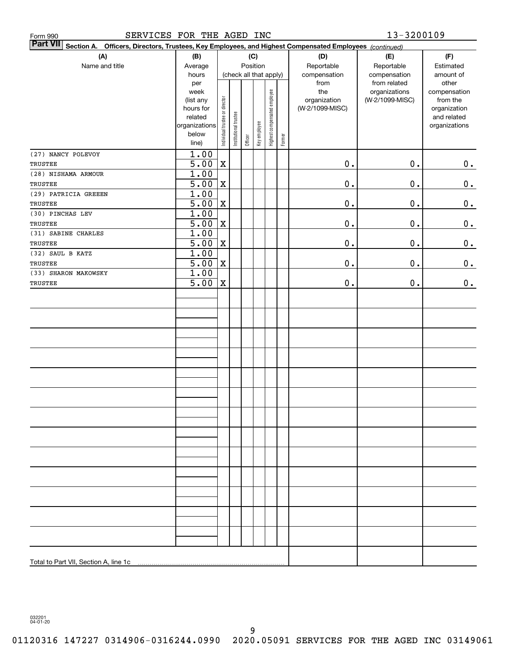| SERVICES FOR THE AGED INC<br>Form 990                                                                                     |                                                                                              | 13-3200109                     |                                                 |         |              |                              |                   |                                                                |                                                                  |                                                                                                |
|---------------------------------------------------------------------------------------------------------------------------|----------------------------------------------------------------------------------------------|--------------------------------|-------------------------------------------------|---------|--------------|------------------------------|-------------------|----------------------------------------------------------------|------------------------------------------------------------------|------------------------------------------------------------------------------------------------|
| <b>Part VII</b><br>Section A. Officers, Directors, Trustees, Key Employees, and Highest Compensated Employees (continued) |                                                                                              |                                |                                                 |         |              |                              |                   |                                                                |                                                                  |                                                                                                |
| (A)<br>Name and title                                                                                                     | (B)<br>Average                                                                               | (C)<br>Position                |                                                 |         |              |                              | (D)<br>Reportable | (E)<br>Reportable                                              | (F)<br>Estimated                                                 |                                                                                                |
|                                                                                                                           | hours<br>per<br>week<br>(list any<br>hours for<br>related<br>organizations<br>below<br>line) | Individual trustee or director | (check all that apply)<br>Institutional trustee | Officer | Key employee | Highest compensated employee | Former            | compensation<br>from<br>the<br>organization<br>(W-2/1099-MISC) | compensation<br>from related<br>organizations<br>(W-2/1099-MISC) | amount of<br>other<br>compensation<br>from the<br>organization<br>and related<br>organizations |
| (27) NANCY POLEVOY<br>TRUSTEE                                                                                             | 1.00<br>$\overline{5.00}$                                                                    | X                              |                                                 |         |              |                              |                   | $\mathbf 0$ .                                                  | $\mathbf 0$ .                                                    | 0.                                                                                             |
| (28) NISHAMA ARMOUR                                                                                                       | 1.00                                                                                         |                                |                                                 |         |              |                              |                   |                                                                |                                                                  |                                                                                                |
| TRUSTEE                                                                                                                   | 5.00                                                                                         | $\mathbf X$                    |                                                 |         |              |                              |                   | $\mathbf 0$ .                                                  | $\mathbf 0$ .                                                    | $\mathbf 0$ .                                                                                  |
| (29) PATRICIA GREEEN                                                                                                      | 1.00                                                                                         |                                |                                                 |         |              |                              |                   |                                                                |                                                                  |                                                                                                |
| TRUSTEE                                                                                                                   | $\overline{5.00}$                                                                            | X                              |                                                 |         |              |                              |                   | $\mathbf 0$ .                                                  | $\mathbf 0$ .                                                    | 0.                                                                                             |
| (30) PINCHAS LEV                                                                                                          | 1.00                                                                                         |                                |                                                 |         |              |                              |                   |                                                                |                                                                  |                                                                                                |
| TRUSTEE                                                                                                                   | $\overline{5.00}$                                                                            | $\mathbf X$                    |                                                 |         |              |                              |                   | $\mathbf 0$ .                                                  | $\mathbf 0$ .                                                    | $\mathbf 0$ .                                                                                  |
| (31) SABINE CHARLES                                                                                                       | 1.00                                                                                         |                                |                                                 |         |              |                              |                   |                                                                |                                                                  |                                                                                                |
| TRUSTEE                                                                                                                   | $\overline{5.00}$                                                                            | X                              |                                                 |         |              |                              |                   | $\mathbf 0$ .                                                  | $\mathbf 0$ .                                                    | 0.                                                                                             |
| (32) SAUL B KATZ                                                                                                          | 1.00                                                                                         |                                |                                                 |         |              |                              |                   |                                                                |                                                                  |                                                                                                |
| TRUSTEE                                                                                                                   | $\overline{5.00}$                                                                            | $\mathbf X$                    |                                                 |         |              |                              |                   | $\mathbf 0$ .                                                  | $\mathbf 0$ .                                                    | 0.                                                                                             |
| (33) SHARON MAKOWSKY                                                                                                      | 1.00<br>$\overline{5.00}$                                                                    | X                              |                                                 |         |              |                              |                   | $\mathbf 0$ .                                                  | $\mathbf 0$ .                                                    |                                                                                                |
| TRUSTEE                                                                                                                   |                                                                                              |                                |                                                 |         |              |                              |                   |                                                                |                                                                  | 0.                                                                                             |
|                                                                                                                           |                                                                                              |                                |                                                 |         |              |                              |                   |                                                                |                                                                  |                                                                                                |
|                                                                                                                           |                                                                                              |                                |                                                 |         |              |                              |                   |                                                                |                                                                  |                                                                                                |
|                                                                                                                           |                                                                                              |                                |                                                 |         |              |                              |                   |                                                                |                                                                  |                                                                                                |
|                                                                                                                           |                                                                                              |                                |                                                 |         |              |                              |                   |                                                                |                                                                  |                                                                                                |
|                                                                                                                           |                                                                                              |                                |                                                 |         |              |                              |                   |                                                                |                                                                  |                                                                                                |
|                                                                                                                           |                                                                                              |                                |                                                 |         |              |                              |                   |                                                                |                                                                  |                                                                                                |
|                                                                                                                           |                                                                                              |                                |                                                 |         |              |                              |                   |                                                                |                                                                  |                                                                                                |
|                                                                                                                           |                                                                                              |                                |                                                 |         |              |                              |                   |                                                                |                                                                  |                                                                                                |
|                                                                                                                           |                                                                                              |                                |                                                 |         |              |                              |                   |                                                                |                                                                  |                                                                                                |
|                                                                                                                           |                                                                                              |                                |                                                 |         |              |                              |                   |                                                                |                                                                  |                                                                                                |
|                                                                                                                           |                                                                                              |                                |                                                 |         |              |                              |                   |                                                                |                                                                  |                                                                                                |
|                                                                                                                           |                                                                                              |                                |                                                 |         |              |                              |                   |                                                                |                                                                  |                                                                                                |
|                                                                                                                           |                                                                                              |                                |                                                 |         |              |                              |                   |                                                                |                                                                  |                                                                                                |
|                                                                                                                           |                                                                                              |                                |                                                 |         |              |                              |                   |                                                                |                                                                  |                                                                                                |
|                                                                                                                           |                                                                                              |                                |                                                 |         |              |                              |                   |                                                                |                                                                  |                                                                                                |
|                                                                                                                           |                                                                                              |                                |                                                 |         |              |                              |                   |                                                                |                                                                  |                                                                                                |
|                                                                                                                           |                                                                                              |                                |                                                 |         |              |                              |                   |                                                                |                                                                  |                                                                                                |
| Total to Part VII, Section A, line 1c                                                                                     |                                                                                              |                                |                                                 |         |              |                              |                   |                                                                |                                                                  |                                                                                                |

032201 04-01-20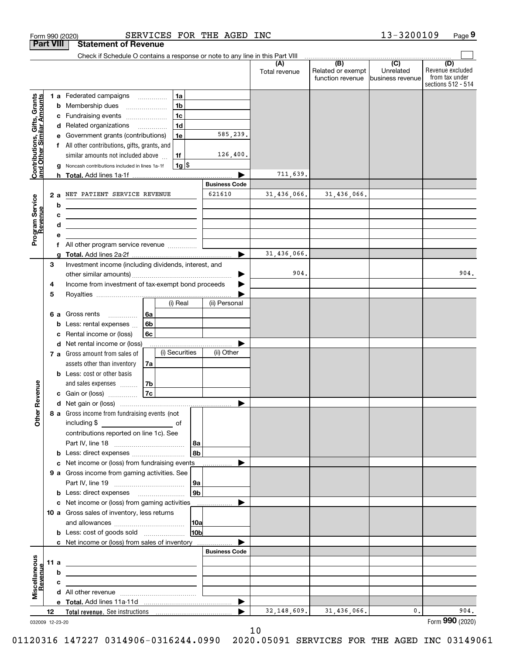|                                                           |                  | SERVICES FOR THE AGED INC<br>Form 990 (2020)                                                                                                                                 |                       |                      |                                                     | 13-3200109                    | Page 9                                                          |
|-----------------------------------------------------------|------------------|------------------------------------------------------------------------------------------------------------------------------------------------------------------------------|-----------------------|----------------------|-----------------------------------------------------|-------------------------------|-----------------------------------------------------------------|
|                                                           | <b>Part VIII</b> | <b>Statement of Revenue</b>                                                                                                                                                  |                       |                      |                                                     |                               |                                                                 |
|                                                           |                  | Check if Schedule O contains a response or note to any line in this Part VIII                                                                                                |                       |                      | $\overline{(\mathsf{B})}$ $\overline{(\mathsf{C})}$ |                               |                                                                 |
|                                                           |                  |                                                                                                                                                                              |                       | (A)<br>Total revenue | Related or exempt<br>function revenue               | Unrelated<br>business revenue | (D)<br>Revenue excluded<br>from tax under<br>sections 512 - 514 |
|                                                           |                  | 1 a Federated campaigns<br>1a                                                                                                                                                |                       |                      |                                                     |                               |                                                                 |
|                                                           |                  | 1 <sub>b</sub><br>Membership dues<br>b<br>$\overline{\phantom{a}}$                                                                                                           |                       |                      |                                                     |                               |                                                                 |
|                                                           |                  | 1 <sub>c</sub><br>c Fundraising events                                                                                                                                       |                       |                      |                                                     |                               |                                                                 |
| Contributions, Gifts, Grants<br>and Other Similar Amounts |                  | 1 <sub>d</sub><br>d Related organizations                                                                                                                                    |                       |                      |                                                     |                               |                                                                 |
|                                                           |                  | Government grants (contributions)<br>1e<br>е                                                                                                                                 | 585,239.              |                      |                                                     |                               |                                                                 |
|                                                           |                  | f All other contributions, gifts, grants, and                                                                                                                                |                       |                      |                                                     |                               |                                                                 |
|                                                           |                  | 1f<br>similar amounts not included above                                                                                                                                     | 126,400.              |                      |                                                     |                               |                                                                 |
|                                                           |                  | $1g$ \$<br>Noncash contributions included in lines 1a-1f<br>g                                                                                                                |                       | 711,639.             |                                                     |                               |                                                                 |
|                                                           |                  | h                                                                                                                                                                            | <b>Business Code</b>  |                      |                                                     |                               |                                                                 |
|                                                           | 2a               | NET PATIENT SERVICE REVENUE                                                                                                                                                  | 621610                | 31,436,066.          | 31,436,066.                                         |                               |                                                                 |
| Program Service<br>Revenue                                |                  | b                                                                                                                                                                            |                       |                      |                                                     |                               |                                                                 |
|                                                           |                  | с<br><u> 1999 - Johann Stein, mars and de Britannich (b. 1989)</u>                                                                                                           |                       |                      |                                                     |                               |                                                                 |
|                                                           |                  | d<br><u> 1989 - Johann Barn, mars ann an t-Amhain an t-Amhain an t-Amhain an t-Amhain an t-Amhain an t-Amhain an t-A</u>                                                     |                       |                      |                                                     |                               |                                                                 |
|                                                           |                  | е                                                                                                                                                                            |                       |                      |                                                     |                               |                                                                 |
|                                                           |                  | f All other program service revenue                                                                                                                                          |                       |                      |                                                     |                               |                                                                 |
|                                                           |                  | a                                                                                                                                                                            |                       | 31,436,066.          |                                                     |                               |                                                                 |
|                                                           | 3                | Investment income (including dividends, interest, and                                                                                                                        |                       |                      |                                                     |                               |                                                                 |
|                                                           |                  |                                                                                                                                                                              |                       | 904.                 |                                                     |                               | 904.                                                            |
|                                                           | 4                | Income from investment of tax-exempt bond proceeds                                                                                                                           |                       |                      |                                                     |                               |                                                                 |
|                                                           | 5                | (i) Real                                                                                                                                                                     | (ii) Personal         |                      |                                                     |                               |                                                                 |
|                                                           |                  | 6а<br>6 a Gross rents                                                                                                                                                        |                       |                      |                                                     |                               |                                                                 |
|                                                           |                  | 6b<br>Less: rental expenses<br>b                                                                                                                                             |                       |                      |                                                     |                               |                                                                 |
|                                                           |                  | Rental income or (loss)<br>6c<br>с                                                                                                                                           |                       |                      |                                                     |                               |                                                                 |
|                                                           |                  | d Net rental income or (loss)                                                                                                                                                |                       |                      |                                                     |                               |                                                                 |
|                                                           |                  | (i) Securities<br>7 a Gross amount from sales of                                                                                                                             | (ii) Other            |                      |                                                     |                               |                                                                 |
|                                                           |                  | assets other than inventory<br>7a                                                                                                                                            |                       |                      |                                                     |                               |                                                                 |
|                                                           |                  | <b>b</b> Less: cost or other basis                                                                                                                                           |                       |                      |                                                     |                               |                                                                 |
|                                                           |                  | 7b<br>and sales expenses                                                                                                                                                     |                       |                      |                                                     |                               |                                                                 |
| evenue                                                    |                  | 7c<br>c Gain or (loss)                                                                                                                                                       |                       |                      |                                                     |                               |                                                                 |
| Œ                                                         |                  |                                                                                                                                                                              |                       |                      |                                                     |                               |                                                                 |
| Other                                                     |                  | 8 a Gross income from fundraising events (not                                                                                                                                |                       |                      |                                                     |                               |                                                                 |
|                                                           |                  | including \$<br><u>and the state of</u> the state of<br>contributions reported on line 1c). See                                                                              |                       |                      |                                                     |                               |                                                                 |
|                                                           |                  | 8a                                                                                                                                                                           |                       |                      |                                                     |                               |                                                                 |
|                                                           |                  | 8b                                                                                                                                                                           |                       |                      |                                                     |                               |                                                                 |
|                                                           |                  | c Net income or (loss) from fundraising events                                                                                                                               |                       |                      |                                                     |                               |                                                                 |
|                                                           |                  | 9 a Gross income from gaming activities. See                                                                                                                                 |                       |                      |                                                     |                               |                                                                 |
|                                                           |                  | ∣9a ∣                                                                                                                                                                        |                       |                      |                                                     |                               |                                                                 |
|                                                           |                  | 9 <sub>b</sub>                                                                                                                                                               |                       |                      |                                                     |                               |                                                                 |
|                                                           |                  | c Net income or (loss) from gaming activities                                                                                                                                | .                     |                      |                                                     |                               |                                                                 |
|                                                           |                  | 10 a Gross sales of inventory, less returns                                                                                                                                  |                       |                      |                                                     |                               |                                                                 |
|                                                           |                  | 10a                                                                                                                                                                          |                       |                      |                                                     |                               |                                                                 |
|                                                           |                  | 10 <sub>b</sub><br><b>b</b> Less: cost of goods sold                                                                                                                         |                       |                      |                                                     |                               |                                                                 |
|                                                           |                  | c Net income or (loss) from sales of inventory                                                                                                                               | <b>Business Code</b>  |                      |                                                     |                               |                                                                 |
|                                                           | 11 a             |                                                                                                                                                                              |                       |                      |                                                     |                               |                                                                 |
|                                                           |                  | <u> 1989 - Johann Barn, mars and de Brasilian (b. 1989)</u><br>b                                                                                                             |                       |                      |                                                     |                               |                                                                 |
| evenue                                                    |                  | the control of the control of the control of the control of the control of the control of<br>с<br>the control of the control of the control of the control of the control of |                       |                      |                                                     |                               |                                                                 |
| Miscellaneous                                             |                  |                                                                                                                                                                              |                       |                      |                                                     |                               |                                                                 |
|                                                           |                  |                                                                                                                                                                              | $\blacktriangleright$ |                      |                                                     |                               |                                                                 |
|                                                           | 12               |                                                                                                                                                                              |                       | 32, 148, 609.        | 31,436,066.                                         | 0.                            | 904.                                                            |
| 032009 12-23-20                                           |                  |                                                                                                                                                                              |                       |                      |                                                     |                               | Form 990 (2020)                                                 |

10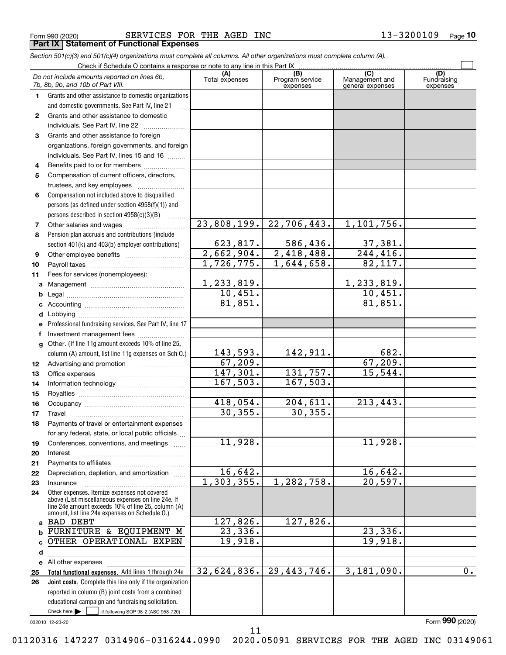$Form 990 (2020)$  SERVICES FOR THE AGED INC  $13-3200109$ **Part IX | Statement of Functional Expenses** THE AGED INC

|              | Section 501(c)(3) and 501(c)(4) organizations must complete all columns. All other organizations must complete column (A).                                                                                 |                          |                                    |                                                      |                                |
|--------------|------------------------------------------------------------------------------------------------------------------------------------------------------------------------------------------------------------|--------------------------|------------------------------------|------------------------------------------------------|--------------------------------|
|              | Check if Schedule O contains a response or note to any line in this Part IX.                                                                                                                               |                          |                                    |                                                      |                                |
|              | Do not include amounts reported on lines 6b,<br>7b, 8b, 9b, and 10b of Part VIII.                                                                                                                          | (A)<br>Total expenses    | (B)<br>Program service<br>expenses | $\overline{C}$<br>Management and<br>general expenses | (D)<br>Fundraising<br>expenses |
| 1.           | Grants and other assistance to domestic organizations                                                                                                                                                      |                          |                                    |                                                      |                                |
|              | and domestic governments. See Part IV, line 21                                                                                                                                                             |                          |                                    |                                                      |                                |
| $\mathbf{2}$ | Grants and other assistance to domestic                                                                                                                                                                    |                          |                                    |                                                      |                                |
|              | individuals. See Part IV, line 22                                                                                                                                                                          |                          |                                    |                                                      |                                |
| 3            | Grants and other assistance to foreign                                                                                                                                                                     |                          |                                    |                                                      |                                |
|              | organizations, foreign governments, and foreign                                                                                                                                                            |                          |                                    |                                                      |                                |
|              | individuals. See Part IV, lines 15 and 16                                                                                                                                                                  |                          |                                    |                                                      |                                |
| 4            | Benefits paid to or for members                                                                                                                                                                            |                          |                                    |                                                      |                                |
| 5            | Compensation of current officers, directors,                                                                                                                                                               |                          |                                    |                                                      |                                |
|              | trustees, and key employees                                                                                                                                                                                |                          |                                    |                                                      |                                |
| 6            | Compensation not included above to disqualified                                                                                                                                                            |                          |                                    |                                                      |                                |
|              | persons (as defined under section 4958(f)(1)) and                                                                                                                                                          |                          |                                    |                                                      |                                |
|              | persons described in section $4958(c)(3)(B)$<br>1.1.1.1.1.1.1                                                                                                                                              |                          |                                    |                                                      |                                |
| 7            |                                                                                                                                                                                                            | $\overline{23,808,199.}$ | $\overline{22,706,443}$ .          | 1,101,756.                                           |                                |
| 8            | Pension plan accruals and contributions (include                                                                                                                                                           |                          |                                    |                                                      |                                |
|              | section 401(k) and 403(b) employer contributions)                                                                                                                                                          | 623,817.                 | 586,436.                           | 37,381.                                              |                                |
| 9            |                                                                                                                                                                                                            |                          | $2,662,904.$ $2,418,488.$          | $\overline{244, 416}$ .                              |                                |
| 10           |                                                                                                                                                                                                            | 1,726,775.               | 1,644,658.                         | 82,117.                                              |                                |
| 11           | Fees for services (nonemployees):                                                                                                                                                                          |                          |                                    |                                                      |                                |
| а            |                                                                                                                                                                                                            | 1, 233, 819.             |                                    | 1,233,819.                                           |                                |
| b            |                                                                                                                                                                                                            | 10,451.                  |                                    | 10,451.                                              |                                |
| с            |                                                                                                                                                                                                            | 81,851.                  |                                    | 81,851.                                              |                                |
| d            |                                                                                                                                                                                                            |                          |                                    |                                                      |                                |
| е            | Professional fundraising services. See Part IV, line 17                                                                                                                                                    |                          |                                    |                                                      |                                |
| f            | Investment management fees                                                                                                                                                                                 |                          |                                    |                                                      |                                |
| g            | Other. (If line 11g amount exceeds 10% of line 25,                                                                                                                                                         |                          |                                    |                                                      |                                |
|              | column (A) amount, list line 11g expenses on Sch O.)                                                                                                                                                       | 143,593.                 | 142,911.                           | 682.                                                 |                                |
| 12           |                                                                                                                                                                                                            | 67,209.                  |                                    | 67,209.                                              |                                |
| 13           |                                                                                                                                                                                                            | 147,301.                 | 131,757.                           | 15,544.                                              |                                |
| 14           |                                                                                                                                                                                                            | 167,503.                 | 167,503.                           |                                                      |                                |
| 15           |                                                                                                                                                                                                            |                          |                                    |                                                      |                                |
| 16           |                                                                                                                                                                                                            | 418,054.                 | 204,611.                           | 213,443.                                             |                                |
| 17           |                                                                                                                                                                                                            | 30, 355.                 | 30, 355.                           |                                                      |                                |
| 18           | Payments of travel or entertainment expenses                                                                                                                                                               |                          |                                    |                                                      |                                |
|              | for any federal, state, or local public officials                                                                                                                                                          |                          |                                    |                                                      |                                |
| 19           | Conferences, conventions, and meetings                                                                                                                                                                     | 11,928.                  |                                    | 11,928.                                              |                                |
| 20           | Interest                                                                                                                                                                                                   |                          |                                    |                                                      |                                |
| 21           |                                                                                                                                                                                                            |                          |                                    |                                                      |                                |
| 22           | Depreciation, depletion, and amortization                                                                                                                                                                  | 16,642.                  |                                    | 16,642.                                              |                                |
| 23           | Insurance                                                                                                                                                                                                  | 1, 303, 355.             | 1,282,758.                         | 20,597.                                              |                                |
| 24           | Other expenses. Itemize expenses not covered<br>above (List miscellaneous expenses on line 24e. If<br>line 24e amount exceeds 10% of line 25, column (A)<br>amount, list line 24e expenses on Schedule 0.) |                          |                                    |                                                      |                                |
|              | a BAD DEBT                                                                                                                                                                                                 | 127,826.                 | 127,826.                           |                                                      |                                |
| b            | FURNITURE & EQUIPMENT M                                                                                                                                                                                    | $\overline{23,336}$ .    |                                    | 23,336.                                              |                                |
| c            | OTHER OPERATIONAL EXPEN                                                                                                                                                                                    | 19,918.                  |                                    | 19,918.                                              |                                |
| d            |                                                                                                                                                                                                            |                          |                                    |                                                      |                                |
|              | e All other expenses                                                                                                                                                                                       |                          |                                    |                                                      |                                |
| 25           | Total functional expenses. Add lines 1 through 24e                                                                                                                                                         | 32,624,836.              | $\overline{29,443,746}$ .          | 3,181,090.                                           | $\overline{0}$ .               |
| 26           | Joint costs. Complete this line only if the organization                                                                                                                                                   |                          |                                    |                                                      |                                |
|              | reported in column (B) joint costs from a combined                                                                                                                                                         |                          |                                    |                                                      |                                |
|              | educational campaign and fundraising solicitation.                                                                                                                                                         |                          |                                    |                                                      |                                |
|              | Check here         if following SOP 98-2 (ASC 958-720)                                                                                                                                                     |                          |                                    |                                                      |                                |

032010 12-23-20

Form (2020) **990**

11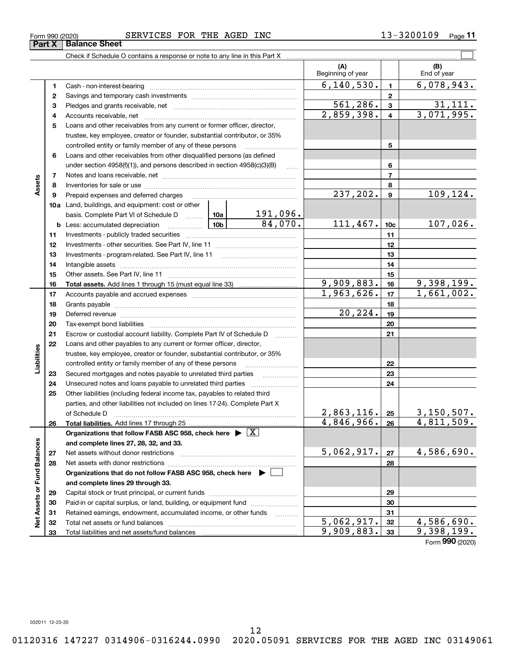**28**

**Assets**

**Part X** Balance Sheet

**Liabilities**

iabilities

**Net Assets or Fund Balances**

 $\frac{1}{2}$ 

Assets or Fund Balances

**and complete lines 29 through 33.**

Total liabilities and net assets/fund balances

**Organizations that do not follow FASB ASC 958, check here** |

Net assets with donor restrictions ~~~~~~~~~~~~~~~~~~~~~~

Capital stock or trust principal, or current funds ~~~~~~~~~~~~~~~Paid-in or capital surplus, or land, building, or equipment fund www.commun.com Retained earnings, endowment, accumulated income, or other funds www.com Total net assets or fund balances ~~~~~~~~~~~~~~~~~~~~~~

# Form 990 (2020) SERVICES FOR THE AGED INC 1 3 – 3 2 0 0 1 0 9  $\,$  Page

**123** Pledges and grants receivable, net  $\ldots$  **multimes contained and grants receivable**, net **multimes contained and grants receivable**, net **multimes contained and grants receivable 45**Loans and other receivables from any current or former officer, director, **678910a**Land, buildings, and equipment: cost or other **111213141516171819202122232425262712345678910c11121314151617181920212223242526b** Less: accumulated depreciation  $\ldots$  **10b** basis. Complete Part VI of Schedule D will aller **Total assets.**  Add lines 1 through 15 (must equal line 33) **Total liabilities.**  Add lines 17 through 25 **Organizations that follow FASB ASC 958, check here** | X **and complete lines 27, 28, 32, and 33. 27**Beginning of year | | End of year Cash - non-interest-bearing ~~~~~~~~~~~~~~~~~~~~~~~~~ Savings and temporary cash investments ~~~~~~~~~~~~~~~~~~Accounts receivable, net ~~~~~~~~~~~~~~~~~~~~~~~~~~ trustee, key employee, creator or founder, substantial contributor, or 35% controlled entity or family member of any of these persons ............................ Loans and other receivables from other disqualified persons (as defined under section  $4958(f)(1)$ , and persons described in section  $4958(c)(3)(B)$ Notes and loans receivable, net ~~~~~~~~~~~~~~~~~~~~~~~Inventories for sale or use ~~~~~~~~~~~~~~~~~~~~~~~~~~ Prepaid expenses and deferred charges ~~~~~~~~~~~~~~~~~~ Investments - publicly traded securities ~~~~~~~~~~~~~~~~~~~ Investments - other securities. See Part IV, line 11 ~~~~~~~~~~~~~~ Investments - program-related. See Part IV, line 11 ~~~~~~~~~~~~~Intangible assets ~~~~~~~~~~~~~~~~~~~~~~~~~~~~~~ Other assets. See Part IV, line 11 ~~~~~~~~~~~~~~~~~~~~~~ Accounts payable and accrued expenses ~~~~~~~~~~~~~~~~~~ Grants payable ~~~~~~~~~~~~~~~~~~~~~~~~~~~~~~~ Deferred revenue ~~~~~~~~~~~~~~~~~~~~~~~~~~~~~~ Tax-exempt bond liabilities …………………………………………………………… Escrow or custodial account liability. Complete Part IV of Schedule D Loans and other payables to any current or former officer, director, trustee, key employee, creator or founder, substantial contributor, or 35% controlled entity or family member of any of these persons ~~~~~~~~~Secured mortgages and notes payable to unrelated third parties Unsecured notes and loans payable to unrelated third parties ~~~~~~~~~~~~~ Other liabilities (including federal income tax, payables to related third parties, and other liabilities not included on lines 17-24). Complete Part X of Schedule D ~~~~~~~~~~~~~~~~~~~~~~~~~~~~~~~ Net assets without donor restrictions ~~~~~~~~~~~~~~~~~~~~  $6,140,530.$   $1$   $6,078,943.$  $2,859,398.$  4 3,071,995.  $\overline{561,286.}$  3 $\overline{31,111.}$  $237,202.$  9 109,124. 191,096.  $84,070.$  111,467.  $10c$  107,026.  $9,909,883.$   $16$  9,398,199.  $1,963,626.$   $17$  | 1,661,002. 20,224.  $2,863,116$ .  $|25|$  3,150,507.  $4,846,966.$   $26$  4,811,509.  $5,062,917.$   $|z_7|$  4,586,690.

Check if Schedule O contains a response or note to any line in this Part X

**28**

 $5,062,917.$   $32 \mid 4,586,690.$  $9,909,883.$   $33$  9,398,199.

Form (2020) **990**

 $\mathcal{L}^{\text{max}}$ 

**(A) (B)**

12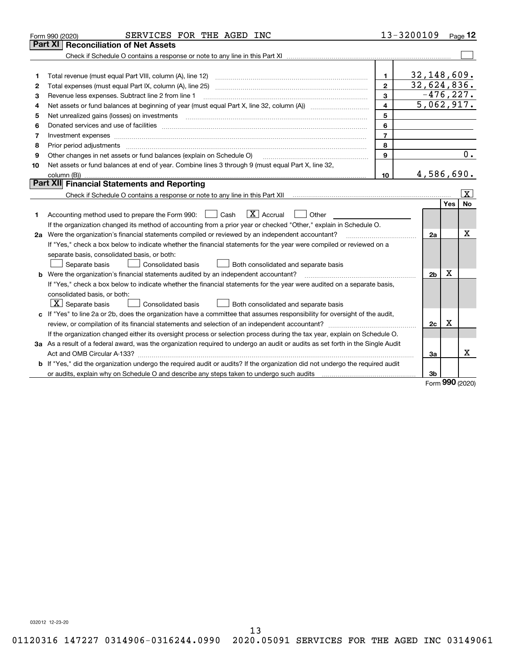|    | SERVICES FOR THE AGED INC<br>Form 990 (2020)                                                                                                                        |                | 13-3200109               |     | Page $12$               |  |  |  |
|----|---------------------------------------------------------------------------------------------------------------------------------------------------------------------|----------------|--------------------------|-----|-------------------------|--|--|--|
|    | Reconciliation of Net Assets<br>Part XI                                                                                                                             |                |                          |     |                         |  |  |  |
|    |                                                                                                                                                                     |                |                          |     |                         |  |  |  |
|    |                                                                                                                                                                     |                |                          |     |                         |  |  |  |
| 1  | Total revenue (must equal Part VIII, column (A), line 12)                                                                                                           | 1.             | 32,148,609.              |     |                         |  |  |  |
| 2  | 32,624,836.<br>$\overline{2}$                                                                                                                                       |                |                          |     |                         |  |  |  |
| 3  | Revenue less expenses. Subtract line 2 from line 1                                                                                                                  | 3              | $-476, 227.$             |     |                         |  |  |  |
| 4  |                                                                                                                                                                     | 4              | $\overline{5,062,917}$ . |     |                         |  |  |  |
| 5  | Net unrealized gains (losses) on investments                                                                                                                        | 5              |                          |     |                         |  |  |  |
| 6  |                                                                                                                                                                     | 6              |                          |     |                         |  |  |  |
| 7  | Investment expenses www.communication.com/www.communication.com/www.communication.com/www.com                                                                       | $\overline{7}$ |                          |     |                         |  |  |  |
| 8  |                                                                                                                                                                     | 8              |                          |     |                         |  |  |  |
| 9  | Other changes in net assets or fund balances (explain on Schedule O)                                                                                                | 9              |                          |     | $\overline{0}$ .        |  |  |  |
| 10 | Net assets or fund balances at end of year. Combine lines 3 through 9 (must equal Part X, line 32,                                                                  |                |                          |     |                         |  |  |  |
|    |                                                                                                                                                                     | 10             | 4,586,690.               |     |                         |  |  |  |
|    | Part XII Financial Statements and Reporting                                                                                                                         |                |                          |     |                         |  |  |  |
|    | Check if Schedule O contains a response or note to any line in this Part XII [11] [12] Check if Schedule O contains a response or note to any line in this Part XII |                |                          |     | $\overline{\mathbf{x}}$ |  |  |  |
|    |                                                                                                                                                                     |                |                          | Yes | No                      |  |  |  |
| 1  | $\boxed{\mathbf{X}}$ Accrual<br>Accounting method used to prepare the Form 990: <u>June</u> Cash<br>Other                                                           |                |                          |     |                         |  |  |  |
|    | If the organization changed its method of accounting from a prior year or checked "Other," explain in Schedule O.                                                   |                |                          |     |                         |  |  |  |
|    | 2a Were the organization's financial statements compiled or reviewed by an independent accountant?                                                                  |                | 2a                       |     | Х                       |  |  |  |
|    | If "Yes," check a box below to indicate whether the financial statements for the year were compiled or reviewed on a                                                |                |                          |     |                         |  |  |  |
|    | separate basis, consolidated basis, or both:                                                                                                                        |                |                          |     |                         |  |  |  |
|    | Separate basis<br>Both consolidated and separate basis<br><b>Consolidated basis</b>                                                                                 |                |                          |     |                         |  |  |  |
|    | <b>b</b> Were the organization's financial statements audited by an independent accountant?                                                                         |                | 2 <sub>b</sub>           | X   |                         |  |  |  |
|    | If "Yes," check a box below to indicate whether the financial statements for the year were audited on a separate basis,                                             |                |                          |     |                         |  |  |  |
|    | consolidated basis, or both:                                                                                                                                        |                |                          |     |                         |  |  |  |
|    | $X$ Separate basis<br><b>Consolidated basis</b><br>Both consolidated and separate basis                                                                             |                |                          |     |                         |  |  |  |
|    | c If "Yes" to line 2a or 2b, does the organization have a committee that assumes responsibility for oversight of the audit,                                         |                |                          |     |                         |  |  |  |
|    |                                                                                                                                                                     |                | 2c                       | х   |                         |  |  |  |
|    | If the organization changed either its oversight process or selection process during the tax year, explain on Schedule O.                                           |                |                          |     |                         |  |  |  |
|    | 3a As a result of a federal award, was the organization required to undergo an audit or audits as set forth in the Single Audit                                     |                |                          |     |                         |  |  |  |
|    |                                                                                                                                                                     |                | За                       |     | x                       |  |  |  |
|    | b If "Yes," did the organization undergo the required audit or audits? If the organization did not undergo the required audit                                       |                |                          |     |                         |  |  |  |
|    |                                                                                                                                                                     |                | 3b                       |     |                         |  |  |  |

Form (2020) **990**

032012 12-23-20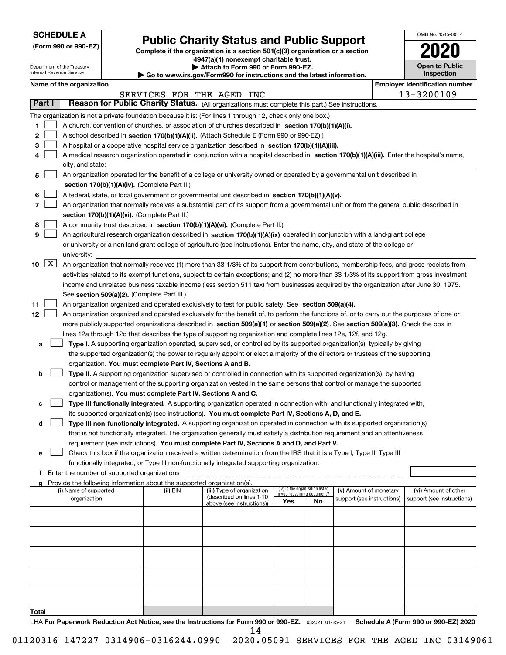| <b>SCHEDULE A</b> |
|-------------------|
|-------------------|

Department of the Treasury Internal Revenue Service

**(Form 990 or 990-EZ)**

# **Public Charity Status and Public Support**

**Complete if the organization is a section 501(c)(3) organization or a section 4947(a)(1) nonexempt charitable trust. | Attach to Form 990 or Form 990-EZ.** 

| <b>P</b> AUGUI IV I VIIII 330 VI I VIIII 330-LL.                         |  |
|--------------------------------------------------------------------------|--|
| ► Go to www.irs.gov/Form990 for instructions and the latest information. |  |
|                                                                          |  |

| Inspection |
|------------|
|            |

OMB No. 1545-0047

**Open to Public**

**2020**

|  | Name of the organizati |
|--|------------------------|
|  |                        |

|                      | Name of the organization                                                                                                                                                                                                                           |          | SERVICES FOR THE AGED INC  |                                    |    |                            | <b>Employer identification number</b><br>13-3200109 |
|----------------------|----------------------------------------------------------------------------------------------------------------------------------------------------------------------------------------------------------------------------------------------------|----------|----------------------------|------------------------------------|----|----------------------------|-----------------------------------------------------|
| Part I               | Reason for Public Charity Status. (All organizations must complete this part.) See instructions.                                                                                                                                                   |          |                            |                                    |    |                            |                                                     |
|                      |                                                                                                                                                                                                                                                    |          |                            |                                    |    |                            |                                                     |
|                      | The organization is not a private foundation because it is: (For lines 1 through 12, check only one box.)                                                                                                                                          |          |                            |                                    |    |                            |                                                     |
| 1.                   | A church, convention of churches, or association of churches described in section 170(b)(1)(A)(i).                                                                                                                                                 |          |                            |                                    |    |                            |                                                     |
| 2                    | A school described in section 170(b)(1)(A)(ii). (Attach Schedule E (Form 990 or 990-EZ).)                                                                                                                                                          |          |                            |                                    |    |                            |                                                     |
| з<br>4               | A hospital or a cooperative hospital service organization described in section $170(b)(1)(A)(iii)$ .<br>A medical research organization operated in conjunction with a hospital described in section 170(b)(1)(A)(iii). Enter the hospital's name, |          |                            |                                    |    |                            |                                                     |
|                      | city, and state:                                                                                                                                                                                                                                   |          |                            |                                    |    |                            |                                                     |
| 5                    | An organization operated for the benefit of a college or university owned or operated by a governmental unit described in                                                                                                                          |          |                            |                                    |    |                            |                                                     |
|                      | section 170(b)(1)(A)(iv). (Complete Part II.)                                                                                                                                                                                                      |          |                            |                                    |    |                            |                                                     |
| 6                    | A federal, state, or local government or governmental unit described in section 170(b)(1)(A)(v).                                                                                                                                                   |          |                            |                                    |    |                            |                                                     |
| 7                    | An organization that normally receives a substantial part of its support from a governmental unit or from the general public described in                                                                                                          |          |                            |                                    |    |                            |                                                     |
|                      | section 170(b)(1)(A)(vi). (Complete Part II.)                                                                                                                                                                                                      |          |                            |                                    |    |                            |                                                     |
| 8                    | A community trust described in section 170(b)(1)(A)(vi). (Complete Part II.)                                                                                                                                                                       |          |                            |                                    |    |                            |                                                     |
| 9                    | An agricultural research organization described in section 170(b)(1)(A)(ix) operated in conjunction with a land-grant college                                                                                                                      |          |                            |                                    |    |                            |                                                     |
|                      | or university or a non-land-grant college of agriculture (see instructions). Enter the name, city, and state of the college or                                                                                                                     |          |                            |                                    |    |                            |                                                     |
|                      | university:                                                                                                                                                                                                                                        |          |                            |                                    |    |                            |                                                     |
| $10 \quad \boxed{X}$ | An organization that normally receives (1) more than 33 1/3% of its support from contributions, membership fees, and gross receipts from                                                                                                           |          |                            |                                    |    |                            |                                                     |
|                      | activities related to its exempt functions, subject to certain exceptions; and (2) no more than 33 1/3% of its support from gross investment                                                                                                       |          |                            |                                    |    |                            |                                                     |
|                      | income and unrelated business taxable income (less section 511 tax) from businesses acquired by the organization after June 30, 1975.                                                                                                              |          |                            |                                    |    |                            |                                                     |
|                      | See section 509(a)(2). (Complete Part III.)                                                                                                                                                                                                        |          |                            |                                    |    |                            |                                                     |
| 11                   | An organization organized and operated exclusively to test for public safety. See section 509(a)(4).                                                                                                                                               |          |                            |                                    |    |                            |                                                     |
| 12                   | An organization organized and operated exclusively for the benefit of, to perform the functions of, or to carry out the purposes of one or                                                                                                         |          |                            |                                    |    |                            |                                                     |
|                      | more publicly supported organizations described in section 509(a)(1) or section 509(a)(2). See section 509(a)(3). Check the box in                                                                                                                 |          |                            |                                    |    |                            |                                                     |
|                      | lines 12a through 12d that describes the type of supporting organization and complete lines 12e, 12f, and 12g.                                                                                                                                     |          |                            |                                    |    |                            |                                                     |
| а                    | <b>Type I.</b> A supporting organization operated, supervised, or controlled by its supported organization(s), typically by giving                                                                                                                 |          |                            |                                    |    |                            |                                                     |
|                      | the supported organization(s) the power to regularly appoint or elect a majority of the directors or trustees of the supporting                                                                                                                    |          |                            |                                    |    |                            |                                                     |
|                      | organization. You must complete Part IV, Sections A and B.                                                                                                                                                                                         |          |                            |                                    |    |                            |                                                     |
| b                    | <b>Type II.</b> A supporting organization supervised or controlled in connection with its supported organization(s), by having                                                                                                                     |          |                            |                                    |    |                            |                                                     |
|                      | control or management of the supporting organization vested in the same persons that control or manage the supported                                                                                                                               |          |                            |                                    |    |                            |                                                     |
|                      | organization(s). You must complete Part IV, Sections A and C.                                                                                                                                                                                      |          |                            |                                    |    |                            |                                                     |
| с                    | Type III functionally integrated. A supporting organization operated in connection with, and functionally integrated with,                                                                                                                         |          |                            |                                    |    |                            |                                                     |
|                      | its supported organization(s) (see instructions). You must complete Part IV, Sections A, D, and E.                                                                                                                                                 |          |                            |                                    |    |                            |                                                     |
| d                    | Type III non-functionally integrated. A supporting organization operated in connection with its supported organization(s)                                                                                                                          |          |                            |                                    |    |                            |                                                     |
|                      | that is not functionally integrated. The organization generally must satisfy a distribution requirement and an attentiveness                                                                                                                       |          |                            |                                    |    |                            |                                                     |
|                      | requirement (see instructions). You must complete Part IV, Sections A and D, and Part V.                                                                                                                                                           |          |                            |                                    |    |                            |                                                     |
|                      | Check this box if the organization received a written determination from the IRS that it is a Type I, Type II, Type III                                                                                                                            |          |                            |                                    |    |                            |                                                     |
|                      | functionally integrated, or Type III non-functionally integrated supporting organization.                                                                                                                                                          |          |                            |                                    |    |                            |                                                     |
|                      | f Enter the number of supported organizations                                                                                                                                                                                                      |          |                            |                                    |    |                            |                                                     |
|                      | g Provide the following information about the supported organization(s).<br>(i) Name of supported                                                                                                                                                  | (ii) EIN | (iii) Type of organization | (iv) Is the organization listed    |    | (v) Amount of monetary     | (vi) Amount of other                                |
|                      | organization                                                                                                                                                                                                                                       |          | (described on lines 1-10   | in your governing document?<br>Yes | No | support (see instructions) | support (see instructions)                          |
|                      |                                                                                                                                                                                                                                                    |          | above (see instructions))  |                                    |    |                            |                                                     |
|                      |                                                                                                                                                                                                                                                    |          |                            |                                    |    |                            |                                                     |
|                      |                                                                                                                                                                                                                                                    |          |                            |                                    |    |                            |                                                     |
|                      |                                                                                                                                                                                                                                                    |          |                            |                                    |    |                            |                                                     |
|                      |                                                                                                                                                                                                                                                    |          |                            |                                    |    |                            |                                                     |
|                      |                                                                                                                                                                                                                                                    |          |                            |                                    |    |                            |                                                     |
|                      |                                                                                                                                                                                                                                                    |          |                            |                                    |    |                            |                                                     |
|                      |                                                                                                                                                                                                                                                    |          |                            |                                    |    |                            |                                                     |
|                      |                                                                                                                                                                                                                                                    |          |                            |                                    |    |                            |                                                     |

LHA For Paperwork Reduction Act Notice, see the Instructions for Form 990 or 990-EZ. <sub>032021</sub> o1-25-21 Schedule A (Form 990 or 990-EZ) 2020 **Total** 14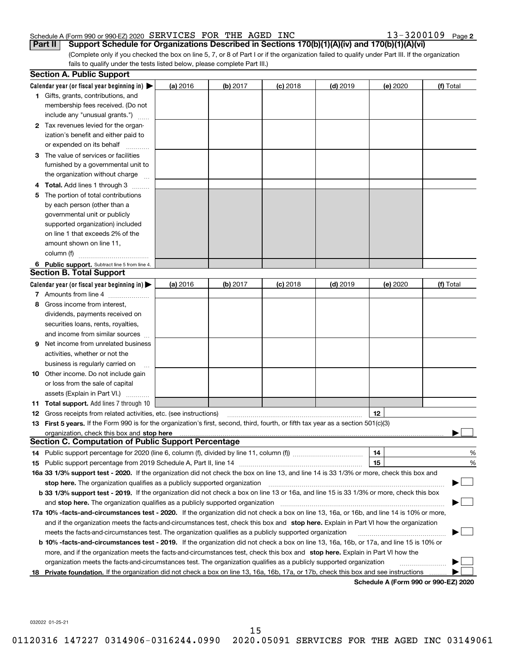#### Schedule A (Form 990 or 990-EZ) 2020 Page SERVICES FOR THE AGED INC 13-3200109

**2**

(Complete only if you checked the box on line 5, 7, or 8 of Part I or if the organization failed to qualify under Part III. If the organization fails to qualify under the tests listed below, please complete Part III.) **Part II Support Schedule for Organizations Described in Sections 170(b)(1)(A)(iv) and 170(b)(1)(A)(vi)**

|    | <b>Section A. Public Support</b>                                                                                                                                                                                                                           |          |          |            |            |          |                                      |
|----|------------------------------------------------------------------------------------------------------------------------------------------------------------------------------------------------------------------------------------------------------------|----------|----------|------------|------------|----------|--------------------------------------|
|    | Calendar year (or fiscal year beginning in) $\blacktriangleright$                                                                                                                                                                                          | (a) 2016 | (b) 2017 | $(c)$ 2018 | $(d)$ 2019 | (e) 2020 | (f) Total                            |
|    | <b>1</b> Gifts, grants, contributions, and                                                                                                                                                                                                                 |          |          |            |            |          |                                      |
|    | membership fees received. (Do not                                                                                                                                                                                                                          |          |          |            |            |          |                                      |
|    | include any "unusual grants.")                                                                                                                                                                                                                             |          |          |            |            |          |                                      |
|    | <b>2</b> Tax revenues levied for the organ-                                                                                                                                                                                                                |          |          |            |            |          |                                      |
|    | ization's benefit and either paid to                                                                                                                                                                                                                       |          |          |            |            |          |                                      |
|    | or expended on its behalf                                                                                                                                                                                                                                  |          |          |            |            |          |                                      |
|    | 3 The value of services or facilities                                                                                                                                                                                                                      |          |          |            |            |          |                                      |
|    | furnished by a governmental unit to                                                                                                                                                                                                                        |          |          |            |            |          |                                      |
|    | the organization without charge                                                                                                                                                                                                                            |          |          |            |            |          |                                      |
|    | 4 Total. Add lines 1 through 3                                                                                                                                                                                                                             |          |          |            |            |          |                                      |
| 5. | The portion of total contributions                                                                                                                                                                                                                         |          |          |            |            |          |                                      |
|    | by each person (other than a                                                                                                                                                                                                                               |          |          |            |            |          |                                      |
|    | governmental unit or publicly                                                                                                                                                                                                                              |          |          |            |            |          |                                      |
|    | supported organization) included                                                                                                                                                                                                                           |          |          |            |            |          |                                      |
|    | on line 1 that exceeds 2% of the                                                                                                                                                                                                                           |          |          |            |            |          |                                      |
|    | amount shown on line 11,                                                                                                                                                                                                                                   |          |          |            |            |          |                                      |
|    | column (f)                                                                                                                                                                                                                                                 |          |          |            |            |          |                                      |
|    | 6 Public support. Subtract line 5 from line 4.                                                                                                                                                                                                             |          |          |            |            |          |                                      |
|    | <b>Section B. Total Support</b>                                                                                                                                                                                                                            |          |          |            |            |          |                                      |
|    | Calendar year (or fiscal year beginning in)                                                                                                                                                                                                                | (a) 2016 | (b) 2017 | $(c)$ 2018 | $(d)$ 2019 | (e) 2020 | (f) Total                            |
|    | 7 Amounts from line 4                                                                                                                                                                                                                                      |          |          |            |            |          |                                      |
|    | 8 Gross income from interest,                                                                                                                                                                                                                              |          |          |            |            |          |                                      |
|    | dividends, payments received on                                                                                                                                                                                                                            |          |          |            |            |          |                                      |
|    | securities loans, rents, royalties,                                                                                                                                                                                                                        |          |          |            |            |          |                                      |
|    | and income from similar sources                                                                                                                                                                                                                            |          |          |            |            |          |                                      |
| 9. | Net income from unrelated business                                                                                                                                                                                                                         |          |          |            |            |          |                                      |
|    | activities, whether or not the                                                                                                                                                                                                                             |          |          |            |            |          |                                      |
|    | business is regularly carried on                                                                                                                                                                                                                           |          |          |            |            |          |                                      |
|    | <b>10</b> Other income. Do not include gain                                                                                                                                                                                                                |          |          |            |            |          |                                      |
|    | or loss from the sale of capital                                                                                                                                                                                                                           |          |          |            |            |          |                                      |
|    | assets (Explain in Part VI.)                                                                                                                                                                                                                               |          |          |            |            |          |                                      |
|    | <b>11 Total support.</b> Add lines 7 through 10                                                                                                                                                                                                            |          |          |            |            |          |                                      |
|    | <b>12</b> Gross receipts from related activities, etc. (see instructions)                                                                                                                                                                                  |          |          |            |            | 12       |                                      |
|    | 13 First 5 years. If the Form 990 is for the organization's first, second, third, fourth, or fifth tax year as a section 501(c)(3)                                                                                                                         |          |          |            |            |          |                                      |
|    | organization, check this box and <b>stop here</b> www.communication.communication.communication.communication.communic<br><b>Section C. Computation of Public Support Percentage</b>                                                                       |          |          |            |            |          |                                      |
|    |                                                                                                                                                                                                                                                            |          |          |            |            | 14       |                                      |
|    |                                                                                                                                                                                                                                                            |          |          |            |            | 15       | %                                    |
|    | 16a 33 1/3% support test - 2020. If the organization did not check the box on line 13, and line 14 is 33 1/3% or more, check this box and                                                                                                                  |          |          |            |            |          | %                                    |
|    |                                                                                                                                                                                                                                                            |          |          |            |            |          |                                      |
|    | stop here. The organization qualifies as a publicly supported organization<br>b 33 1/3% support test - 2019. If the organization did not check a box on line 13 or 16a, and line 15 is 33 1/3% or more, check this box                                     |          |          |            |            |          |                                      |
|    | and stop here. The organization qualifies as a publicly supported organization                                                                                                                                                                             |          |          |            |            |          |                                      |
|    | 17a 10% -facts-and-circumstances test - 2020. If the organization did not check a box on line 13, 16a, or 16b, and line 14 is 10% or more,                                                                                                                 |          |          |            |            |          |                                      |
|    |                                                                                                                                                                                                                                                            |          |          |            |            |          |                                      |
|    | and if the organization meets the facts-and-circumstances test, check this box and stop here. Explain in Part VI how the organization                                                                                                                      |          |          |            |            |          |                                      |
|    | meets the facts-and-circumstances test. The organization qualifies as a publicly supported organization                                                                                                                                                    |          |          |            |            |          |                                      |
|    | <b>b 10% -facts-and-circumstances test - 2019.</b> If the organization did not check a box on line 13, 16a, 16b, or 17a, and line 15 is 10% or                                                                                                             |          |          |            |            |          |                                      |
|    | more, and if the organization meets the facts-and-circumstances test, check this box and stop here. Explain in Part VI how the                                                                                                                             |          |          |            |            |          |                                      |
| 18 | organization meets the facts-and-circumstances test. The organization qualifies as a publicly supported organization<br>Private foundation. If the organization did not check a box on line 13, 16a, 16b, 17a, or 17b, check this box and see instructions |          |          |            |            |          |                                      |
|    |                                                                                                                                                                                                                                                            |          |          |            |            |          | Schedule A (Form 990 or 990-F7) 2020 |

**Schedule A (Form 990 or 990-EZ) 2020**

032022 01-25-21

15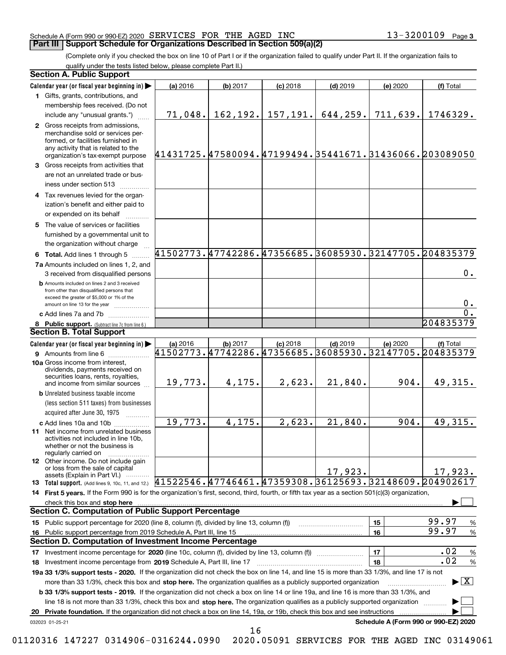# Schedule A (Form 990 or 990-EZ) 2020 Page SERVICES FOR THE AGED INC 13-3200109

(Complete only if you checked the box on line 10 of Part I or if the organization failed to qualify under Part II. If the organization fails to qualify under the tests listed below, please complete Part II.)

|    | <b>Section A. Public Support</b>                                                                                                                                                                                                                                 |                                                                   |          |            |                                    |          |                                          |
|----|------------------------------------------------------------------------------------------------------------------------------------------------------------------------------------------------------------------------------------------------------------------|-------------------------------------------------------------------|----------|------------|------------------------------------|----------|------------------------------------------|
|    | Calendar year (or fiscal year beginning in)                                                                                                                                                                                                                      | (a) 2016                                                          | (b) 2017 | $(c)$ 2018 | $(d)$ 2019                         | (e) 2020 | (f) Total                                |
|    | 1 Gifts, grants, contributions, and                                                                                                                                                                                                                              |                                                                   |          |            |                                    |          |                                          |
|    | membership fees received. (Do not                                                                                                                                                                                                                                |                                                                   |          |            |                                    |          |                                          |
|    | include any "unusual grants.")                                                                                                                                                                                                                                   |                                                                   |          |            | 71,048. 162,192. 157,191. 644,259. | 711,639. | 1746329.                                 |
|    | 2 Gross receipts from admissions,<br>merchandise sold or services per-<br>formed, or facilities furnished in<br>any activity that is related to the<br>organization's tax-exempt purpose                                                                         | 41431725.47580094.47199494.35441671.31436066.203089050            |          |            |                                    |          |                                          |
|    | 3 Gross receipts from activities that<br>are not an unrelated trade or bus-<br>iness under section 513                                                                                                                                                           |                                                                   |          |            |                                    |          |                                          |
|    | 4 Tax revenues levied for the organ-<br>ization's benefit and either paid to<br>or expended on its behalf                                                                                                                                                        |                                                                   |          |            |                                    |          |                                          |
|    | 5 The value of services or facilities<br>furnished by a governmental unit to<br>the organization without charge                                                                                                                                                  |                                                                   |          |            |                                    |          |                                          |
|    | 6 Total. Add lines 1 through 5                                                                                                                                                                                                                                   | 41502773.47742286.47356685.36085930.32147705.204835379            |          |            |                                    |          |                                          |
|    | 7a Amounts included on lines 1, 2, and<br>3 received from disqualified persons                                                                                                                                                                                   |                                                                   |          |            |                                    |          | $0$ .                                    |
|    | <b>b</b> Amounts included on lines 2 and 3 received<br>from other than disqualified persons that<br>exceed the greater of \$5,000 or 1% of the<br>amount on line 13 for the year                                                                                 |                                                                   |          |            |                                    |          | 0.                                       |
|    | c Add lines 7a and 7b                                                                                                                                                                                                                                            |                                                                   |          |            |                                    |          | $\overline{0}$ .                         |
|    | 8 Public support. (Subtract line 7c from line 6.)                                                                                                                                                                                                                |                                                                   |          |            |                                    |          | 204835379                                |
|    | <b>Section B. Total Support</b>                                                                                                                                                                                                                                  |                                                                   |          |            |                                    |          |                                          |
|    | Calendar year (or fiscal year beginning in)                                                                                                                                                                                                                      | (a) 2016                                                          | (b) 2017 | $(c)$ 2018 | $(d)$ 2019                         | (e) 2020 | (f) Total                                |
|    | 10a Gross income from interest,<br>dividends, payments received on<br>securities loans, rents, royalties,<br>and income from similar sources                                                                                                                     | 41502773.47742286.47356685.36085930.32147705.204835379<br>19,773. | 4,175.   | 2,623.     | 21,840.                            | 904.     | 49,315.                                  |
|    | <b>b</b> Unrelated business taxable income<br>(less section 511 taxes) from businesses<br>acquired after June 30, 1975                                                                                                                                           |                                                                   |          |            |                                    |          |                                          |
|    | c Add lines 10a and 10b<br>11 Net income from unrelated business<br>activities not included in line 10b,<br>whether or not the business is<br>regularly carried on                                                                                               | 19,773.                                                           | 4,175.   | 2,623.     | 21,840.                            | 904.     | 49,315.                                  |
|    | <b>12</b> Other income. Do not include gain<br>or loss from the sale of capital<br>assets (Explain in Part VI.)                                                                                                                                                  |                                                                   |          |            | 17,923.                            |          | 17,923.                                  |
|    | 13 Total support. (Add lines 9, 10c, 11, and 12.) $41522546.47746461.47359308.36125693.32148609.204902617$                                                                                                                                                       |                                                                   |          |            |                                    |          |                                          |
|    | 14 First 5 years. If the Form 990 is for the organization's first, second, third, fourth, or fifth tax year as a section 501(c)(3) organization,                                                                                                                 |                                                                   |          |            |                                    |          |                                          |
|    | check this box and stop here manufactured and stream and stream and stream and stream and stream and stop here                                                                                                                                                   |                                                                   |          |            |                                    |          |                                          |
|    | <b>Section C. Computation of Public Support Percentage</b>                                                                                                                                                                                                       |                                                                   |          |            |                                    |          |                                          |
|    | 15 Public support percentage for 2020 (line 8, column (f), divided by line 13, column (f))                                                                                                                                                                       |                                                                   |          |            |                                    | 15       | 99.97<br>%<br>99.97                      |
| 16 | Public support percentage from 2019 Schedule A, Part III, line 15<br><b>Section D. Computation of Investment Income Percentage</b>                                                                                                                               |                                                                   |          |            |                                    | 16       | %                                        |
|    |                                                                                                                                                                                                                                                                  |                                                                   |          |            |                                    |          | .02                                      |
| 17 | Investment income percentage for 2020 (line 10c, column (f), divided by line 13, column (f))                                                                                                                                                                     |                                                                   |          |            |                                    | 17<br>18 | $\%$<br>.02<br>%                         |
|    | 18 Investment income percentage from 2019 Schedule A, Part III, line 17<br>19a 33 1/3% support tests - 2020. If the organization did not check the box on line 14, and line 15 is more than 33 1/3%, and line 17 is not                                          |                                                                   |          |            |                                    |          |                                          |
|    | more than 33 1/3%, check this box and stop here. The organization qualifies as a publicly supported organization<br><b>b 33 1/3% support tests - 2019.</b> If the organization did not check a box on line 14 or line 19a, and line 16 is more than 33 1/3%, and |                                                                   |          |            |                                    |          | $\blacktriangleright$ $\boxed{\text{X}}$ |
|    | line 18 is not more than 33 1/3%, check this box and stop here. The organization qualifies as a publicly supported organization                                                                                                                                  |                                                                   |          |            |                                    |          |                                          |
| 20 | Private foundation. If the organization did not check a box on line 14, 19a, or 19b, check this box and see instructions                                                                                                                                         |                                                                   |          |            |                                    |          |                                          |
|    | 032023 01-25-21                                                                                                                                                                                                                                                  |                                                                   |          |            |                                    |          | Schedule A (Form 990 or 990-EZ) 2020     |

16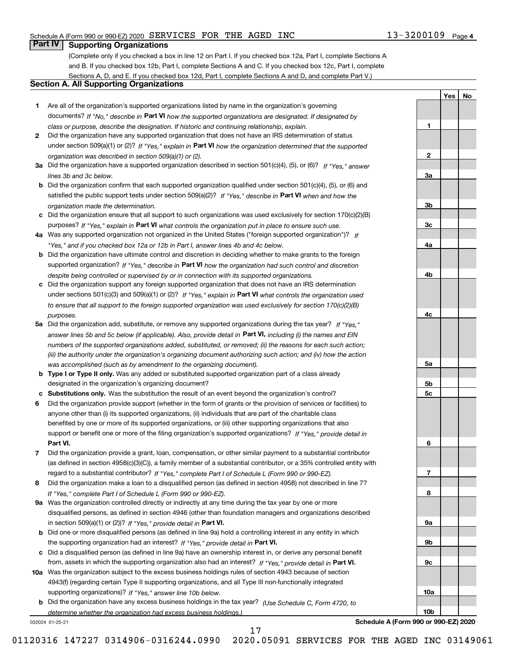**1**

**2**

**3a**

**3b**

**3c**

**4a**

**4b**

**4c**

**5a**

**5b5c**

**6**

**7**

**8**

**9a**

**9b**

**9c**

**10a**

**10b**

**YesNo**

# **Part IV Supporting Organizations**

(Complete only if you checked a box in line 12 on Part I. If you checked box 12a, Part I, complete Sections A and B. If you checked box 12b, Part I, complete Sections A and C. If you checked box 12c, Part I, complete Sections A, D, and E. If you checked box 12d, Part I, complete Sections A and D, and complete Part V.)

# **Section A. All Supporting Organizations**

- **1** Are all of the organization's supported organizations listed by name in the organization's governing documents? If "No," describe in **Part VI** how the supported organizations are designated. If designated by *class or purpose, describe the designation. If historic and continuing relationship, explain.*
- **2** Did the organization have any supported organization that does not have an IRS determination of status under section 509(a)(1) or (2)? If "Yes," explain in Part VI how the organization determined that the supported *organization was described in section 509(a)(1) or (2).*
- **3a** Did the organization have a supported organization described in section 501(c)(4), (5), or (6)? If "Yes," answer *lines 3b and 3c below.*
- **b** Did the organization confirm that each supported organization qualified under section 501(c)(4), (5), or (6) and satisfied the public support tests under section 509(a)(2)? If "Yes," describe in **Part VI** when and how the *organization made the determination.*
- **c**Did the organization ensure that all support to such organizations was used exclusively for section 170(c)(2)(B) purposes? If "Yes," explain in **Part VI** what controls the organization put in place to ensure such use.
- **4a***If* Was any supported organization not organized in the United States ("foreign supported organization")? *"Yes," and if you checked box 12a or 12b in Part I, answer lines 4b and 4c below.*
- **b** Did the organization have ultimate control and discretion in deciding whether to make grants to the foreign supported organization? If "Yes," describe in **Part VI** how the organization had such control and discretion *despite being controlled or supervised by or in connection with its supported organizations.*
- **c** Did the organization support any foreign supported organization that does not have an IRS determination under sections 501(c)(3) and 509(a)(1) or (2)? If "Yes," explain in **Part VI** what controls the organization used *to ensure that all support to the foreign supported organization was used exclusively for section 170(c)(2)(B) purposes.*
- **5a** Did the organization add, substitute, or remove any supported organizations during the tax year? If "Yes," answer lines 5b and 5c below (if applicable). Also, provide detail in **Part VI,** including (i) the names and EIN *numbers of the supported organizations added, substituted, or removed; (ii) the reasons for each such action; (iii) the authority under the organization's organizing document authorizing such action; and (iv) how the action was accomplished (such as by amendment to the organizing document).*
- **b** Type I or Type II only. Was any added or substituted supported organization part of a class already designated in the organization's organizing document?
- **cSubstitutions only.**  Was the substitution the result of an event beyond the organization's control?
- **6** Did the organization provide support (whether in the form of grants or the provision of services or facilities) to **Part VI.** *If "Yes," provide detail in* support or benefit one or more of the filing organization's supported organizations? anyone other than (i) its supported organizations, (ii) individuals that are part of the charitable class benefited by one or more of its supported organizations, or (iii) other supporting organizations that also
- **7**Did the organization provide a grant, loan, compensation, or other similar payment to a substantial contributor *If "Yes," complete Part I of Schedule L (Form 990 or 990-EZ).* regard to a substantial contributor? (as defined in section 4958(c)(3)(C)), a family member of a substantial contributor, or a 35% controlled entity with
- **8** Did the organization make a loan to a disqualified person (as defined in section 4958) not described in line 7? *If "Yes," complete Part I of Schedule L (Form 990 or 990-EZ).*
- **9a** Was the organization controlled directly or indirectly at any time during the tax year by one or more in section 509(a)(1) or (2))? If "Yes," *provide detail in* <code>Part VI.</code> disqualified persons, as defined in section 4946 (other than foundation managers and organizations described
- **b** Did one or more disqualified persons (as defined in line 9a) hold a controlling interest in any entity in which the supporting organization had an interest? If "Yes," provide detail in P**art VI**.
- **c**Did a disqualified person (as defined in line 9a) have an ownership interest in, or derive any personal benefit from, assets in which the supporting organization also had an interest? If "Yes," provide detail in P**art VI.**
- **10a** Was the organization subject to the excess business holdings rules of section 4943 because of section supporting organizations)? If "Yes," answer line 10b below. 4943(f) (regarding certain Type II supporting organizations, and all Type III non-functionally integrated
- **b** Did the organization have any excess business holdings in the tax year? (Use Schedule C, Form 4720, to *determine whether the organization had excess business holdings.)*

032024 01-25-21

17

**Schedule A (Form 990 or 990-EZ) 2020**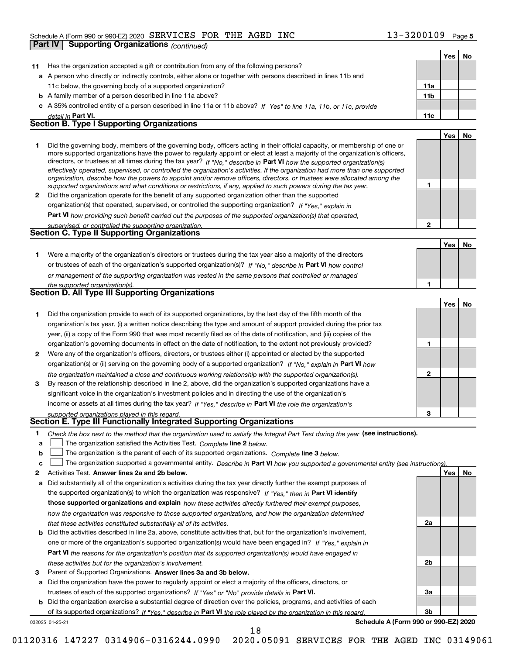#### Schedule A (Form 990 or 990-EZ) 2020 SERVICES FOR THE AGED INC 1 J – J Z U U I U 9 Page SERVICES FOR THE AGED INC 13-3200109

| Part IV | <b>Supporting Organizations (continued)</b>                                                                                                                                                                                                               |                 |            |           |
|---------|-----------------------------------------------------------------------------------------------------------------------------------------------------------------------------------------------------------------------------------------------------------|-----------------|------------|-----------|
|         |                                                                                                                                                                                                                                                           |                 | Yes        | No        |
| 11      | Has the organization accepted a gift or contribution from any of the following persons?                                                                                                                                                                   |                 |            |           |
|         | a A person who directly or indirectly controls, either alone or together with persons described in lines 11b and                                                                                                                                          |                 |            |           |
|         | 11c below, the governing body of a supported organization?                                                                                                                                                                                                | 11a             |            |           |
|         | <b>b</b> A family member of a person described in line 11a above?                                                                                                                                                                                         | 11 <sub>b</sub> |            |           |
|         | c A 35% controlled entity of a person described in line 11a or 11b above? If "Yes" to line 11a, 11b, or 11c, provide                                                                                                                                      |                 |            |           |
|         | detail in Part VI.                                                                                                                                                                                                                                        | 11c             |            |           |
|         | <b>Section B. Type I Supporting Organizations</b>                                                                                                                                                                                                         |                 |            |           |
|         |                                                                                                                                                                                                                                                           |                 | Yes        | No        |
| 1       | Did the governing body, members of the governing body, officers acting in their official capacity, or membership of one or                                                                                                                                |                 |            |           |
|         | more supported organizations have the power to regularly appoint or elect at least a majority of the organization's officers,                                                                                                                             |                 |            |           |
|         | directors, or trustees at all times during the tax year? If "No," describe in Part VI how the supported organization(s)<br>effectively operated, supervised, or controlled the organization's activities. If the organization had more than one supported |                 |            |           |
|         | organization, describe how the powers to appoint and/or remove officers, directors, or trustees were allocated among the                                                                                                                                  |                 |            |           |
|         | supported organizations and what conditions or restrictions, if any, applied to such powers during the tax year.                                                                                                                                          | 1               |            |           |
| 2       | Did the organization operate for the benefit of any supported organization other than the supported                                                                                                                                                       |                 |            |           |
|         | organization(s) that operated, supervised, or controlled the supporting organization? If "Yes," explain in                                                                                                                                                |                 |            |           |
|         | Part VI how providing such benefit carried out the purposes of the supported organization(s) that operated,                                                                                                                                               |                 |            |           |
|         | supervised, or controlled the supporting organization.                                                                                                                                                                                                    | $\overline{2}$  |            |           |
|         | <b>Section C. Type II Supporting Organizations</b>                                                                                                                                                                                                        |                 |            |           |
|         |                                                                                                                                                                                                                                                           |                 | Yes        | No        |
| 1       | Were a majority of the organization's directors or trustees during the tax year also a majority of the directors                                                                                                                                          |                 |            |           |
|         | or trustees of each of the organization's supported organization(s)? If "No," describe in Part VI how control                                                                                                                                             |                 |            |           |
|         | or management of the supporting organization was vested in the same persons that controlled or managed                                                                                                                                                    |                 |            |           |
|         | the supported organization(s).                                                                                                                                                                                                                            | 1               |            |           |
|         | <b>Section D. All Type III Supporting Organizations</b>                                                                                                                                                                                                   |                 |            |           |
|         |                                                                                                                                                                                                                                                           |                 | Yes        | No        |
| 1       | Did the organization provide to each of its supported organizations, by the last day of the fifth month of the                                                                                                                                            |                 |            |           |
|         | organization's tax year, (i) a written notice describing the type and amount of support provided during the prior tax                                                                                                                                     |                 |            |           |
|         | year, (ii) a copy of the Form 990 that was most recently filed as of the date of notification, and (iii) copies of the                                                                                                                                    |                 |            |           |
|         | organization's governing documents in effect on the date of notification, to the extent not previously provided?                                                                                                                                          | 1               |            |           |
| 2       | Were any of the organization's officers, directors, or trustees either (i) appointed or elected by the supported                                                                                                                                          |                 |            |           |
|         | organization(s) or (ii) serving on the governing body of a supported organization? If "No." explain in Part VI how                                                                                                                                        |                 |            |           |
|         | the organization maintained a close and continuous working relationship with the supported organization(s).                                                                                                                                               | $\mathbf 2$     |            |           |
| 3       | By reason of the relationship described in line 2, above, did the organization's supported organizations have a                                                                                                                                           |                 |            |           |
|         | significant voice in the organization's investment policies and in directing the use of the organization's                                                                                                                                                |                 |            |           |
|         | income or assets at all times during the tax year? If "Yes," describe in Part VI the role the organization's                                                                                                                                              |                 |            |           |
|         | supported organizations played in this regard.                                                                                                                                                                                                            |                 |            |           |
|         | Section E. Type III Functionally Integrated Supporting Organizations                                                                                                                                                                                      |                 |            |           |
| 1       | Check the box next to the method that the organization used to satisfy the Integral Part Test during the year (see instructions).                                                                                                                         |                 |            |           |
| а       | The organization satisfied the Activities Test. Complete line 2 below.                                                                                                                                                                                    |                 |            |           |
| b       | The organization is the parent of each of its supported organizations. Complete line 3 below.                                                                                                                                                             |                 |            |           |
| c       | The organization supported a governmental entity. Describe in Part VI how you supported a governmental entity (see instructions).                                                                                                                         |                 |            |           |
| 2       | Activities Test. Answer lines 2a and 2b below.                                                                                                                                                                                                            |                 | <b>Yes</b> | <u>No</u> |
| а       | Did substantially all of the organization's activities during the tax year directly further the exempt purposes of                                                                                                                                        |                 |            |           |
|         | the supported organization(s) to which the organization was responsive? If "Yes," then in Part VI identify                                                                                                                                                |                 |            |           |
|         | those supported organizations and explain how these activities directly furthered their exempt purposes,                                                                                                                                                  |                 |            |           |
|         | how the organization was responsive to those supported organizations, and how the organization determined                                                                                                                                                 |                 |            |           |
|         | that these activities constituted substantially all of its activities.                                                                                                                                                                                    | 2a              |            |           |
| b       | Did the activities described in line 2a, above, constitute activities that, but for the organization's involvement,                                                                                                                                       |                 |            |           |
|         | one or more of the organization's supported organization(s) would have been engaged in? If "Yes," explain in                                                                                                                                              |                 |            |           |
|         | <b>Part VI</b> the reasons for the organization's position that its supported organization(s) would have engaged in                                                                                                                                       |                 |            |           |
|         | these activities but for the organization's involvement.                                                                                                                                                                                                  | 2b              |            |           |
| з       | Parent of Supported Organizations. Answer lines 3a and 3b below.                                                                                                                                                                                          |                 |            |           |
| а       | Did the organization have the power to regularly appoint or elect a majority of the officers, directors, or                                                                                                                                               |                 |            |           |
|         | trustees of each of the supported organizations? If "Yes" or "No" provide details in Part VI.                                                                                                                                                             | За              |            |           |

**b** Did the organization exercise a substantial degree of direction over the policies, programs, and activities of each of its supported organizations? If "Yes," describe in Part VI the role played by the organization in this regard.

032025 01-25-21

18

**Schedule A (Form 990 or 990-EZ) 2020**

**3b**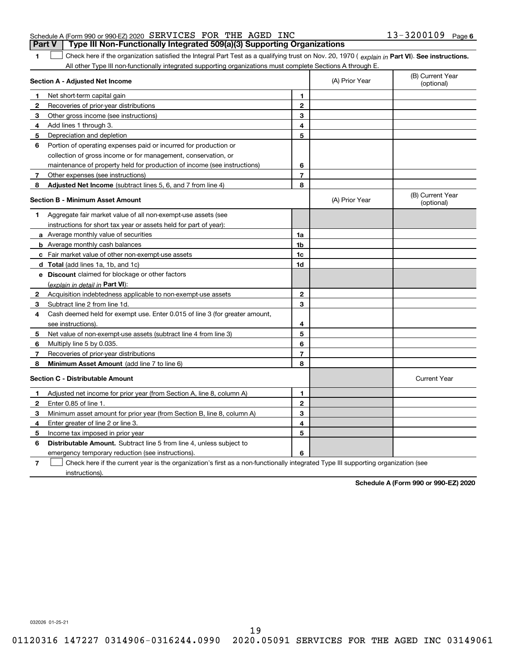| <b>Part V</b> Type III Non-Functionally Integrated 509(a)(3) Supporting Organizations |  |  |                       |  |
|---------------------------------------------------------------------------------------|--|--|-----------------------|--|
| Schedule A (Form 990 or 990-EZ) 2020 SERVICES FOR THE AGED INC                        |  |  | $13 - 3200109$ Page 6 |  |

1 Check here if the organization satisfied the Integral Part Test as a qualifying trust on Nov. 20, 1970 (explain in Part VI). See instructions. All other Type III non-functionally integrated supporting organizations must complete Sections A through E.

| Section A - Adjusted Net Income |                                                                             |                | (A) Prior Year | (B) Current Year<br>(optional) |
|---------------------------------|-----------------------------------------------------------------------------|----------------|----------------|--------------------------------|
| 1.                              | Net short-term capital gain                                                 | 1              |                |                                |
| 2                               | Recoveries of prior-year distributions                                      | $\overline{2}$ |                |                                |
| 3                               | Other gross income (see instructions)                                       | 3              |                |                                |
| 4                               | Add lines 1 through 3.                                                      | 4              |                |                                |
| 5                               | Depreciation and depletion                                                  | 5              |                |                                |
| 6                               | Portion of operating expenses paid or incurred for production or            |                |                |                                |
|                                 | collection of gross income or for management, conservation, or              |                |                |                                |
|                                 | maintenance of property held for production of income (see instructions)    | 6              |                |                                |
| 7                               | Other expenses (see instructions)                                           | $\overline{7}$ |                |                                |
| 8                               | Adjusted Net Income (subtract lines 5, 6, and 7 from line 4)                | 8              |                |                                |
|                                 | <b>Section B - Minimum Asset Amount</b>                                     |                | (A) Prior Year | (B) Current Year<br>(optional) |
| 1                               | Aggregate fair market value of all non-exempt-use assets (see               |                |                |                                |
|                                 | instructions for short tax year or assets held for part of year):           |                |                |                                |
|                                 | a Average monthly value of securities                                       | 1a             |                |                                |
|                                 | <b>b</b> Average monthly cash balances                                      | 1b             |                |                                |
|                                 | c Fair market value of other non-exempt-use assets                          | 1c             |                |                                |
|                                 | d Total (add lines 1a, 1b, and 1c)                                          | 1d             |                |                                |
|                                 | <b>e</b> Discount claimed for blockage or other factors                     |                |                |                                |
|                                 | (explain in detail in Part VI):                                             |                |                |                                |
| 2                               | Acquisition indebtedness applicable to non-exempt-use assets                | $\mathbf{2}$   |                |                                |
| З                               | Subtract line 2 from line 1d.                                               | 3              |                |                                |
| 4                               | Cash deemed held for exempt use. Enter 0.015 of line 3 (for greater amount, |                |                |                                |
|                                 | see instructions).                                                          | 4              |                |                                |
| 5                               | Net value of non-exempt-use assets (subtract line 4 from line 3)            | 5              |                |                                |
| 6                               | Multiply line 5 by 0.035.                                                   | 6              |                |                                |
| 7                               | Recoveries of prior-year distributions                                      | $\overline{7}$ |                |                                |
| 8                               | Minimum Asset Amount (add line 7 to line 6)                                 | 8              |                |                                |
|                                 | <b>Section C - Distributable Amount</b>                                     |                |                | <b>Current Year</b>            |
| 1                               | Adjusted net income for prior year (from Section A, line 8, column A)       | 1              |                |                                |
| 2                               | Enter 0.85 of line 1.                                                       | $\overline{2}$ |                |                                |
| 3                               | Minimum asset amount for prior year (from Section B, line 8, column A)      | 3              |                |                                |
| 4                               | Enter greater of line 2 or line 3.                                          | 4              |                |                                |
| 5                               | Income tax imposed in prior year                                            | 5              |                |                                |
| 6                               | <b>Distributable Amount.</b> Subtract line 5 from line 4, unless subject to |                |                |                                |
|                                 | emergency temporary reduction (see instructions).                           | 6              |                |                                |
|                                 |                                                                             |                |                |                                |

**7**Check here if the current year is the organization's first as a non-functionally integrated Type III supporting organization (see instructions).

**Schedule A (Form 990 or 990-EZ) 2020**

032026 01-25-21

**1**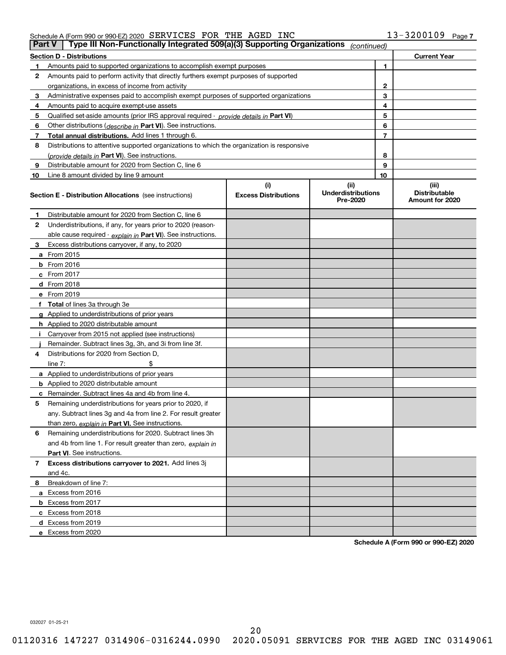### Schedule A (Form 990 or 990-EZ) 2020 Page SERVICES FOR THE AGED INC 13-3200109

|    | Type III Non-Functionally Integrated 509(a)(3) Supporting Organizations<br>Part V<br>(continued) |                             |                                       |    |                                         |  |  |  |
|----|--------------------------------------------------------------------------------------------------|-----------------------------|---------------------------------------|----|-----------------------------------------|--|--|--|
|    | <b>Section D - Distributions</b><br><b>Current Year</b>                                          |                             |                                       |    |                                         |  |  |  |
|    | Amounts paid to supported organizations to accomplish exempt purposes                            |                             |                                       | 1  |                                         |  |  |  |
| 2  | Amounts paid to perform activity that directly furthers exempt purposes of supported             |                             |                                       |    |                                         |  |  |  |
|    | organizations, in excess of income from activity                                                 |                             |                                       | 2  |                                         |  |  |  |
| 3  | Administrative expenses paid to accomplish exempt purposes of supported organizations            |                             |                                       | 3  |                                         |  |  |  |
| 4  | Amounts paid to acquire exempt-use assets                                                        |                             |                                       | 4  |                                         |  |  |  |
| 5  | Qualified set aside amounts (prior IRS approval required - provide details in Part VI)           |                             |                                       | 5  |                                         |  |  |  |
| 6  | Other distributions (describe in Part VI). See instructions.                                     |                             |                                       | 6  |                                         |  |  |  |
| 7  | Total annual distributions. Add lines 1 through 6.                                               |                             |                                       | 7  |                                         |  |  |  |
| 8  | Distributions to attentive supported organizations to which the organization is responsive       |                             |                                       |    |                                         |  |  |  |
|    | (provide details in Part VI). See instructions.                                                  |                             |                                       | 8  |                                         |  |  |  |
| 9  | Distributable amount for 2020 from Section C, line 6                                             |                             |                                       | 9  |                                         |  |  |  |
| 10 | Line 8 amount divided by line 9 amount                                                           |                             |                                       | 10 |                                         |  |  |  |
|    |                                                                                                  | (i)                         | (ii)                                  |    | (iii)                                   |  |  |  |
|    | <b>Section E - Distribution Allocations</b> (see instructions)                                   | <b>Excess Distributions</b> | <b>Underdistributions</b><br>Pre-2020 |    | <b>Distributable</b><br>Amount for 2020 |  |  |  |
| 1  | Distributable amount for 2020 from Section C, line 6                                             |                             |                                       |    |                                         |  |  |  |
| 2  | Underdistributions, if any, for years prior to 2020 (reason-                                     |                             |                                       |    |                                         |  |  |  |
|    | able cause required - explain in Part VI). See instructions.                                     |                             |                                       |    |                                         |  |  |  |
| 3  | Excess distributions carryover, if any, to 2020                                                  |                             |                                       |    |                                         |  |  |  |
|    | a From 2015                                                                                      |                             |                                       |    |                                         |  |  |  |
|    | $b$ From 2016                                                                                    |                             |                                       |    |                                         |  |  |  |
|    | $c$ From 2017                                                                                    |                             |                                       |    |                                         |  |  |  |
|    | <b>d</b> From 2018                                                                               |                             |                                       |    |                                         |  |  |  |
|    | e From 2019                                                                                      |                             |                                       |    |                                         |  |  |  |
|    | f Total of lines 3a through 3e                                                                   |                             |                                       |    |                                         |  |  |  |
|    | g Applied to underdistributions of prior years                                                   |                             |                                       |    |                                         |  |  |  |
|    | <b>h</b> Applied to 2020 distributable amount                                                    |                             |                                       |    |                                         |  |  |  |
|    | Carryover from 2015 not applied (see instructions)                                               |                             |                                       |    |                                         |  |  |  |
|    | Remainder. Subtract lines 3g, 3h, and 3i from line 3f.                                           |                             |                                       |    |                                         |  |  |  |
| 4  | Distributions for 2020 from Section D.                                                           |                             |                                       |    |                                         |  |  |  |
|    | line $7:$                                                                                        |                             |                                       |    |                                         |  |  |  |
|    | a Applied to underdistributions of prior years                                                   |                             |                                       |    |                                         |  |  |  |
|    | <b>b</b> Applied to 2020 distributable amount                                                    |                             |                                       |    |                                         |  |  |  |
|    | <b>c</b> Remainder. Subtract lines 4a and 4b from line 4.                                        |                             |                                       |    |                                         |  |  |  |
| 5  | Remaining underdistributions for years prior to 2020, if                                         |                             |                                       |    |                                         |  |  |  |
|    | any. Subtract lines 3g and 4a from line 2. For result greater                                    |                             |                                       |    |                                         |  |  |  |
|    | than zero, explain in Part VI. See instructions.                                                 |                             |                                       |    |                                         |  |  |  |
| 6  | Remaining underdistributions for 2020. Subtract lines 3h                                         |                             |                                       |    |                                         |  |  |  |
|    | and 4b from line 1. For result greater than zero, explain in                                     |                             |                                       |    |                                         |  |  |  |
|    | <b>Part VI.</b> See instructions.                                                                |                             |                                       |    |                                         |  |  |  |
| 7  | Excess distributions carryover to 2021. Add lines 3j                                             |                             |                                       |    |                                         |  |  |  |
|    | and 4c.                                                                                          |                             |                                       |    |                                         |  |  |  |
| 8  | Breakdown of line 7:                                                                             |                             |                                       |    |                                         |  |  |  |
|    | a Excess from 2016                                                                               |                             |                                       |    |                                         |  |  |  |
|    | <b>b</b> Excess from 2017                                                                        |                             |                                       |    |                                         |  |  |  |
|    | c Excess from 2018                                                                               |                             |                                       |    |                                         |  |  |  |
|    | d Excess from 2019                                                                               |                             |                                       |    |                                         |  |  |  |
|    | e Excess from 2020                                                                               |                             |                                       |    |                                         |  |  |  |

**Schedule A (Form 990 or 990-EZ) 2020**

032027 01-25-21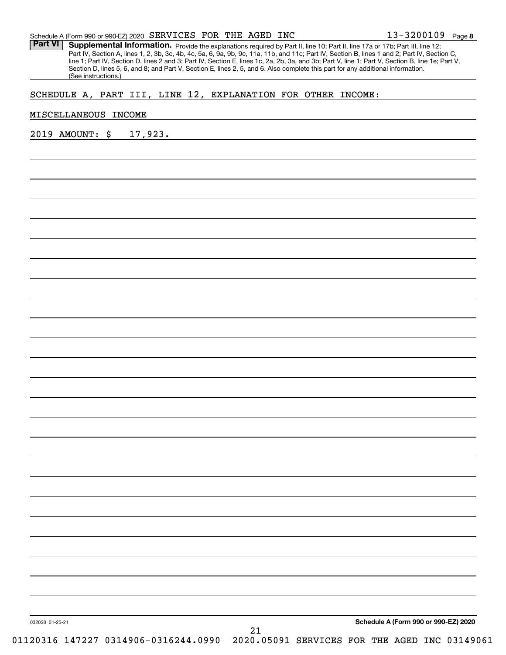Part VI | Supplemental Information. Provide the explanations required by Part II, line 10; Part II, line 17a or 17b; Part III, line 12; Part IV, Section A, lines 1, 2, 3b, 3c, 4b, 4c, 5a, 6, 9a, 9b, 9c, 11a, 11b, and 11c; Part IV, Section B, lines 1 and 2; Part IV, Section C, line 1; Part IV, Section D, lines 2 and 3; Part IV, Section E, lines 1c, 2a, 2b, 3a, and 3b; Part V, line 1; Part V, Section B, line 1e; Part V, Section D, lines 5, 6, and 8; and Part V, Section E, lines 2, 5, and 6. Also complete this part for any additional information. (See instructions.)

# SCHEDULE A, PART III, LINE 12, EXPLANATION FOR OTHER INCOME:

#### MISCELLANEOUS INCOME

2019 AMOUNT: \$ 17,923.

032028 01-25-21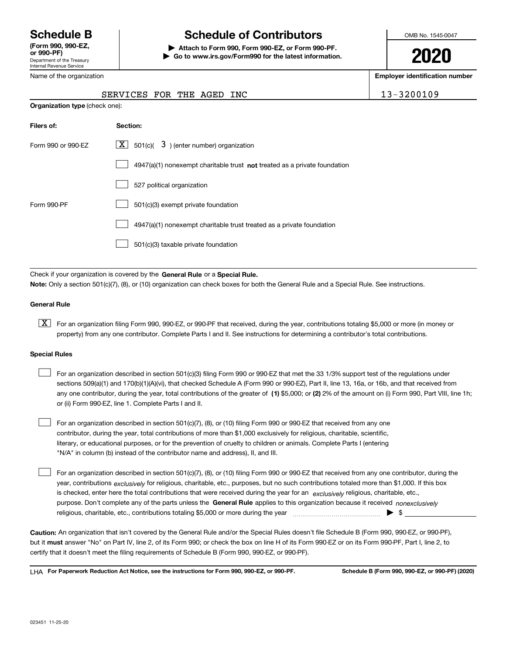Department of the Treasury Internal Revenue Service **(Form 990, 990-EZ, or 990-PF)**

Name of the organization

# **Schedule B Schedule of Contributors**

**| Attach to Form 990, Form 990-EZ, or Form 990-PF. | Go to www.irs.gov/Form990 for the latest information.** OMB No. 1545-0047

**2020**

**Employer identification number**

|                                                    | SERVICES FOR THE AGED INC                                                   | $13 - 3200109$ |  |  |  |  |
|----------------------------------------------------|-----------------------------------------------------------------------------|----------------|--|--|--|--|
| <b>Organization type (check one):</b>              |                                                                             |                |  |  |  |  |
| Filers of:                                         | Section:                                                                    |                |  |  |  |  |
| Form 990 or 990-EZ                                 | $\lfloor x \rfloor$ 501(c)( 3) (enter number) organization                  |                |  |  |  |  |
|                                                    | $4947(a)(1)$ nonexempt charitable trust not treated as a private foundation |                |  |  |  |  |
|                                                    | 527 political organization                                                  |                |  |  |  |  |
| Form 990-PF<br>501(c)(3) exempt private foundation |                                                                             |                |  |  |  |  |
|                                                    | 4947(a)(1) nonexempt charitable trust treated as a private foundation       |                |  |  |  |  |

501(c)(3) taxable private foundation  $\mathcal{L}^{\text{max}}$ 

Check if your organization is covered by the **General Rule** or a **Special Rule. Note:**  Only a section 501(c)(7), (8), or (10) organization can check boxes for both the General Rule and a Special Rule. See instructions.

# **General Rule**

 $\boxed{\textbf{X}}$  For an organization filing Form 990, 990-EZ, or 990-PF that received, during the year, contributions totaling \$5,000 or more (in money or property) from any one contributor. Complete Parts I and II. See instructions for determining a contributor's total contributions.

#### **Special Rules**

| For an organization described in section 501(c)(3) filing Form 990 or 990-EZ that met the 33 1/3% support test of the regulations under               |
|-------------------------------------------------------------------------------------------------------------------------------------------------------|
| sections 509(a)(1) and 170(b)(1)(A)(vi), that checked Schedule A (Form 990 or 990-EZ), Part II, line 13, 16a, or 16b, and that received from          |
| any one contributor, during the year, total contributions of the greater of (1) \$5,000; or (2) 2% of the amount on (i) Form 990, Part VIII, line 1h; |
| or (ii) Form 990-EZ, line 1. Complete Parts I and II.                                                                                                 |

For an organization described in section 501(c)(7), (8), or (10) filing Form 990 or 990-EZ that received from any one contributor, during the year, total contributions of more than \$1,000 exclusively for religious, charitable, scientific, literary, or educational purposes, or for the prevention of cruelty to children or animals. Complete Parts I (entering "N/A" in column (b) instead of the contributor name and address), II, and III.  $\mathcal{L}^{\text{max}}$ 

purpose. Don't complete any of the parts unless the **General Rule** applies to this organization because it received *nonexclusively* year, contributions <sub>exclusively</sub> for religious, charitable, etc., purposes, but no such contributions totaled more than \$1,000. If this box is checked, enter here the total contributions that were received during the year for an  $\;$ exclusively religious, charitable, etc., For an organization described in section 501(c)(7), (8), or (10) filing Form 990 or 990-EZ that received from any one contributor, during the religious, charitable, etc., contributions totaling \$5,000 or more during the year  $\Box$ — $\Box$   $\Box$  $\mathcal{L}^{\text{max}}$ 

**Caution:**  An organization that isn't covered by the General Rule and/or the Special Rules doesn't file Schedule B (Form 990, 990-EZ, or 990-PF),  **must** but it answer "No" on Part IV, line 2, of its Form 990; or check the box on line H of its Form 990-EZ or on its Form 990-PF, Part I, line 2, to certify that it doesn't meet the filing requirements of Schedule B (Form 990, 990-EZ, or 990-PF).

**For Paperwork Reduction Act Notice, see the instructions for Form 990, 990-EZ, or 990-PF. Schedule B (Form 990, 990-EZ, or 990-PF) (2020)** LHA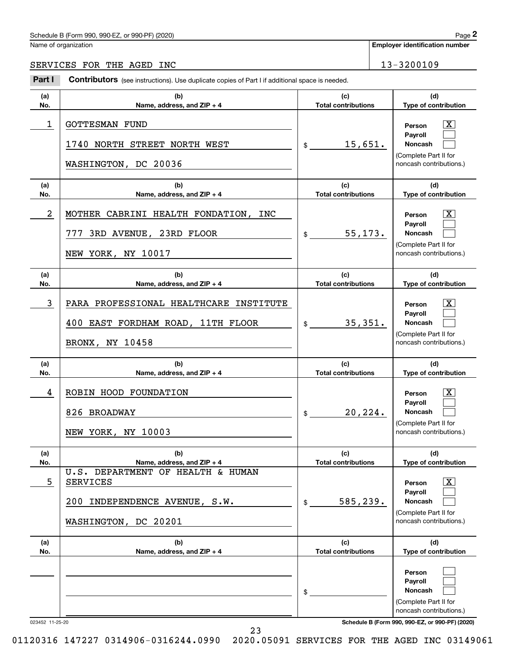# Schedule B (Form 990, 990-EZ, or 990-PF) (2020) Page 2

|                 | Schedule B (Form 990, 990-EZ, or 990-PF) (2020)                                                               |                                   | Page 2                                                                                                                              |
|-----------------|---------------------------------------------------------------------------------------------------------------|-----------------------------------|-------------------------------------------------------------------------------------------------------------------------------------|
|                 | Name of organization                                                                                          |                                   | <b>Employer identification number</b>                                                                                               |
|                 | SERVICES FOR THE AGED INC                                                                                     |                                   | 13-3200109                                                                                                                          |
| Part I          | Contributors (see instructions). Use duplicate copies of Part I if additional space is needed.                |                                   |                                                                                                                                     |
| (a)<br>No.      | (b)<br>Name, address, and ZIP + 4                                                                             | (c)<br><b>Total contributions</b> | (d)<br>Type of contribution                                                                                                         |
| 1               | <b>GOTTESMAN FUND</b><br>NORTH STREET NORTH WEST<br>1740<br>WASHINGTON, DC 20036                              | 15,651.<br>\$                     | $\mathbf{X}$<br>Person<br>Payroll<br>Noncash<br>(Complete Part II for<br>noncash contributions.)                                    |
| (a)<br>No.      | (b)<br>Name, address, and ZIP + 4                                                                             | (c)<br><b>Total contributions</b> | (d)<br>Type of contribution                                                                                                         |
| $\overline{a}$  | MOTHER CABRINI HEALTH FONDATION, INC<br>3RD AVENUE, 23RD FLOOR<br>777<br>NEW YORK, NY 10017                   | 55, 173.<br>\$                    | $\mathbf{X}$<br>Person<br>Payroll<br>Noncash<br>(Complete Part II for<br>noncash contributions.)                                    |
| (a)<br>No.      | (b)<br>Name, address, and ZIP + 4                                                                             | (c)<br><b>Total contributions</b> | (d)<br>Type of contribution                                                                                                         |
| 3               | PARA PROFESSIONAL HEALTHCARE INSTITUTE<br>400 EAST FORDHAM ROAD, 11TH FLOOR<br>BRONX, NY 10458                | 35,351.<br>\$                     | $\mathbf{X}$<br>Person<br>Payroll<br>Noncash<br>(Complete Part II for<br>noncash contributions.)                                    |
| (a)<br>No.      | (b)<br>Name, address, and ZIP + 4                                                                             | (c)<br><b>Total contributions</b> | (d)<br>Type of contribution                                                                                                         |
| 4               | ROBIN HOOD FOUNDATION<br>826 BROADWAY<br>NEW YORK, NY 10003                                                   | 20, 224.<br>\$                    | $\mathbf{X}$<br>Person<br>Payroll<br><b>Noncash</b><br>(Complete Part II for<br>noncash contributions.)                             |
| (a)<br>No.      | (b)<br>Name, address, and ZIP + 4                                                                             | (c)<br><b>Total contributions</b> | (d)<br>Type of contribution                                                                                                         |
| 5               | U.S. DEPARTMENT OF HEALTH & HUMAN<br><b>SERVICES</b><br>200 INDEPENDENCE AVENUE, S.W.<br>WASHINGTON, DC 20201 | 585,239.<br>\$                    | $\boxed{\text{X}}$<br>Person<br>Payroll<br>Noncash<br>(Complete Part II for<br>noncash contributions.)                              |
| (a)<br>No.      | (b)<br>Name, address, and ZIP + 4                                                                             | (c)<br><b>Total contributions</b> | (d)<br>Type of contribution                                                                                                         |
| 023452 11-25-20 |                                                                                                               | \$                                | Person<br>Payroll<br>Noncash<br>(Complete Part II for<br>noncash contributions.)<br>Schedule B (Form 990, 990-EZ, or 990-PF) (2020) |

23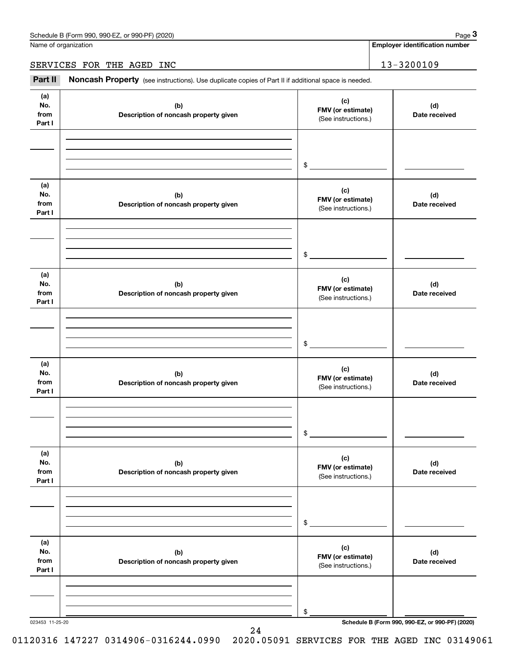Name of organization

**Employer identification number**

SERVICES FOR THE AGED INC 13-3200109

(see instructions). Use duplicate copies of Part II if additional space is needed.<br> **2Part II Noncash Property** (see instructions). Use duplicate copies of Part II if additional space is needed.<br> **2Part II Noncash Prop** 

| (a)<br>No.<br>from<br>Part I | (b)<br>Description of noncash property given | (c)<br>FMV (or estimate)<br>(See instructions.) | (d)<br>Date received                            |
|------------------------------|----------------------------------------------|-------------------------------------------------|-------------------------------------------------|
|                              |                                              | $\mathfrak s$                                   |                                                 |
| (a)<br>No.<br>from<br>Part I | (b)<br>Description of noncash property given | (c)<br>FMV (or estimate)<br>(See instructions.) | (d)<br>Date received                            |
|                              |                                              | $\sim$                                          |                                                 |
| (a)<br>No.<br>from<br>Part I | (b)<br>Description of noncash property given | (c)<br>FMV (or estimate)<br>(See instructions.) | (d)<br>Date received                            |
|                              |                                              | $\frac{1}{2}$                                   |                                                 |
| (a)<br>No.<br>from<br>Part I | (b)<br>Description of noncash property given | (c)<br>FMV (or estimate)<br>(See instructions.) | (d)<br>Date received                            |
|                              |                                              | $\frac{1}{2}$                                   |                                                 |
| (a)<br>No.<br>from<br>Part I | (b)<br>Description of noncash property given | (c)<br>FMV (or estimate)<br>(See instructions.) | (d)<br>Date received                            |
|                              |                                              | \$                                              |                                                 |
| (a)<br>No.<br>from<br>Part I | (b)<br>Description of noncash property given | (c)<br>FMV (or estimate)<br>(See instructions.) | (d)<br>Date received                            |
|                              |                                              | \$                                              |                                                 |
| 023453 11-25-20              |                                              |                                                 | Schedule B (Form 990, 990-EZ, or 990-PF) (2020) |

24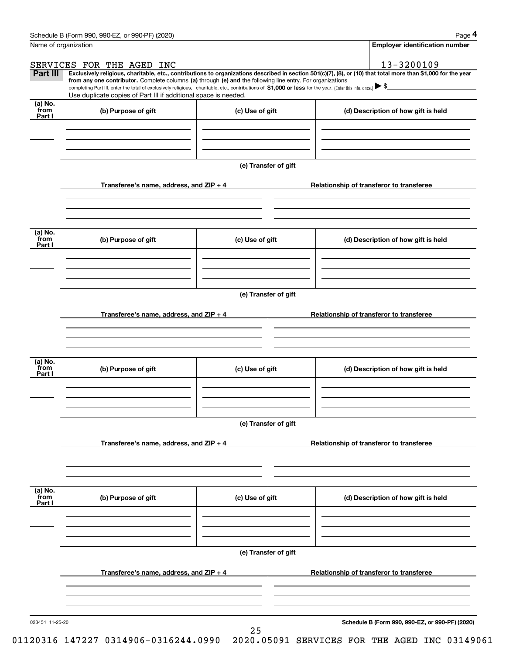|                           | Schedule B (Form 990, 990-EZ, or 990-PF) (2020)                                                                                                                                                                                                                                                 |                      |                                       | Page 4                                          |  |  |  |  |  |
|---------------------------|-------------------------------------------------------------------------------------------------------------------------------------------------------------------------------------------------------------------------------------------------------------------------------------------------|----------------------|---------------------------------------|-------------------------------------------------|--|--|--|--|--|
|                           | Name of organization                                                                                                                                                                                                                                                                            |                      | <b>Employer identification number</b> |                                                 |  |  |  |  |  |
|                           | SERVICES FOR THE AGED INC                                                                                                                                                                                                                                                                       |                      |                                       | 13-3200109                                      |  |  |  |  |  |
| Part III                  | Exclusively religious, charitable, etc., contributions to organizations described in section 501(c)(7), (8), or (10) that total more than \$1,000 for the year                                                                                                                                  |                      |                                       |                                                 |  |  |  |  |  |
|                           | from any one contributor. Complete columns (a) through (e) and the following line entry. For organizations<br>completing Part III, enter the total of exclusively religious, charitable, etc., contributions of \$1,000 or less for the year. (Enter this info. once.) $\blacktriangleright$ \$ |                      |                                       |                                                 |  |  |  |  |  |
|                           | Use duplicate copies of Part III if additional space is needed.                                                                                                                                                                                                                                 |                      |                                       |                                                 |  |  |  |  |  |
| (a) No.<br>from<br>Part I | (b) Purpose of gift                                                                                                                                                                                                                                                                             | (c) Use of gift      |                                       | (d) Description of how gift is held             |  |  |  |  |  |
|                           |                                                                                                                                                                                                                                                                                                 |                      |                                       |                                                 |  |  |  |  |  |
|                           |                                                                                                                                                                                                                                                                                                 |                      |                                       |                                                 |  |  |  |  |  |
|                           |                                                                                                                                                                                                                                                                                                 | (e) Transfer of gift |                                       |                                                 |  |  |  |  |  |
|                           | Transferee's name, address, and ZIP + 4                                                                                                                                                                                                                                                         |                      |                                       | Relationship of transferor to transferee        |  |  |  |  |  |
|                           |                                                                                                                                                                                                                                                                                                 |                      |                                       |                                                 |  |  |  |  |  |
| (a) No.<br>from<br>Part I | (b) Purpose of gift                                                                                                                                                                                                                                                                             | (c) Use of gift      |                                       | (d) Description of how gift is held             |  |  |  |  |  |
|                           |                                                                                                                                                                                                                                                                                                 |                      |                                       |                                                 |  |  |  |  |  |
|                           |                                                                                                                                                                                                                                                                                                 |                      |                                       |                                                 |  |  |  |  |  |
|                           | (e) Transfer of gift                                                                                                                                                                                                                                                                            |                      |                                       |                                                 |  |  |  |  |  |
|                           | Transferee's name, address, and ZIP + 4                                                                                                                                                                                                                                                         |                      |                                       | Relationship of transferor to transferee        |  |  |  |  |  |
|                           |                                                                                                                                                                                                                                                                                                 |                      |                                       |                                                 |  |  |  |  |  |
| (a) No.<br>from<br>Part I | (b) Purpose of gift                                                                                                                                                                                                                                                                             | (c) Use of gift      |                                       | (d) Description of how gift is held             |  |  |  |  |  |
|                           |                                                                                                                                                                                                                                                                                                 |                      |                                       |                                                 |  |  |  |  |  |
|                           | (e) Transfer of gift                                                                                                                                                                                                                                                                            |                      |                                       |                                                 |  |  |  |  |  |
|                           | Transferee's name, address, and ZIP + 4                                                                                                                                                                                                                                                         |                      |                                       | Relationship of transferor to transferee        |  |  |  |  |  |
|                           |                                                                                                                                                                                                                                                                                                 |                      |                                       |                                                 |  |  |  |  |  |
| (a) No.<br>from<br>Part I | (b) Purpose of gift                                                                                                                                                                                                                                                                             | (c) Use of gift      |                                       | (d) Description of how gift is held             |  |  |  |  |  |
|                           |                                                                                                                                                                                                                                                                                                 |                      |                                       |                                                 |  |  |  |  |  |
|                           |                                                                                                                                                                                                                                                                                                 |                      |                                       |                                                 |  |  |  |  |  |
|                           |                                                                                                                                                                                                                                                                                                 | (e) Transfer of gift |                                       |                                                 |  |  |  |  |  |
|                           | Transferee's name, address, and $ZIP + 4$                                                                                                                                                                                                                                                       |                      |                                       | Relationship of transferor to transferee        |  |  |  |  |  |
|                           |                                                                                                                                                                                                                                                                                                 |                      |                                       |                                                 |  |  |  |  |  |
| 023454 11-25-20           |                                                                                                                                                                                                                                                                                                 |                      |                                       | Schedule B (Form 990, 990-EZ, or 990-PF) (2020) |  |  |  |  |  |

25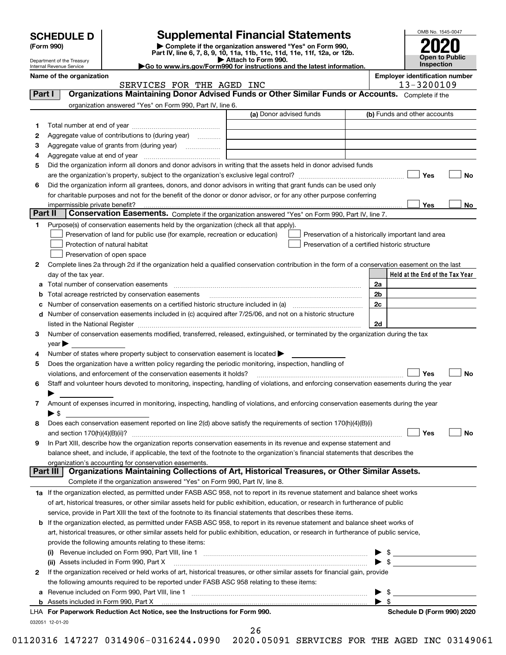|        | <b>SCHEDULE D</b><br>(Form 990)    |                                                                                                        | <b>Supplemental Financial Statements</b><br>Complete if the organization answered "Yes" on Form 990,                                           |                |                                                     |
|--------|------------------------------------|--------------------------------------------------------------------------------------------------------|------------------------------------------------------------------------------------------------------------------------------------------------|----------------|-----------------------------------------------------|
|        | Department of the Treasury         |                                                                                                        | Part IV, line 6, 7, 8, 9, 10, 11a, 11b, 11c, 11d, 11e, 11f, 12a, or 12b.<br>Attach to Form 990.                                                |                | <b>Open to Public</b>                               |
|        | Internal Revenue Service           |                                                                                                        | Go to www.irs.gov/Form990 for instructions and the latest information.                                                                         |                | Inspection                                          |
|        | Name of the organization           | SERVICES FOR THE AGED INC                                                                              |                                                                                                                                                |                | <b>Employer identification number</b><br>13-3200109 |
| Part I |                                    |                                                                                                        | Organizations Maintaining Donor Advised Funds or Other Similar Funds or Accounts. Complete if the                                              |                |                                                     |
|        |                                    | organization answered "Yes" on Form 990, Part IV, line 6.                                              |                                                                                                                                                |                |                                                     |
|        |                                    |                                                                                                        | (a) Donor advised funds                                                                                                                        |                | (b) Funds and other accounts                        |
| 1      |                                    |                                                                                                        |                                                                                                                                                |                |                                                     |
| 2      |                                    | Aggregate value of contributions to (during year)                                                      |                                                                                                                                                |                |                                                     |
| з      |                                    |                                                                                                        |                                                                                                                                                |                |                                                     |
| 4      |                                    |                                                                                                        |                                                                                                                                                |                |                                                     |
| 5      |                                    |                                                                                                        | Did the organization inform all donors and donor advisors in writing that the assets held in donor advised funds                               |                |                                                     |
|        |                                    |                                                                                                        |                                                                                                                                                |                | Yes<br>No                                           |
| 6      |                                    |                                                                                                        | Did the organization inform all grantees, donors, and donor advisors in writing that grant funds can be used only                              |                |                                                     |
|        |                                    |                                                                                                        | for charitable purposes and not for the benefit of the donor or donor advisor, or for any other purpose conferring                             |                |                                                     |
|        |                                    |                                                                                                        |                                                                                                                                                |                | <b>Yes</b><br>No                                    |
|        | Part II                            |                                                                                                        | <b>Conservation Easements.</b> Complete if the organization answered "Yes" on Form 990, Part IV, line 7.                                       |                |                                                     |
| 1      |                                    | Purpose(s) of conservation easements held by the organization (check all that apply).                  |                                                                                                                                                |                |                                                     |
|        |                                    | Preservation of land for public use (for example, recreation or education)                             |                                                                                                                                                |                | Preservation of a historically important land area  |
|        |                                    | Protection of natural habitat                                                                          | Preservation of a certified historic structure                                                                                                 |                |                                                     |
|        |                                    | Preservation of open space                                                                             |                                                                                                                                                |                |                                                     |
| 2      |                                    |                                                                                                        | Complete lines 2a through 2d if the organization held a qualified conservation contribution in the form of a conservation easement on the last |                |                                                     |
|        | day of the tax year.               |                                                                                                        |                                                                                                                                                | 2a             | Held at the End of the Tax Year                     |
|        |                                    |                                                                                                        |                                                                                                                                                | 2 <sub>b</sub> |                                                     |
| b<br>c |                                    |                                                                                                        |                                                                                                                                                | 2c             |                                                     |
|        |                                    |                                                                                                        | d Number of conservation easements included in (c) acquired after 7/25/06, and not on a historic structure                                     |                |                                                     |
|        |                                    |                                                                                                        |                                                                                                                                                | 2d             |                                                     |
| 3      |                                    |                                                                                                        | Number of conservation easements modified, transferred, released, extinguished, or terminated by the organization during the tax               |                |                                                     |
|        | $\gamma$ ear $\blacktriangleright$ |                                                                                                        |                                                                                                                                                |                |                                                     |
| 4      |                                    | Number of states where property subject to conservation easement is located $\blacktriangleright$      |                                                                                                                                                |                |                                                     |
| 5      |                                    | Does the organization have a written policy regarding the periodic monitoring, inspection, handling of |                                                                                                                                                |                |                                                     |
|        |                                    | violations, and enforcement of the conservation easements it holds?                                    |                                                                                                                                                |                | Yes<br><b>No</b>                                    |
|        |                                    |                                                                                                        | Staff and volunteer hours devoted to monitoring, inspecting, handling of violations, and enforcing conservation easements during the year      |                |                                                     |
|        |                                    |                                                                                                        |                                                                                                                                                |                |                                                     |
| 7      |                                    |                                                                                                        | Amount of expenses incurred in monitoring, inspecting, handling of violations, and enforcing conservation easements during the year            |                |                                                     |
|        | ▶ \$                               |                                                                                                        |                                                                                                                                                |                |                                                     |
| 8      |                                    |                                                                                                        | Does each conservation easement reported on line 2(d) above satisfy the requirements of section 170(h)(4)(B)(i)                                |                |                                                     |
|        | and section 170(h)(4)(B)(ii)?      |                                                                                                        |                                                                                                                                                |                | Yes<br>No                                           |
| 9      |                                    |                                                                                                        | In Part XIII, describe how the organization reports conservation easements in its revenue and expense statement and                            |                |                                                     |
|        |                                    |                                                                                                        | balance sheet, and include, if applicable, the text of the footnote to the organization's financial statements that describes the              |                |                                                     |
|        | Part III                           | organization's accounting for conservation easements.                                                  | Organizations Maintaining Collections of Art, Historical Treasures, or Other Similar Assets.                                                   |                |                                                     |
|        |                                    | Complete if the organization answered "Yes" on Form 990, Part IV, line 8.                              |                                                                                                                                                |                |                                                     |
|        |                                    |                                                                                                        |                                                                                                                                                |                |                                                     |
|        |                                    |                                                                                                        | 1a If the organization elected, as permitted under FASB ASC 958, not to report in its revenue statement and balance sheet works                |                |                                                     |
|        |                                    |                                                                                                        | of art, historical treasures, or other similar assets held for public exhibition, education, or research in furtherance of public              |                |                                                     |
|        |                                    |                                                                                                        | service, provide in Part XIII the text of the footnote to its financial statements that describes these items.                                 |                |                                                     |
|        |                                    |                                                                                                        | <b>b</b> If the organization elected, as permitted under FASB ASC 958, to report in its revenue statement and balance sheet works of           |                |                                                     |
|        |                                    | provide the following amounts relating to these items:                                                 | art, historical treasures, or other similar assets held for public exhibition, education, or research in furtherance of public service,        |                |                                                     |
|        |                                    |                                                                                                        |                                                                                                                                                |                |                                                     |
|        |                                    |                                                                                                        |                                                                                                                                                |                |                                                     |
|        |                                    |                                                                                                        |                                                                                                                                                |                |                                                     |

| 2 If the organization received or held works of art, historical treasures, or other similar assets for financial gain, provide |  |
|--------------------------------------------------------------------------------------------------------------------------------|--|
| the following amounts required to be reported under FASB ASC 958 relating to these items:                                      |  |
| a Revenue included on Form 990, Part VIII, line 1                                                                              |  |

| LHA For Paperwork Reduction Act Notice, see the Instructions for Form 990. |
|----------------------------------------------------------------------------|
| 032051 12-01-20                                                            |

**Schedule D (Form 990) 2020** 

 $\blacktriangleright$  \$

 $\blacktriangleright$  \$

26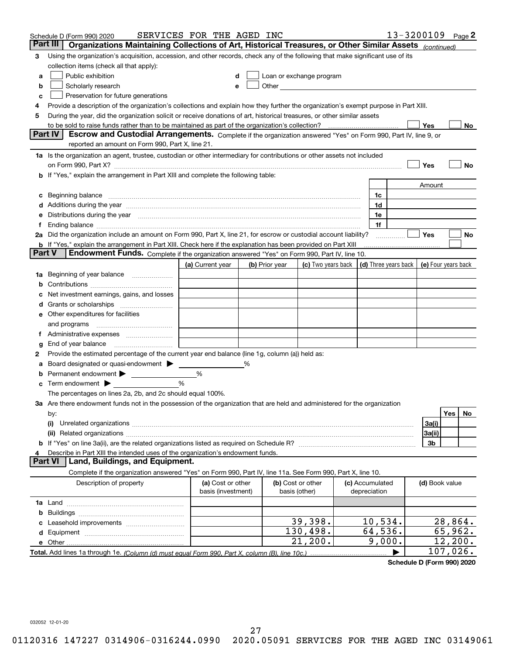|        | Schedule D (Form 990) 2020                                                                                                                                                                                                           | SERVICES FOR THE AGED INC               |   |                |                                    |                                 | 13-3200109 |                | Page $2$                                   |
|--------|--------------------------------------------------------------------------------------------------------------------------------------------------------------------------------------------------------------------------------------|-----------------------------------------|---|----------------|------------------------------------|---------------------------------|------------|----------------|--------------------------------------------|
|        | Part III<br>Organizations Maintaining Collections of Art, Historical Treasures, or Other Similar Assets (continued)                                                                                                                  |                                         |   |                |                                    |                                 |            |                |                                            |
| 3      | Using the organization's acquisition, accession, and other records, check any of the following that make significant use of its                                                                                                      |                                         |   |                |                                    |                                 |            |                |                                            |
|        | collection items (check all that apply):                                                                                                                                                                                             |                                         |   |                |                                    |                                 |            |                |                                            |
| a      | Public exhibition                                                                                                                                                                                                                    |                                         |   |                | Loan or exchange program           |                                 |            |                |                                            |
| b      | Scholarly research                                                                                                                                                                                                                   |                                         |   |                |                                    |                                 |            |                |                                            |
| с      | Preservation for future generations                                                                                                                                                                                                  |                                         |   |                |                                    |                                 |            |                |                                            |
| 4      | Provide a description of the organization's collections and explain how they further the organization's exempt purpose in Part XIII.                                                                                                 |                                         |   |                |                                    |                                 |            |                |                                            |
| 5      | During the year, did the organization solicit or receive donations of art, historical treasures, or other similar assets                                                                                                             |                                         |   |                |                                    |                                 |            |                |                                            |
|        | to be sold to raise funds rather than to be maintained as part of the organization's collection?                                                                                                                                     |                                         |   |                |                                    |                                 |            | Yes            | No                                         |
|        | <b>Part IV</b><br>Escrow and Custodial Arrangements. Complete if the organization answered "Yes" on Form 990, Part IV, line 9, or                                                                                                    |                                         |   |                |                                    |                                 |            |                |                                            |
|        | reported an amount on Form 990, Part X, line 21.                                                                                                                                                                                     |                                         |   |                |                                    |                                 |            |                |                                            |
|        | 1a Is the organization an agent, trustee, custodian or other intermediary for contributions or other assets not included                                                                                                             |                                         |   |                |                                    |                                 |            |                |                                            |
|        | on Form 990, Part X? [11] matter contracts and contracts and contracts are contracted as a form 990, Part X?                                                                                                                         |                                         |   |                |                                    |                                 |            | Yes            | No                                         |
|        | b If "Yes," explain the arrangement in Part XIII and complete the following table:                                                                                                                                                   |                                         |   |                |                                    |                                 |            |                |                                            |
|        |                                                                                                                                                                                                                                      |                                         |   |                |                                    |                                 |            | Amount         |                                            |
| c      | Beginning balance <b>contract contract and contract and contract and contract and contract and contract and contract and contract and contract and contract and contract and contract and contract and contract and contract and</b> |                                         |   |                |                                    | 1c                              |            |                |                                            |
|        | Additions during the year manufactured and an account of the state of the state of the state of the state of the state of the state of the state of the state of the state of the state of the state of the state of the state       |                                         |   |                |                                    | 1d                              |            |                |                                            |
|        | Distributions during the year manufactured and an account of the year manufactured and the year manufactured and the year manufactured and the year manufactured and the year manufactured and the year manufactured and the y       |                                         |   |                |                                    | 1e                              |            |                |                                            |
| Ť.     |                                                                                                                                                                                                                                      |                                         |   |                |                                    | 1f                              |            |                |                                            |
|        | 2a Did the organization include an amount on Form 990, Part X, line 21, for escrow or custodial account liability?                                                                                                                   |                                         |   |                |                                    |                                 |            | Yes            | No                                         |
| Part V | <b>b</b> If "Yes," explain the arrangement in Part XIII. Check here if the explanation has been provided on Part XIII<br>Endowment Funds. Complete if the organization answered "Yes" on Form 990, Part IV, line 10.                 |                                         |   |                |                                    |                                 |            |                |                                            |
|        |                                                                                                                                                                                                                                      |                                         |   |                |                                    |                                 |            |                |                                            |
|        |                                                                                                                                                                                                                                      | (a) Current year                        |   | (b) Prior year | (c) Two years back                 |                                 |            |                | (d) Three years back   (e) Four years back |
| 1a     | Beginning of year balance                                                                                                                                                                                                            |                                         |   |                |                                    |                                 |            |                |                                            |
|        |                                                                                                                                                                                                                                      |                                         |   |                |                                    |                                 |            |                |                                            |
|        | Net investment earnings, gains, and losses                                                                                                                                                                                           |                                         |   |                |                                    |                                 |            |                |                                            |
| d      |                                                                                                                                                                                                                                      |                                         |   |                |                                    |                                 |            |                |                                            |
|        | e Other expenditures for facilities                                                                                                                                                                                                  |                                         |   |                |                                    |                                 |            |                |                                            |
|        | and programs                                                                                                                                                                                                                         |                                         |   |                |                                    |                                 |            |                |                                            |
|        | End of year balance                                                                                                                                                                                                                  |                                         |   |                |                                    |                                 |            |                |                                            |
| g<br>2 | Provide the estimated percentage of the current year end balance (line 1g, column (a)) held as:                                                                                                                                      |                                         |   |                |                                    |                                 |            |                |                                            |
| а      | Board designated or quasi-endowment                                                                                                                                                                                                  |                                         | % |                |                                    |                                 |            |                |                                            |
|        | Permanent endowment > <u>example</u>                                                                                                                                                                                                 | %                                       |   |                |                                    |                                 |            |                |                                            |
|        | Term endowment $\blacktriangleright$                                                                                                                                                                                                 | %                                       |   |                |                                    |                                 |            |                |                                            |
|        | The percentages on lines 2a, 2b, and 2c should equal 100%.                                                                                                                                                                           |                                         |   |                |                                    |                                 |            |                |                                            |
|        | 3a Are there endowment funds not in the possession of the organization that are held and administered for the organization                                                                                                           |                                         |   |                |                                    |                                 |            |                |                                            |
|        | by:                                                                                                                                                                                                                                  |                                         |   |                |                                    |                                 |            |                | Yes<br>No.                                 |
|        | (i)                                                                                                                                                                                                                                  |                                         |   |                |                                    |                                 |            | 3a(i)          |                                            |
|        |                                                                                                                                                                                                                                      |                                         |   |                |                                    |                                 |            | 3a(ii)         |                                            |
|        |                                                                                                                                                                                                                                      |                                         |   |                |                                    |                                 |            | 3b             |                                            |
| 4      | Describe in Part XIII the intended uses of the organization's endowment funds.                                                                                                                                                       |                                         |   |                |                                    |                                 |            |                |                                            |
|        | Land, Buildings, and Equipment.<br>Part VI                                                                                                                                                                                           |                                         |   |                |                                    |                                 |            |                |                                            |
|        | Complete if the organization answered "Yes" on Form 990, Part IV, line 11a. See Form 990, Part X, line 10.                                                                                                                           |                                         |   |                |                                    |                                 |            |                |                                            |
|        | Description of property                                                                                                                                                                                                              | (a) Cost or other<br>basis (investment) |   |                | (b) Cost or other<br>basis (other) | (c) Accumulated<br>depreciation |            | (d) Book value |                                            |
|        |                                                                                                                                                                                                                                      |                                         |   |                |                                    |                                 |            |                |                                            |
| b      |                                                                                                                                                                                                                                      |                                         |   |                |                                    |                                 |            |                |                                            |
|        |                                                                                                                                                                                                                                      |                                         |   |                | 39,398.                            | 10,534.                         |            |                | 28,864.                                    |
|        |                                                                                                                                                                                                                                      |                                         |   |                | 130,498.                           | 64,536.                         |            |                | 65,962.                                    |
|        |                                                                                                                                                                                                                                      |                                         |   |                | 21, 200.                           | 9,000.                          |            |                | 12, 200.                                   |
|        |                                                                                                                                                                                                                                      |                                         |   |                |                                    |                                 |            |                | 107,026.                                   |

**Schedule D (Form 990) 2020**

032052 12-01-20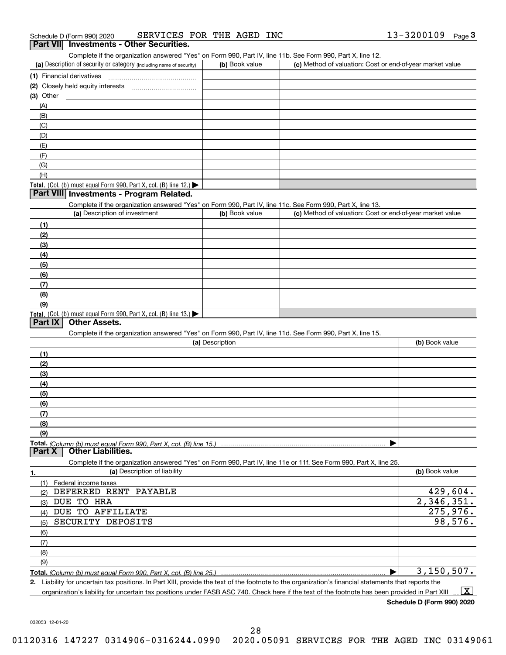| 13-3200109<br>SERVICES FOR THE AGED<br>INC<br>Schedule D (Form 990) 2020 |  | Page |
|--------------------------------------------------------------------------|--|------|
|--------------------------------------------------------------------------|--|------|

## **3Part VII Investments - Other Securities.**

Complete if the organization answered "Yes" on Form 990, Part IV, line 11b. See Form 990, Part X, line 12.

| (a) Description of security or category (including name of security)                          | (b) Book value | (c) Method of valuation: Cost or end-of-year market value |
|-----------------------------------------------------------------------------------------------|----------------|-----------------------------------------------------------|
| (1) Financial derivatives                                                                     |                |                                                           |
| (2) Closely held equity interests<br>                                                         |                |                                                           |
| $(3)$ Other                                                                                   |                |                                                           |
| (A)                                                                                           |                |                                                           |
| (B)                                                                                           |                |                                                           |
| (C)                                                                                           |                |                                                           |
| (D)                                                                                           |                |                                                           |
| (E)                                                                                           |                |                                                           |
| (F)                                                                                           |                |                                                           |
| (G)                                                                                           |                |                                                           |
| (H)                                                                                           |                |                                                           |
| <b>Total.</b> (Col. (b) must equal Form 990, Part X, col. (B) line 12.) $\blacktriangleright$ |                |                                                           |

## **Part VIII Investments - Program Related.**

Complete if the organization answered "Yes" on Form 990, Part IV, line 11c. See Form 990, Part X, line 13.

| (a) Description of investment                                                                 | (b) Book value | (c) Method of valuation: Cost or end-of-year market value |
|-----------------------------------------------------------------------------------------------|----------------|-----------------------------------------------------------|
| (1)                                                                                           |                |                                                           |
| (2)                                                                                           |                |                                                           |
| $\frac{1}{2}$                                                                                 |                |                                                           |
| (4)                                                                                           |                |                                                           |
| (5)                                                                                           |                |                                                           |
| (6)                                                                                           |                |                                                           |
| (7)                                                                                           |                |                                                           |
| (8)                                                                                           |                |                                                           |
| (9)                                                                                           |                |                                                           |
| <b>Total.</b> (Col. (b) must equal Form 990, Part X, col. (B) line 13.) $\blacktriangleright$ |                |                                                           |

# **Part IX Other Assets.**

Complete if the organization answered "Yes" on Form 990, Part IV, line 11d. See Form 990, Part X, line 15.

| (a) Description | (b) Book value |
|-----------------|----------------|
| (1)             |                |
| (2)             |                |
| (3)             |                |
| (4)             |                |
| (5)             |                |
| (6)             |                |
|                 |                |
| (8)             |                |
| (9)             |                |
|                 |                |
|                 |                |

Complete if the organization answered "Yes" on Form 990, Part IV, line 11e or 11f. See Form 990, Part X, line 25.

| 1.  | (a) Description of liability                                       | (b) Book value |
|-----|--------------------------------------------------------------------|----------------|
|     | Federal income taxes                                               |                |
| (2) | DEFERRED RENT PAYABLE                                              | 429,604.       |
| (3) | DUE TO HRA                                                         | 2,346,351.     |
| (4) | TO AFFILIATE<br>DUE                                                | 275,976.       |
| (5) | SECURITY DEPOSITS                                                  | 98,576.        |
| (6) |                                                                    |                |
| (7) |                                                                    |                |
| (8) |                                                                    |                |
| (9) |                                                                    |                |
|     | Total. (Column (b) must equal Form 990, Part X, col. (B) line 25.) | 3,150,507.     |

**2.** Liability for uncertain tax positions. In Part XIII, provide the text of the footnote to the organization's financial statements that reports the organization's liability for uncertain tax positions under FASB ASC 740. Check here if the text of the footnote has been provided in Part XIII  $\boxed{\text{X}}$ 

**Schedule D (Form 990) 2020**

032053 12-01-20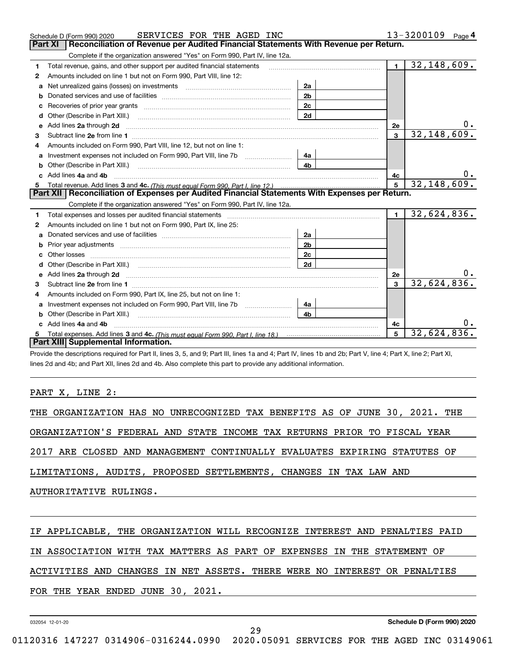|    | SERVICES FOR THE AGED INC<br>Schedule D (Form 990) 2020                                                                  |                |              | 13-3200109<br>Page $4$    |
|----|--------------------------------------------------------------------------------------------------------------------------|----------------|--------------|---------------------------|
|    | Reconciliation of Revenue per Audited Financial Statements With Revenue per Return.<br>Part XI                           |                |              |                           |
|    | Complete if the organization answered "Yes" on Form 990, Part IV, line 12a.                                              |                |              |                           |
| 1  | Total revenue, gains, and other support per audited financial statements                                                 |                | $\mathbf{1}$ | $\overline{32,148,609}$ . |
| 2  | Amounts included on line 1 but not on Form 990, Part VIII, line 12:                                                      |                |              |                           |
| a  | Net unrealized gains (losses) on investments [11] matter contracts and the unrealized gains (losses) on investments      | 2a             |              |                           |
| b  |                                                                                                                          | 2 <sub>b</sub> |              |                           |
|    |                                                                                                                          | 2c             |              |                           |
| d  |                                                                                                                          | 2d             |              |                           |
| e  | Add lines 2a through 2d <b>must be a constructed as the constant of the constant of the constant of the construction</b> |                | <b>2e</b>    | 0.                        |
| З  |                                                                                                                          |                | 3            | 32, 148, 609.             |
| 4  | Amounts included on Form 990. Part VIII. line 12, but not on line 1:                                                     |                |              |                           |
| a  |                                                                                                                          | 4а             |              |                           |
|    |                                                                                                                          | 4b             |              |                           |
| c. | Add lines 4a and 4b                                                                                                      |                | 4c           |                           |
|    |                                                                                                                          |                | 5            | 32, 148, 609.             |
|    | Part XII   Reconciliation of Expenses per Audited Financial Statements With Expenses per Return.                         |                |              |                           |
|    |                                                                                                                          |                |              |                           |
|    | Complete if the organization answered "Yes" on Form 990, Part IV, line 12a.                                              |                |              |                           |
| 1  |                                                                                                                          |                | $\mathbf{1}$ | 32,624,836.               |
| 2  | Amounts included on line 1 but not on Form 990, Part IX, line 25:                                                        |                |              |                           |
| a  |                                                                                                                          | 2a             |              |                           |
| b  | Prior year adjustments <i>www.www.www.www.www.www.www.www.www.</i> ww.                                                   | 2 <sub>b</sub> |              |                           |
|    |                                                                                                                          | 2c             |              |                           |
| d  |                                                                                                                          | 2d             |              |                           |
| е  |                                                                                                                          |                | 2e           | υ.                        |
| 3  | Add lines 2a through 2d <b>must be a constructed as the constant of the constant of the constant of the construction</b> |                | 3            | 32,624,836.               |
| 4  | Amounts included on Form 990, Part IX, line 25, but not on line 1:                                                       |                |              |                           |
| a  |                                                                                                                          | 4a             |              |                           |
| b  | Other (Describe in Part XIII.)                                                                                           | 4 <sub>h</sub> |              |                           |
| c  | Add lines 4a and 4b                                                                                                      |                | 4c           |                           |
|    |                                                                                                                          |                | 5            | 32,624,836.               |
|    | Part XIII Supplemental Information.                                                                                      |                |              |                           |

Provide the descriptions required for Part II, lines 3, 5, and 9; Part III, lines 1a and 4; Part IV, lines 1b and 2b; Part V, line 4; Part X, line 2; Part XI, lines 2d and 4b; and Part XII, lines 2d and 4b. Also complete this part to provide any additional information.

# PART X, LINE 2:

THE ORGANIZATION HAS NO UNRECOGNIZED TAX BENEFITS AS OF JUNE 30, 2021. THE

ORGANIZATION'S FEDERAL AND STATE INCOME TAX RETURNS PRIOR TO FISCAL YEAR

2017 ARE CLOSED AND MANAGEMENT CONTINUALLY EVALUATES EXPIRING STATUTES OF

LIMITATIONS, AUDITS, PROPOSED SETTLEMENTS, CHANGES IN TAX LAW AND

AUTHORITATIVE RULINGS.

# IF APPLICABLE, THE ORGANIZATION WILL RECOGNIZE INTEREST AND PENALTIES PAID

IN ASSOCIATION WITH TAX MATTERS AS PART OF EXPENSES IN THE STATEMENT OF

# ACTIVITIES AND CHANGES IN NET ASSETS. THERE WERE NO INTEREST OR PENALTIES

FOR THE YEAR ENDED JUNE 30, 2021.

032054 12-01-20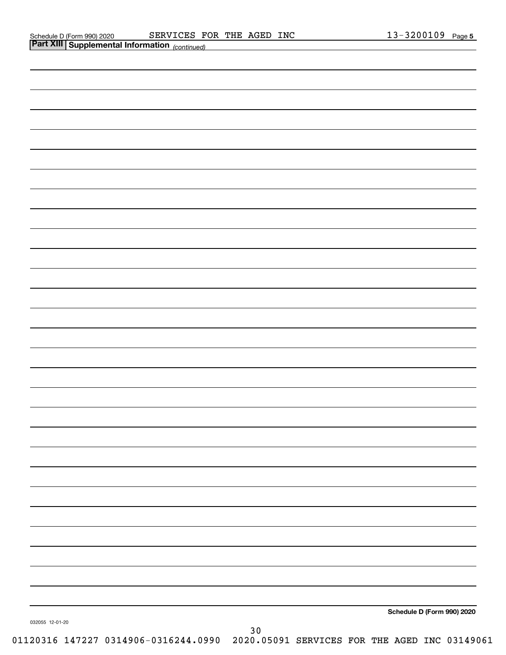| Schedule D (Form 990) 2020 |  |
|----------------------------|--|
|                            |  |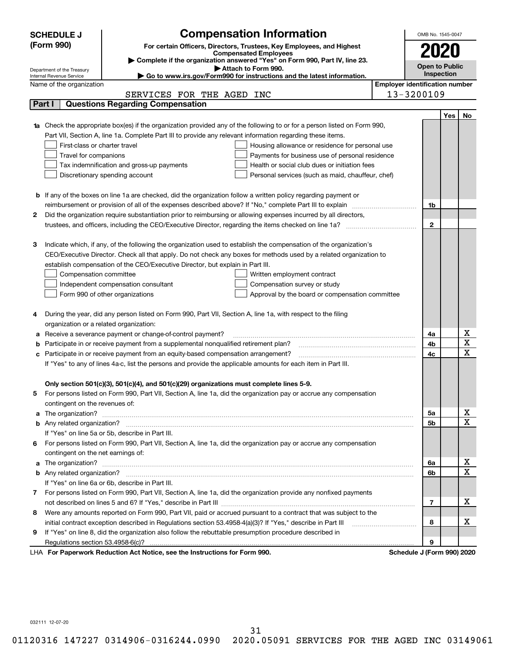|    | <b>Compensation Information</b><br><b>SCHEDULE J</b>                                                                             |                                       | OMB No. 1545-0047          |     |                         |
|----|----------------------------------------------------------------------------------------------------------------------------------|---------------------------------------|----------------------------|-----|-------------------------|
|    | (Form 990)<br>For certain Officers, Directors, Trustees, Key Employees, and Highest                                              |                                       |                            |     |                         |
|    | <b>Compensated Employees</b>                                                                                                     |                                       |                            |     |                         |
|    | Complete if the organization answered "Yes" on Form 990, Part IV, line 23.<br>Attach to Form 990.<br>Department of the Treasury  |                                       | <b>Open to Public</b>      |     |                         |
|    | Go to www.irs.gov/Form990 for instructions and the latest information.<br>Internal Revenue Service                               |                                       | Inspection                 |     |                         |
|    | Name of the organization                                                                                                         | <b>Employer identification number</b> |                            |     |                         |
|    | SERVICES FOR THE AGED INC                                                                                                        |                                       | 13-3200109                 |     |                         |
|    | <b>Questions Regarding Compensation</b><br>Part I                                                                                |                                       |                            |     |                         |
|    |                                                                                                                                  |                                       |                            | Yes | No                      |
|    | <b>1a</b> Check the appropriate box(es) if the organization provided any of the following to or for a person listed on Form 990, |                                       |                            |     |                         |
|    | Part VII, Section A, line 1a. Complete Part III to provide any relevant information regarding these items.                       |                                       |                            |     |                         |
|    | First-class or charter travel<br>Housing allowance or residence for personal use                                                 |                                       |                            |     |                         |
|    | Travel for companions<br>Payments for business use of personal residence<br>Health or social club dues or initiation fees        |                                       |                            |     |                         |
|    | Tax indemnification and gross-up payments<br>Discretionary spending account                                                      |                                       |                            |     |                         |
|    | Personal services (such as maid, chauffeur, chef)                                                                                |                                       |                            |     |                         |
|    | <b>b</b> If any of the boxes on line 1a are checked, did the organization follow a written policy regarding payment or           |                                       |                            |     |                         |
|    | reimbursement or provision of all of the expenses described above? If "No," complete Part III to explain                         |                                       | 1b                         |     |                         |
| 2  | Did the organization require substantiation prior to reimbursing or allowing expenses incurred by all directors,                 |                                       |                            |     |                         |
|    |                                                                                                                                  |                                       | $\mathbf 2$                |     |                         |
|    |                                                                                                                                  |                                       |                            |     |                         |
| З  | Indicate which, if any, of the following the organization used to establish the compensation of the organization's               |                                       |                            |     |                         |
|    | CEO/Executive Director. Check all that apply. Do not check any boxes for methods used by a related organization to               |                                       |                            |     |                         |
|    | establish compensation of the CEO/Executive Director, but explain in Part III.                                                   |                                       |                            |     |                         |
|    | Compensation committee<br>Written employment contract                                                                            |                                       |                            |     |                         |
|    | Independent compensation consultant<br>Compensation survey or study                                                              |                                       |                            |     |                         |
|    | Form 990 of other organizations<br>Approval by the board or compensation committee                                               |                                       |                            |     |                         |
|    |                                                                                                                                  |                                       |                            |     |                         |
| 4  | During the year, did any person listed on Form 990, Part VII, Section A, line 1a, with respect to the filing                     |                                       |                            |     |                         |
|    | organization or a related organization:                                                                                          |                                       |                            |     |                         |
|    | Receive a severance payment or change-of-control payment?                                                                        |                                       | 4a                         |     | х                       |
|    | Participate in or receive payment from a supplemental nonqualified retirement plan?                                              |                                       | 4b                         |     | $\overline{\textbf{X}}$ |
| с  | Participate in or receive payment from an equity-based compensation arrangement?                                                 |                                       | 4c                         |     | $\overline{\mathbf{x}}$ |
|    | If "Yes" to any of lines 4a-c, list the persons and provide the applicable amounts for each item in Part III.                    |                                       |                            |     |                         |
|    |                                                                                                                                  |                                       |                            |     |                         |
|    | Only section 501(c)(3), 501(c)(4), and 501(c)(29) organizations must complete lines 5-9.                                         |                                       |                            |     |                         |
| 5. | For persons listed on Form 990, Part VII, Section A, line 1a, did the organization pay or accrue any compensation                |                                       |                            |     |                         |
|    | contingent on the revenues of:                                                                                                   |                                       |                            |     | <u>x</u>                |
|    |                                                                                                                                  |                                       | 5a<br>5b                   |     | $\overline{\mathbf{x}}$ |
|    | If "Yes" on line 5a or 5b, describe in Part III.                                                                                 |                                       |                            |     |                         |
|    | 6 For persons listed on Form 990, Part VII, Section A, line 1a, did the organization pay or accrue any compensation              |                                       |                            |     |                         |
|    | contingent on the net earnings of:                                                                                               |                                       |                            |     |                         |
|    |                                                                                                                                  |                                       | 6а                         |     | x                       |
|    |                                                                                                                                  |                                       | 6b                         |     | $\overline{\mathbf{x}}$ |
|    | If "Yes" on line 6a or 6b, describe in Part III.                                                                                 |                                       |                            |     |                         |
|    | 7 For persons listed on Form 990, Part VII, Section A, line 1a, did the organization provide any nonfixed payments               |                                       |                            |     |                         |
|    |                                                                                                                                  |                                       | 7                          |     | х                       |
| 8  | Were any amounts reported on Form 990, Part VII, paid or accrued pursuant to a contract that was subject to the                  |                                       |                            |     |                         |
|    |                                                                                                                                  |                                       | 8                          |     | x                       |
| 9  | If "Yes" on line 8, did the organization also follow the rebuttable presumption procedure described in                           |                                       |                            |     |                         |
|    |                                                                                                                                  |                                       | 9                          |     |                         |
|    | LHA For Paperwork Reduction Act Notice, see the Instructions for Form 990.                                                       |                                       | Schedule J (Form 990) 2020 |     |                         |

032111 12-07-20

31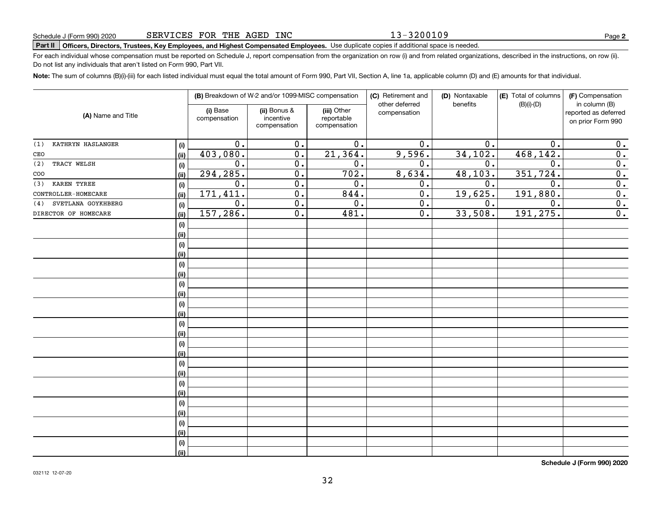# **Part II Officers, Directors, Trustees, Key Employees, and Highest Compensated Employees.**  Schedule J (Form 990) 2020 Page Use duplicate copies if additional space is needed.

For each individual whose compensation must be reported on Schedule J, report compensation from the organization on row (i) and from related organizations, described in the instructions, on row (ii). Do not list any individuals that aren't listed on Form 990, Part VII.

**Note:**  The sum of columns (B)(i)-(iii) for each listed individual must equal the total amount of Form 990, Part VII, Section A, line 1a, applicable column (D) and (E) amounts for that individual.

|                           |      |                          | (B) Breakdown of W-2 and/or 1099-MISC compensation |                                           | (C) Retirement and<br>other deferred | (D) Nontaxable<br>benefits | (E) Total of columns<br>$(B)(i)-(D)$ | (F) Compensation<br>in column (B)         |
|---------------------------|------|--------------------------|----------------------------------------------------|-------------------------------------------|--------------------------------------|----------------------------|--------------------------------------|-------------------------------------------|
| (A) Name and Title        |      | (i) Base<br>compensation | (ii) Bonus &<br>incentive<br>compensation          | (iii) Other<br>reportable<br>compensation | compensation                         |                            |                                      | reported as deferred<br>on prior Form 990 |
| KATHRYN HASLANGER<br>(1)  | (i)  | 0.                       | 0.                                                 | 0.                                        | 0.                                   | 0.                         | 0.                                   | 0.                                        |
| CEO                       | (ii) | 403,080.                 | $\overline{0}$ .                                   | $\overline{21,364}$ .                     | 9,596.                               | 34,102.                    | 468,142.                             | $\overline{0}$ .                          |
| TRACY WELSH<br>(2)        | (i)  | $\mathbf 0$ .            | $\overline{0}$ .                                   | 0.                                        | 0.                                   | 0.                         | 0.                                   | $\overline{\mathbf{0}}$ .                 |
| COO                       | (ii) | 294, 285.                | $\overline{0}$ .                                   | 702.                                      | 8,634.                               | 48, 103.                   | 351,724.                             | $\overline{\mathbf{0}}$ .                 |
| KAREN TYREE<br>(3)        | (i)  | $\overline{0}$ .         | $\overline{0}$ .                                   | $\overline{0}$ .                          | $\overline{0}$ .                     | $\mathbf 0$ .              | $\overline{0}$                       | $\overline{0}$ .                          |
| CONTROLLER-HOMECARE       | (ii) | 171, 411.                | $\overline{0}$ .                                   | 844.                                      | $\overline{0}$ .                     | 19,625.                    | 191,880.                             | $\overline{0}$ .                          |
| SVETLANA GOYKHBERG<br>(4) | (i)  | $\overline{0}$ .         | $\overline{0}$ .                                   | 0.                                        | $\overline{0}$ .                     | 0.                         | $\overline{0}$ .                     | $\overline{\mathbf{0}}$ .                 |
| DIRECTOR OF HOMECARE      | (ii) | 157, 286.                | $\overline{0}$ .                                   | 481.                                      | $\overline{0}$ .                     | 33,508.                    | 191, 275.                            | $\overline{0}$ .                          |
|                           | (i)  |                          |                                                    |                                           |                                      |                            |                                      |                                           |
|                           | (ii) |                          |                                                    |                                           |                                      |                            |                                      |                                           |
|                           | (i)  |                          |                                                    |                                           |                                      |                            |                                      |                                           |
|                           | (ii) |                          |                                                    |                                           |                                      |                            |                                      |                                           |
|                           | (i)  |                          |                                                    |                                           |                                      |                            |                                      |                                           |
|                           | (ii) |                          |                                                    |                                           |                                      |                            |                                      |                                           |
|                           | (i)  |                          |                                                    |                                           |                                      |                            |                                      |                                           |
|                           | (ii) |                          |                                                    |                                           |                                      |                            |                                      |                                           |
|                           | (i)  |                          |                                                    |                                           |                                      |                            |                                      |                                           |
|                           | (ii) |                          |                                                    |                                           |                                      |                            |                                      |                                           |
|                           | (i)  |                          |                                                    |                                           |                                      |                            |                                      |                                           |
|                           | (ii) |                          |                                                    |                                           |                                      |                            |                                      |                                           |
|                           | (i)  |                          |                                                    |                                           |                                      |                            |                                      |                                           |
|                           | (ii) |                          |                                                    |                                           |                                      |                            |                                      |                                           |
|                           | (i)  |                          |                                                    |                                           |                                      |                            |                                      |                                           |
|                           | (ii) |                          |                                                    |                                           |                                      |                            |                                      |                                           |
|                           | (i)  |                          |                                                    |                                           |                                      |                            |                                      |                                           |
|                           | (ii) |                          |                                                    |                                           |                                      |                            |                                      |                                           |
|                           | (i)  |                          |                                                    |                                           |                                      |                            |                                      |                                           |
|                           | (ii) |                          |                                                    |                                           |                                      |                            |                                      |                                           |
|                           | (i)  |                          |                                                    |                                           |                                      |                            |                                      |                                           |
|                           | (ii) |                          |                                                    |                                           |                                      |                            |                                      |                                           |
|                           | (i)  |                          |                                                    |                                           |                                      |                            |                                      |                                           |
|                           | (ii) |                          |                                                    |                                           |                                      |                            |                                      |                                           |

**Schedule J (Form 990) 2020**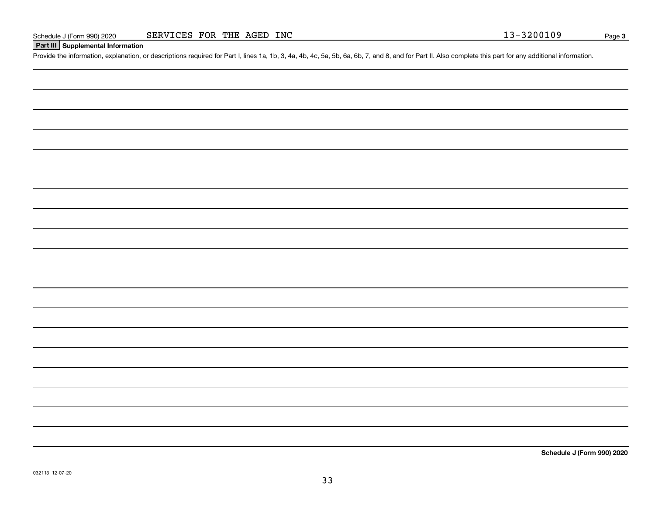# **Part III Supplemental Information**

Schedule J (Form 990) 2020 SERVICES FOR THE AGED INC<br>Part III Supplemental Information<br>Provide the information, explanation, or descriptions required for Part I, lines 1a, 1b, 3, 4a, 4b, 4c, 5a, 5b, 6a, 6b, 7, and 8, and f

**Schedule J (Form 990) 2020**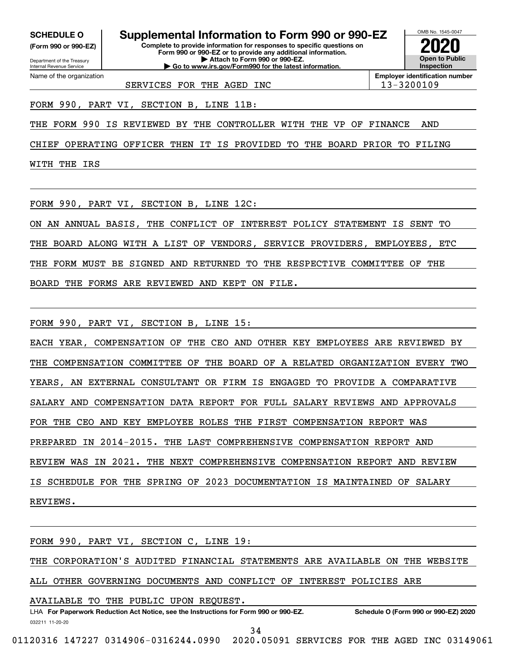**(Form 990 or 990-EZ)**

Department of the Treasury Internal Revenue Service Name of the organization

# **SCHEDULE O Supplemental Information to Form 990 or 990-EZ**

**Complete to provide information for responses to specific questions on Form 990 or 990-EZ or to provide any additional information. | Attach to Form 990 or 990-EZ. | Go to www.irs.gov/Form990 for the latest information.**



**Employer identification number**

SERVICES FOR THE AGED INC 13-3200109

FORM 990, PART VI, SECTION B, LINE 11B:

THE FORM 990 IS REVIEWED BY THE CONTROLLER WITH THE VP OF FINANCE AND

CHIEF OPERATING OFFICER THEN IT IS PROVIDED TO THE BOARD PRIOR TO FILING

WITH THE IRS

FORM 990, PART VI, SECTION B, LINE 12C:

ON AN ANNUAL BASIS, THE CONFLICT OF INTEREST POLICY STATEMENT IS SENT TO

THE BOARD ALONG WITH A LIST OF VENDORS, SERVICE PROVIDERS, EMPLOYEES, ETC

THE FORM MUST BE SIGNED AND RETURNED TO THE RESPECTIVE COMMITTEE OF THE

BOARD THE FORMS ARE REVIEWED AND KEPT ON FILE.

FORM 990, PART VI, SECTION B, LINE 15:

EACH YEAR, COMPENSATION OF THE CEO AND OTHER KEY EMPLOYEES ARE REVIEWED BY THE COMPENSATION COMMITTEE OF THE BOARD OF A RELATED ORGANIZATION EVERY TWO YEARS, AN EXTERNAL CONSULTANT OR FIRM IS ENGAGED TO PROVIDE A COMPARATIVE SALARY AND COMPENSATION DATA REPORT FOR FULL SALARY REVIEWS AND APPROVALS FOR THE CEO AND KEY EMPLOYEE ROLES THE FIRST COMPENSATION REPORT WAS PREPARED IN 2014-2015. THE LAST COMPREHENSIVE COMPENSATION REPORT AND REVIEW WAS IN 2021. THE NEXT COMPREHENSIVE COMPENSATION REPORT AND REVIEW IS SCHEDULE FOR THE SPRING OF 2023 DOCUMENTATION IS MAINTAINED OF SALARY REVIEWS.

FORM 990, PART VI, SECTION C, LINE 19:

THE CORPORATION'S AUDITED FINANCIAL STATEMENTS ARE AVAILABLE ON THE WEBSITE

ALL OTHER GOVERNING DOCUMENTS AND CONFLICT OF INTEREST POLICIES ARE

032211 11-20-20 LHA For Paperwork Reduction Act Notice, see the Instructions for Form 990 or 990-EZ. Schedule O (Form 990 or 990-EZ) 2020 AVAILABLE TO THE PUBLIC UPON REQUEST.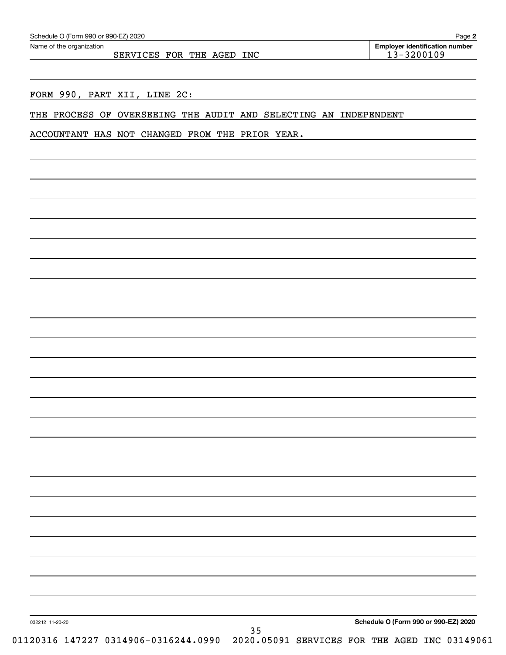| Schedule O (Form 990 or 990-EZ) 2020 |
|--------------------------------------|
|--------------------------------------|

SERVICES FOR THE AGED INC 13-3200109

FORM 990, PART XII, LINE 2C:

THE PROCESS OF OVERSEEING THE AUDIT AND SELECTING AN INDEPENDENT

ACCOUNTANT HAS NOT CHANGED FROM THE PRIOR YEAR.

032212 11-20-20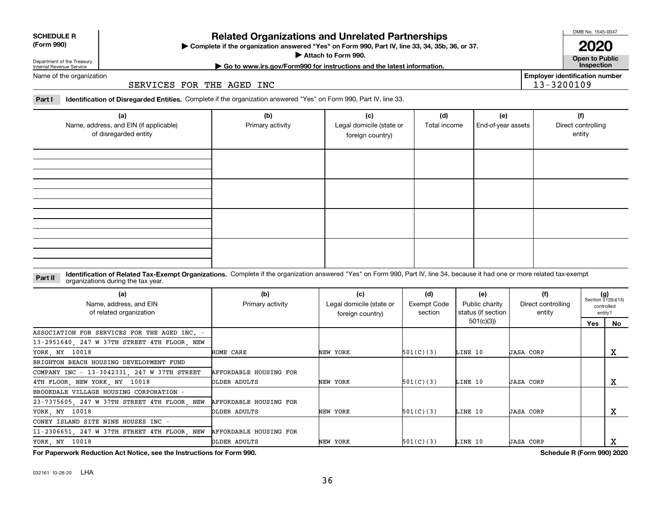032161 10-28-20 LHA

# **Related Organizations and Unrelated Partnerships**

**Complete if the organization answered "Yes" on Form 990, Part IV, line 33, 34, 35b, 36, or 37.** |

**Attach to Form 990.**  |

# Department of the Treasury Internal Revenue Service Name of the organization

SERVICES FOR THE AGED INC

**Part I Identification of Disregarded Entities.**  Complete if the organization answered "Yes" on Form 990, Part IV, line 33.

| (a)<br>Name, address, and EIN (if applicable)<br>of disregarded entity | (b)<br>Primary activity | (c)<br>Legal domicile (state or<br>foreign country) | (d)<br>Total income | (e)<br>End-of-year assets | (f)<br>Direct controlling<br>entity |
|------------------------------------------------------------------------|-------------------------|-----------------------------------------------------|---------------------|---------------------------|-------------------------------------|
|                                                                        |                         |                                                     |                     |                           |                                     |
|                                                                        |                         |                                                     |                     |                           |                                     |
|                                                                        |                         |                                                     |                     |                           |                                     |
|                                                                        |                         |                                                     |                     |                           |                                     |

#### **Identification of Related Tax-Exempt Organizations.** Complete if the organization answered "Yes" on Form 990, Part IV, line 34, because it had one or more related tax-exempt **Part II** organizations during the tax year.

| (a)<br>Name, address, and EIN<br>of related organization | (b)<br>Primary activity | (c)<br>Legal domicile (state or<br>foreign country) | (d)<br>Exempt Code<br>section | (e)<br>Public charity<br>status (if section | (f)<br>Direct controlling<br>entity |     | $(g)$<br>Section 512(b)(13)<br>controlled<br>entity? |
|----------------------------------------------------------|-------------------------|-----------------------------------------------------|-------------------------------|---------------------------------------------|-------------------------------------|-----|------------------------------------------------------|
|                                                          |                         |                                                     |                               | 501(c)(3)                                   |                                     | Yes | No.                                                  |
| ASSOCIATION FOR SERVICES FOR THE AGED INC. -             |                         |                                                     |                               |                                             |                                     |     |                                                      |
| 13-2951640, 247 W 37TH STREET 4TH FLOOR, NEW             |                         |                                                     |                               |                                             |                                     |     |                                                      |
| YORK, NY 10018                                           | HOME CARE               | NEW YORK                                            | 501(C)(3)                     | LINE 10                                     | <b>JASA CORP</b>                    |     | х                                                    |
| BRIGHTON BEACH HOUSING DEVELOPMENT FUND                  |                         |                                                     |                               |                                             |                                     |     |                                                      |
| COMPANY INC - 13-3042331, 247 W 37TH STREET              | AFFORDABLE HOUSING FOR  |                                                     |                               |                                             |                                     |     |                                                      |
| 4TH FLOOR, NEW YORK, NY 10018                            | OLDER ADULTS            | NEW YORK                                            | 501(C)(3)                     | LINE 10                                     | <b>JASA CORP</b>                    |     | х                                                    |
| BROOKDALE VILLAGE HOUSING CORPORATION -                  |                         |                                                     |                               |                                             |                                     |     |                                                      |
| 23-7375605, 247 W 37TH STREET 4TH FLOOR, NEW             | AFFORDABLE HOUSING FOR  |                                                     |                               |                                             |                                     |     |                                                      |
| YORK, NY 10018                                           | OLDER ADULTS            | NEW YORK                                            | 501(C)(3)                     | LINE 10                                     | <b>JASA CORP</b>                    |     | х                                                    |
| CONEY ISLAND SITE NINE HOUSES INC -                      |                         |                                                     |                               |                                             |                                     |     |                                                      |
| 11-2306651, 247 W 37TH STREET 4TH FLOOR, NEW             | AFFORDABLE HOUSING FOR  |                                                     |                               |                                             |                                     |     |                                                      |
| YORK, NY 10018                                           | OLDER ADULTS            | NEW YORK                                            | 501(C)(3)                     | LINE 10                                     | <b>JASA CORP</b>                    |     | x                                                    |

**For Paperwork Reduction Act Notice, see the Instructions for Form 990. Schedule R (Form 990) 2020**

OMB No. 1545-0047

**Open to Public 2020**

**Employer identification number**

13-3200109

**| Go to www.irs.gov/Form990 for instructions and the latest information. Inspection**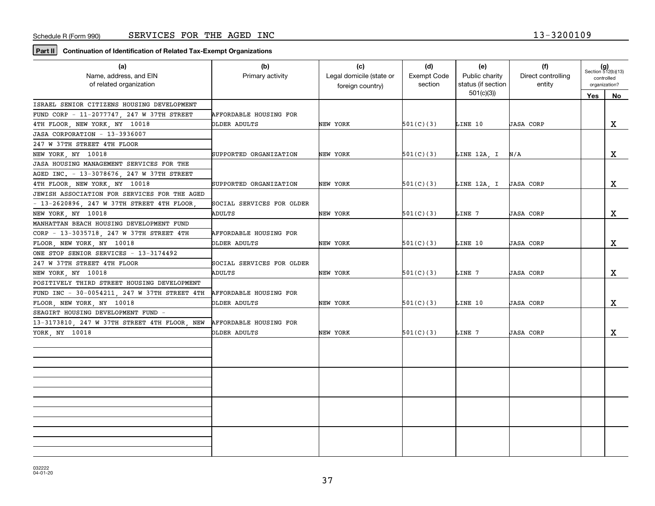**Part II Continuation of Identification of Related Tax-Exempt Organizations**

| (a)<br>Name, address, and EIN<br>of related organization | (b)<br>Primary activity   | (c)<br>Legal domicile (state or<br>foreign country) | (d)<br><b>Exempt Code</b><br>section | (e)<br>Public charity<br>status (if section | (f)<br>Direct controlling<br>entity | $(g)$<br>Section 512(b)(13)<br>controlled<br>organization? |    |
|----------------------------------------------------------|---------------------------|-----------------------------------------------------|--------------------------------------|---------------------------------------------|-------------------------------------|------------------------------------------------------------|----|
|                                                          |                           |                                                     |                                      | 501(c)(3)                                   |                                     | Yes                                                        | No |
| ISRAEL SENIOR CITIZENS HOUSING DEVELOPMENT               |                           |                                                     |                                      |                                             |                                     |                                                            |    |
| FUND CORP - 11-2077747, 247 W 37TH STREET                | AFFORDABLE HOUSING FOR    |                                                     |                                      |                                             |                                     |                                                            |    |
| 4TH FLOOR, NEW YORK, NY 10018                            | OLDER ADULTS              | NEW YORK                                            | 501(C)(3)                            | LINE 10                                     | <b>JASA CORP</b>                    |                                                            | X  |
| JASA CORPORATION - 13-3936007                            |                           |                                                     |                                      |                                             |                                     |                                                            |    |
| 247 W 37TH STREET 4TH FLOOR                              |                           |                                                     |                                      |                                             |                                     |                                                            |    |
| NEW YORK, NY 10018                                       | SUPPORTED ORGANIZATION    | NEW YORK                                            | 501(C)(3)                            | LINE 12A, I                                 | N/A                                 |                                                            | X  |
| JASA HOUSING MANAGEMENT SERVICES FOR THE                 |                           |                                                     |                                      |                                             |                                     |                                                            |    |
| AGED INC. - 13-3078676, 247 W 37TH STREET                |                           |                                                     |                                      |                                             |                                     |                                                            |    |
| 4TH FLOOR, NEW YORK, NY 10018                            | SUPPORTED ORGANIZATION    | NEW YORK                                            | 501(C)(3)                            | LINE 12A, I JASA CORP                       |                                     |                                                            | X  |
| JEWISH ASSOCIATION FOR SERVICES FOR THE AGED             |                           |                                                     |                                      |                                             |                                     |                                                            |    |
| $-13-2620896$ , 247 W 37TH STREET 4TH FLOOR              | SOCIAL SERVICES FOR OLDER |                                                     |                                      |                                             |                                     |                                                            |    |
| NEW YORK, NY 10018                                       | ADULTS                    | NEW YORK                                            | 501(C)(3)                            | LINE 7                                      | <b>JASA CORP</b>                    |                                                            | X  |
| MANHATTAN BEACH HOUSING DEVELOPMENT FUND                 |                           |                                                     |                                      |                                             |                                     |                                                            |    |
| CORP - 13-3035718, 247 W 37TH STREET 4TH                 | AFFORDABLE HOUSING FOR    |                                                     |                                      |                                             |                                     |                                                            |    |
| FLOOR, NEW YORK, NY 10018                                | OLDER ADULTS              | NEW YORK                                            | 501(C)(3)                            | LINE 10                                     | <b>JASA CORP</b>                    |                                                            | x  |
| ONE STOP SENIOR SERVICES - 13-3174492                    |                           |                                                     |                                      |                                             |                                     |                                                            |    |
| 247 W 37TH STREET 4TH FLOOR                              | SOCIAL SERVICES FOR OLDER |                                                     |                                      |                                             |                                     |                                                            |    |
| NEW YORK, NY 10018                                       | ADULTS                    | NEW YORK                                            | 501(C)(3)                            | LINE 7                                      | <b>JASA CORP</b>                    |                                                            | X  |
| POSITIVELY THIRD STREET HOUSING DEVELOPMENT              |                           |                                                     |                                      |                                             |                                     |                                                            |    |
| FUND INC - 30-0054211, 247 W 37TH STREET 4TH             | AFFORDABLE HOUSING FOR    |                                                     |                                      |                                             |                                     |                                                            |    |
| FLOOR, NEW YORK, NY 10018                                | OLDER ADULTS              | NEW YORK                                            | 501(C)(3)                            | LINE 10                                     | <b>JASA CORP</b>                    |                                                            | x  |
| SEAGIRT HOUSING DEVELOPMENT FUND -                       |                           |                                                     |                                      |                                             |                                     |                                                            |    |
| 13-3173810, 247 W 37TH STREET 4TH FLOOR, NEW             | AFFORDABLE HOUSING FOR    |                                                     |                                      |                                             |                                     |                                                            |    |
| YORK, NY 10018                                           | OLDER ADULTS              | NEW YORK                                            | 501(C)(3)                            | LINE 7                                      | <b>JASA CORP</b>                    |                                                            | x  |
|                                                          |                           |                                                     |                                      |                                             |                                     |                                                            |    |
|                                                          |                           |                                                     |                                      |                                             |                                     |                                                            |    |
|                                                          |                           |                                                     |                                      |                                             |                                     |                                                            |    |
|                                                          |                           |                                                     |                                      |                                             |                                     |                                                            |    |
|                                                          |                           |                                                     |                                      |                                             |                                     |                                                            |    |
|                                                          |                           |                                                     |                                      |                                             |                                     |                                                            |    |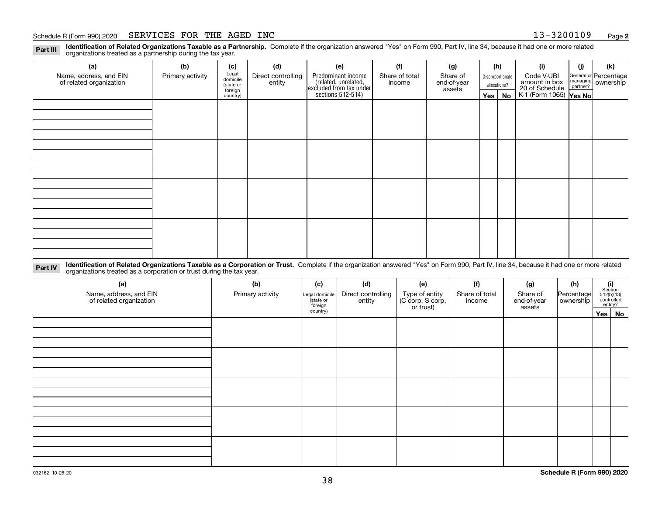#### Schedule R (Form 990) 2020 Page SERVICES FOR THE AGED INC 13-3200109

**Identification of Related Organizations Taxable as a Partnership.** Complete if the organization answered "Yes" on Form 990, Part IV, line 34, because it had one or more related **Part III** organizations treated as a partnership during the tax year.

| (a)                                               | (b)              | (c)                  | (d)                          | (e)                                                                  | (f)                      | (g)                     |              | (h)              | (i)                                                       | (i) | (k)                                                       |
|---------------------------------------------------|------------------|----------------------|------------------------------|----------------------------------------------------------------------|--------------------------|-------------------------|--------------|------------------|-----------------------------------------------------------|-----|-----------------------------------------------------------|
| Name, address, and EIN<br>of related organization | Primary activity | Legal<br>domicile    | Direct controlling<br>entity | Predominant income                                                   | Share of total<br>income | Share of<br>end-of-year |              | Disproportionate | Code V-UBI                                                |     | General or Percentage<br>managing<br>partner?<br>partner? |
|                                                   |                  | (state or<br>foreign |                              |                                                                      |                          | assets                  | allocations? |                  |                                                           |     |                                                           |
|                                                   |                  | country)             |                              | (related, unrelated,<br>excluded from tax under<br>sections 512-514) |                          |                         | Yes $ $      | No               | amount in box<br>20 of Schedule<br>K-1 (Form 1065) Yes No |     |                                                           |
|                                                   |                  |                      |                              |                                                                      |                          |                         |              |                  |                                                           |     |                                                           |
|                                                   |                  |                      |                              |                                                                      |                          |                         |              |                  |                                                           |     |                                                           |
|                                                   |                  |                      |                              |                                                                      |                          |                         |              |                  |                                                           |     |                                                           |
|                                                   |                  |                      |                              |                                                                      |                          |                         |              |                  |                                                           |     |                                                           |
|                                                   |                  |                      |                              |                                                                      |                          |                         |              |                  |                                                           |     |                                                           |
|                                                   |                  |                      |                              |                                                                      |                          |                         |              |                  |                                                           |     |                                                           |
|                                                   |                  |                      |                              |                                                                      |                          |                         |              |                  |                                                           |     |                                                           |
|                                                   |                  |                      |                              |                                                                      |                          |                         |              |                  |                                                           |     |                                                           |
|                                                   |                  |                      |                              |                                                                      |                          |                         |              |                  |                                                           |     |                                                           |
|                                                   |                  |                      |                              |                                                                      |                          |                         |              |                  |                                                           |     |                                                           |
|                                                   |                  |                      |                              |                                                                      |                          |                         |              |                  |                                                           |     |                                                           |
|                                                   |                  |                      |                              |                                                                      |                          |                         |              |                  |                                                           |     |                                                           |
|                                                   |                  |                      |                              |                                                                      |                          |                         |              |                  |                                                           |     |                                                           |
|                                                   |                  |                      |                              |                                                                      |                          |                         |              |                  |                                                           |     |                                                           |
|                                                   |                  |                      |                              |                                                                      |                          |                         |              |                  |                                                           |     |                                                           |
|                                                   |                  |                      |                              |                                                                      |                          |                         |              |                  |                                                           |     |                                                           |
|                                                   |                  |                      |                              |                                                                      |                          |                         |              |                  |                                                           |     |                                                           |

**Identification of Related Organizations Taxable as a Corporation or Trust.** Complete if the organization answered "Yes" on Form 990, Part IV, line 34, because it had one or more related **Part IV** organizations treated as a corporation or trust during the tax year.

| (a)<br>Name, address, and EIN<br>of related organization | (b)<br>Primary activity | (c)<br>Legal domicile<br>(state or<br>foreign | (d)<br>Direct controlling<br>entity | (e)<br>Type of entity<br>(C corp, S corp,<br>or trust) | (f)<br>Share of total<br>income | (g)<br>Share of<br>end-of-year<br>assets | (h)<br>Percentage<br>ownership | (i)<br>Section<br>512(b)(13)<br>controlled | entity?  |
|----------------------------------------------------------|-------------------------|-----------------------------------------------|-------------------------------------|--------------------------------------------------------|---------------------------------|------------------------------------------|--------------------------------|--------------------------------------------|----------|
|                                                          |                         | country)                                      |                                     |                                                        |                                 |                                          |                                |                                            | Yes   No |
|                                                          |                         |                                               |                                     |                                                        |                                 |                                          |                                |                                            |          |
|                                                          |                         |                                               |                                     |                                                        |                                 |                                          |                                |                                            |          |
|                                                          |                         |                                               |                                     |                                                        |                                 |                                          |                                |                                            |          |
|                                                          |                         |                                               |                                     |                                                        |                                 |                                          |                                |                                            |          |
|                                                          |                         |                                               |                                     |                                                        |                                 |                                          |                                |                                            |          |
|                                                          |                         |                                               |                                     |                                                        |                                 |                                          |                                |                                            |          |
|                                                          |                         |                                               |                                     |                                                        |                                 |                                          |                                |                                            |          |
|                                                          |                         |                                               |                                     |                                                        |                                 |                                          |                                |                                            |          |
|                                                          |                         |                                               |                                     |                                                        |                                 |                                          |                                |                                            |          |
|                                                          |                         |                                               |                                     |                                                        |                                 |                                          |                                |                                            |          |
|                                                          |                         |                                               |                                     |                                                        |                                 |                                          |                                |                                            |          |
|                                                          |                         |                                               |                                     |                                                        |                                 |                                          |                                |                                            |          |
|                                                          |                         |                                               |                                     |                                                        |                                 |                                          |                                |                                            |          |
|                                                          |                         |                                               |                                     |                                                        |                                 |                                          |                                |                                            |          |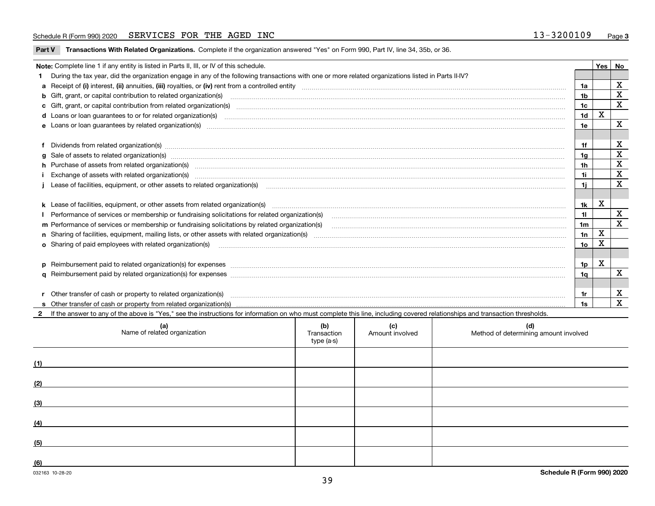### Schedule R (Form 990) 2020 Page SERVICES FOR THE AGED INC 13-3200109

**Part V** T**ransactions With Related Organizations.** Complete if the organization answered "Yes" on Form 990, Part IV, line 34, 35b, or 36.

| Note: Complete line 1 if any entity is listed in Parts II, III, or IV of this schedule.                                                                                                                                        |                 | Yes         | No                      |
|--------------------------------------------------------------------------------------------------------------------------------------------------------------------------------------------------------------------------------|-----------------|-------------|-------------------------|
| During the tax year, did the organization engage in any of the following transactions with one or more related organizations listed in Parts II-IV?                                                                            |                 |             |                         |
|                                                                                                                                                                                                                                | 1a              |             | $\mathbf x$             |
| <b>b</b> Gift, grant, or capital contribution to related organization(s)                                                                                                                                                       | 1 <sub>b</sub>  |             | X                       |
|                                                                                                                                                                                                                                | 1 <sub>c</sub>  |             | $\mathbf x$             |
|                                                                                                                                                                                                                                | 1 <sub>d</sub>  | X           |                         |
|                                                                                                                                                                                                                                | 1e              |             | X                       |
|                                                                                                                                                                                                                                |                 |             |                         |
| Dividends from related organization(s) manufactured and contract the contract of the contract of the contract of the contract of the contract of the contract of the contract of the contract of the contract of the contract  | 1f              |             | X                       |
|                                                                                                                                                                                                                                | 1g              |             | $\mathbf x$             |
| h Purchase of assets from related organization(s) manufactured content to content the content of the content of the content of the content of the content of the content of the content of the content of the content of the c | 1 <sub>h</sub>  |             | $\mathbf X$             |
| Exchange of assets with related organization(s) machinesis and content to the content of the content of the content of the content of the content of the content of the content of the content of the content of the content o | 1i              |             | $\overline{\mathbf{x}}$ |
|                                                                                                                                                                                                                                | 1i.             |             | $\mathbf{x}$            |
|                                                                                                                                                                                                                                |                 |             |                         |
|                                                                                                                                                                                                                                | 1k              | X           |                         |
|                                                                                                                                                                                                                                | 11              |             | $\mathbf X$             |
| m Performance of services or membership or fundraising solicitations by related organization(s)                                                                                                                                | 1 <sub>m</sub>  |             | $\overline{\mathbf{x}}$ |
|                                                                                                                                                                                                                                | 1n              | $\mathbf X$ |                         |
| <b>o</b> Sharing of paid employees with related organization(s)                                                                                                                                                                | 10 <sub>o</sub> | X           |                         |
|                                                                                                                                                                                                                                |                 |             |                         |
|                                                                                                                                                                                                                                | 1p              | х           |                         |
|                                                                                                                                                                                                                                | 1q              |             | $\mathbf X$             |
|                                                                                                                                                                                                                                |                 |             |                         |
| r Other transfer of cash or property to related organization(s)                                                                                                                                                                | 1r              |             | X                       |
|                                                                                                                                                                                                                                | 1s              |             | $\mathbf{x}$            |
| 2 If the answer to any of the above is "Yes," see the instructions for information on who must complete this line, including covered relationships and transaction thresholds.                                                 |                 |             |                         |

|     | (a)<br>Name of related organization | (b)<br>Transaction<br>type (a-s) | (c)<br>Amount involved | (d)<br>Method of determining amount involved |
|-----|-------------------------------------|----------------------------------|------------------------|----------------------------------------------|
| (1) |                                     |                                  |                        |                                              |
| (2) |                                     |                                  |                        |                                              |
| (3) |                                     |                                  |                        |                                              |
| (4) |                                     |                                  |                        |                                              |
| (5) |                                     |                                  |                        |                                              |
| (6) |                                     |                                  |                        |                                              |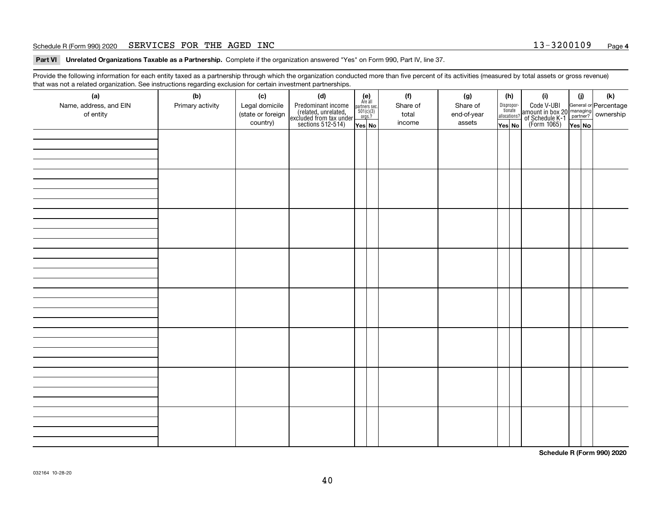### Schedule R (Form 990) 2020 Page SERVICES FOR THE AGED INC 13-3200109

**Part VI Unrelated Organizations Taxable as a Partnership. Complete if the organization answered "Yes" on Form 990, Part IV, line 37.** 

Provide the following information for each entity taxed as a partnership through which the organization conducted more than five percent of its activities (measured by total assets or gross revenue) that was not a related organization. See instructions regarding exclusion for certain investment partnerships.

| (a)<br>Name, address, and EIN<br>of entity | ໍ່ວ່<br>(b)<br>Primary activity | (c)<br>Legal domicile<br>(state or foreign<br>country) | (d)<br>Predominant income<br>(related, unrelated,<br>excluded from tax under<br>sections 512-514) | (e)<br>Are all<br>partners sec.<br>$501(c)(3)$<br>orgs.?<br>Yes No | (f)<br>Share of<br>total<br>income | (g)<br>Share of<br>end-of-year<br>assets | (h)<br>Dispropor-<br>tionate<br>allocations?<br>Yes No | (i)<br>Code V-UBI<br>amount in box 20 managing<br>of Schedule K-1<br>(Form 1065)<br>$\overline{Yes}$ No | (i)<br>Yes No | (k) |
|--------------------------------------------|---------------------------------|--------------------------------------------------------|---------------------------------------------------------------------------------------------------|--------------------------------------------------------------------|------------------------------------|------------------------------------------|--------------------------------------------------------|---------------------------------------------------------------------------------------------------------|---------------|-----|
|                                            |                                 |                                                        |                                                                                                   |                                                                    |                                    |                                          |                                                        |                                                                                                         |               |     |
|                                            |                                 |                                                        |                                                                                                   |                                                                    |                                    |                                          |                                                        |                                                                                                         |               |     |
|                                            |                                 |                                                        |                                                                                                   |                                                                    |                                    |                                          |                                                        |                                                                                                         |               |     |
|                                            |                                 |                                                        |                                                                                                   |                                                                    |                                    |                                          |                                                        |                                                                                                         |               |     |
|                                            |                                 |                                                        |                                                                                                   |                                                                    |                                    |                                          |                                                        |                                                                                                         |               |     |
|                                            |                                 |                                                        |                                                                                                   |                                                                    |                                    |                                          |                                                        |                                                                                                         |               |     |
|                                            |                                 |                                                        |                                                                                                   |                                                                    |                                    |                                          |                                                        |                                                                                                         |               |     |
|                                            |                                 |                                                        |                                                                                                   |                                                                    |                                    |                                          |                                                        |                                                                                                         |               |     |

**Schedule R (Form 990) 2020**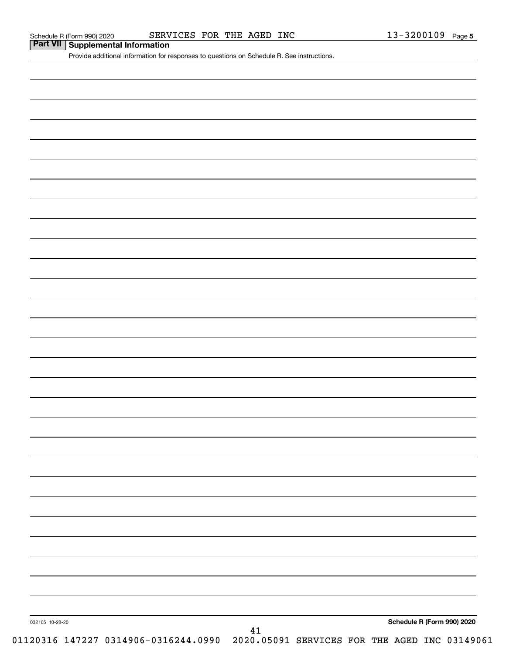**Part VII Supplemental Information**

Provide additional information for responses to questions on Schedule R. See instructions.

032165 10-28-20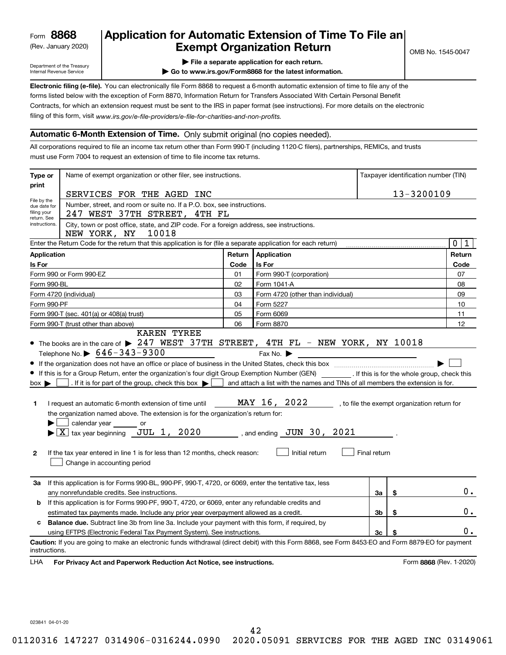(Rev. January 2020)

# **Application for Automatic Extension of Time To File an Exempt Organization Return**

Department of the Treasury Internal Revenue Service

**| File a separate application for each return.**

**| Go to www.irs.gov/Form8868 for the latest information.**

**Electronic filing (e-file).**  You can electronically file Form 8868 to request a 6-month automatic extension of time to file any of the filing of this form, visit www.irs.gov/e-file-providers/e-file-for-charities-and-non-profits. forms listed below with the exception of Form 8870, Information Return for Transfers Associated With Certain Personal Benefit Contracts, for which an extension request must be sent to the IRS in paper format (see instructions). For more details on the electronic

# **Automatic 6-Month Extension of Time.** Only submit original (no copies needed).

All corporations required to file an income tax return other than Form 990-T (including 1120-C filers), partnerships, REMICs, and trusts must use Form 7004 to request an extension of time to file income tax returns.

| Type or                                                                                                      | Name of exempt organization or other filer, see instructions.                                                                                                                                                                                                                                                                                                                                                                                                                                                                                                                                                                                                                                                                                                                                                                                                    |        |                                                                                                                                                                                                      | Taxpayer identification number (TIN) |    |                                              |
|--------------------------------------------------------------------------------------------------------------|------------------------------------------------------------------------------------------------------------------------------------------------------------------------------------------------------------------------------------------------------------------------------------------------------------------------------------------------------------------------------------------------------------------------------------------------------------------------------------------------------------------------------------------------------------------------------------------------------------------------------------------------------------------------------------------------------------------------------------------------------------------------------------------------------------------------------------------------------------------|--------|------------------------------------------------------------------------------------------------------------------------------------------------------------------------------------------------------|--------------------------------------|----|----------------------------------------------|
| print                                                                                                        |                                                                                                                                                                                                                                                                                                                                                                                                                                                                                                                                                                                                                                                                                                                                                                                                                                                                  |        |                                                                                                                                                                                                      |                                      |    |                                              |
| File by the                                                                                                  | SERVICES FOR THE AGED INC                                                                                                                                                                                                                                                                                                                                                                                                                                                                                                                                                                                                                                                                                                                                                                                                                                        |        |                                                                                                                                                                                                      |                                      |    | 13-3200109                                   |
| due date for<br>filing your<br>return. See                                                                   | Number, street, and room or suite no. If a P.O. box, see instructions.<br>247 WEST 37TH STREET, 4TH FL                                                                                                                                                                                                                                                                                                                                                                                                                                                                                                                                                                                                                                                                                                                                                           |        |                                                                                                                                                                                                      |                                      |    |                                              |
| instructions.                                                                                                | City, town or post office, state, and ZIP code. For a foreign address, see instructions.<br>NEW YORK, NY<br>10018                                                                                                                                                                                                                                                                                                                                                                                                                                                                                                                                                                                                                                                                                                                                                |        |                                                                                                                                                                                                      |                                      |    |                                              |
|                                                                                                              | Enter the Return Code for the return that this application is for (file a separate application for each return)                                                                                                                                                                                                                                                                                                                                                                                                                                                                                                                                                                                                                                                                                                                                                  |        |                                                                                                                                                                                                      |                                      |    | $\mathbf 0$<br>1                             |
| <b>Application</b>                                                                                           |                                                                                                                                                                                                                                                                                                                                                                                                                                                                                                                                                                                                                                                                                                                                                                                                                                                                  | Return | Application                                                                                                                                                                                          |                                      |    | Return                                       |
| Code<br>Is For<br>Is For                                                                                     |                                                                                                                                                                                                                                                                                                                                                                                                                                                                                                                                                                                                                                                                                                                                                                                                                                                                  |        |                                                                                                                                                                                                      |                                      |    | Code                                         |
|                                                                                                              | Form 990 or Form 990-EZ                                                                                                                                                                                                                                                                                                                                                                                                                                                                                                                                                                                                                                                                                                                                                                                                                                          | 01     | Form 990-T (corporation)                                                                                                                                                                             |                                      |    | 07                                           |
| Form 990-BL                                                                                                  |                                                                                                                                                                                                                                                                                                                                                                                                                                                                                                                                                                                                                                                                                                                                                                                                                                                                  | 02     | Form 1041-A                                                                                                                                                                                          |                                      |    | 08                                           |
|                                                                                                              | Form 4720 (individual)                                                                                                                                                                                                                                                                                                                                                                                                                                                                                                                                                                                                                                                                                                                                                                                                                                           | 03     | Form 4720 (other than individual)                                                                                                                                                                    |                                      |    | 09                                           |
| Form 990-PF                                                                                                  |                                                                                                                                                                                                                                                                                                                                                                                                                                                                                                                                                                                                                                                                                                                                                                                                                                                                  | 04     | Form 5227                                                                                                                                                                                            |                                      |    | 10                                           |
|                                                                                                              | 05<br>Form 990-T (sec. 401(a) or 408(a) trust)<br>Form 6069                                                                                                                                                                                                                                                                                                                                                                                                                                                                                                                                                                                                                                                                                                                                                                                                      |        |                                                                                                                                                                                                      |                                      |    | 11                                           |
|                                                                                                              | Form 990-T (trust other than above)                                                                                                                                                                                                                                                                                                                                                                                                                                                                                                                                                                                                                                                                                                                                                                                                                              | 06     | Form 8870                                                                                                                                                                                            |                                      |    | 12                                           |
| $box \blacktriangleright$<br>1.<br>2                                                                         | <b>KAREN TYREE</b><br>• The books are in the care of $\triangleright$ 247 WEST 37TH STREET, 4TH FL - NEW YORK, NY 10018<br>Telephone No. $\triangleright$ 646-343-9300<br>If this is for a Group Return, enter the organization's four digit Group Exemption Number (GEN) __________. If this is for the whole group, check this<br>. If it is for part of the group, check this box $\blacktriangleright$<br>$\sim$ 1<br>I request an automatic 6-month extension of time until<br>the organization named above. The extension is for the organization's return for:<br>calendar year ________ or<br>$\blacktriangleright$ $\lfloor \underline{X} \rfloor$ tax year beginning $\lfloor \underline{J} \underline{U} \underline{L} \rfloor$ 1, 2020<br>If the tax year entered in line 1 is for less than 12 months, check reason:<br>Change in accounting period |        | Fax No. $\blacktriangleright$<br>and attach a list with the names and TINs of all members the extension is for.<br>MAY 16, 2022<br>$\_\_\$ , and ending $\_\mathrm{JUN}$ 30 , 2021<br>Initial return | Final return                         |    | , to file the exempt organization return for |
| За                                                                                                           | If this application is for Forms 990-BL, 990-PF, 990-T, 4720, or 6069, enter the tentative tax, less<br>any nonrefundable credits. See instructions.                                                                                                                                                                                                                                                                                                                                                                                                                                                                                                                                                                                                                                                                                                             |        |                                                                                                                                                                                                      | За                                   | \$ | 0.                                           |
| b                                                                                                            | If this application is for Forms 990-PF, 990-T, 4720, or 6069, enter any refundable credits and                                                                                                                                                                                                                                                                                                                                                                                                                                                                                                                                                                                                                                                                                                                                                                  |        |                                                                                                                                                                                                      |                                      |    |                                              |
|                                                                                                              | 3 <sub>b</sub><br>\$<br>estimated tax payments made. Include any prior year overpayment allowed as a credit.                                                                                                                                                                                                                                                                                                                                                                                                                                                                                                                                                                                                                                                                                                                                                     |        |                                                                                                                                                                                                      |                                      |    |                                              |
| <b>Balance due.</b> Subtract line 3b from line 3a. Include your payment with this form, if required, by<br>c |                                                                                                                                                                                                                                                                                                                                                                                                                                                                                                                                                                                                                                                                                                                                                                                                                                                                  |        |                                                                                                                                                                                                      |                                      |    |                                              |
|                                                                                                              | using EFTPS (Electronic Federal Tax Payment System). See instructions.                                                                                                                                                                                                                                                                                                                                                                                                                                                                                                                                                                                                                                                                                                                                                                                           |        |                                                                                                                                                                                                      | 3c                                   | \$ | 0.                                           |
| instructions.<br>LHA                                                                                         | Caution: If you are going to make an electronic funds withdrawal (direct debit) with this Form 8868, see Form 8453-EO and Form 8879-EO for payment<br>For Privacy Act and Paperwork Reduction Act Notice, see instructions.                                                                                                                                                                                                                                                                                                                                                                                                                                                                                                                                                                                                                                      |        |                                                                                                                                                                                                      |                                      |    | Form 8868 (Rev. 1-2020)                      |

023841 04-01-20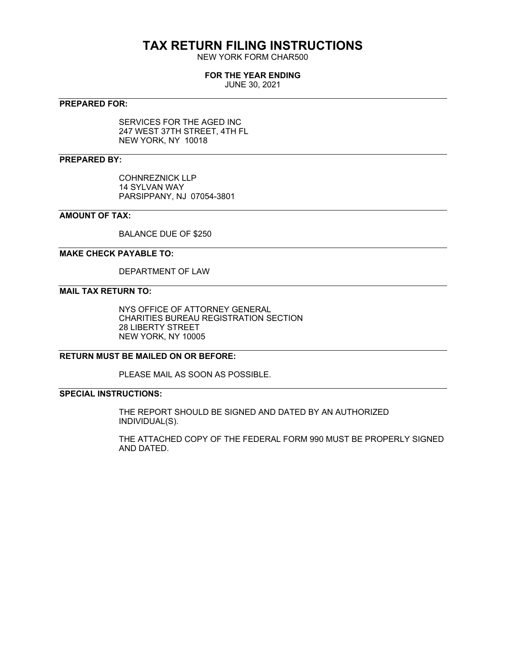# **TAX RETURN FILING INSTRUCTIONS**

NEW YORK FORM CHAR500

# **FOR THE YEAR ENDING**

JUNE 30, 2021

# **PREPARED FOR:**

SERVICES FOR THE AGED INC 247 WEST 37TH STREET, 4TH FL NEW YORK, NY 10018

# **PREPARED BY:**

COHNREZNICK LLP 14 SYLVAN WAY PARSIPPANY, NJ 07054-3801

# **AMOUNT OF TAX:**

BALANCE DUE OF \$250

# **MAKE CHECK PAYABLE TO:**

DEPARTMENT OF LAW

# **MAIL TAX RETURN TO:**

NYS OFFICE OF ATTORNEY GENERAL CHARITIES BUREAU REGISTRATION SECTION 28 LIBERTY STREET NEW YORK, NY 10005

# **RETURN MUST BE MAILED ON OR BEFORE:**

PLEASE MAIL AS SOON AS POSSIBLE.

# **SPECIAL INSTRUCTIONS:**

THE REPORT SHOULD BE SIGNED AND DATED BY AN AUTHORIZED INDIVIDUAL(S).

THE ATTACHED COPY OF THE FEDERAL FORM 990 MUST BE PROPERLY SIGNED AND DATED.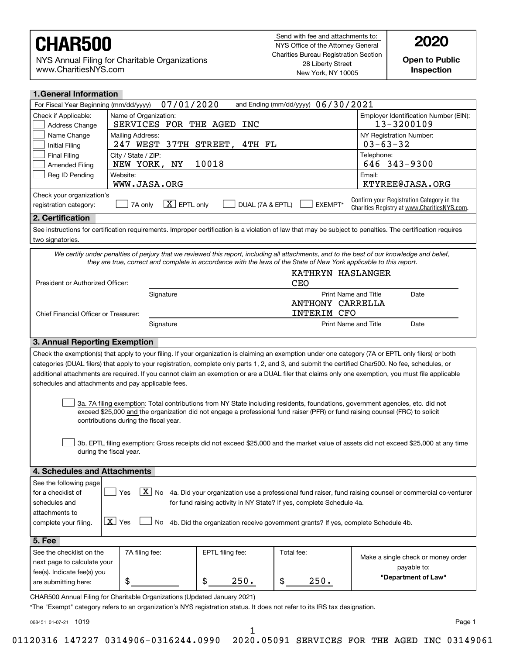NYS Annual Filing for Charitable Organizations www.CharitiesNYS.com

**Open to Public Inspection**

| <b>1.General Information</b>                                                                                                                                                                                                                                       |                                                                                                                                                               |                        |                                    |                                                                                                                                                            |  |  |  |  |  |
|--------------------------------------------------------------------------------------------------------------------------------------------------------------------------------------------------------------------------------------------------------------------|---------------------------------------------------------------------------------------------------------------------------------------------------------------|------------------------|------------------------------------|------------------------------------------------------------------------------------------------------------------------------------------------------------|--|--|--|--|--|
| For Fiscal Year Beginning (mm/dd/yyyy)                                                                                                                                                                                                                             | 07/01/2020                                                                                                                                                    |                        | and Ending (mm/dd/yyyy) 06/30/2021 |                                                                                                                                                            |  |  |  |  |  |
| Check if Applicable:<br>Address Change                                                                                                                                                                                                                             | Name of Organization:<br>SERVICES FOR THE AGED INC                                                                                                            |                        |                                    | Employer Identification Number (EIN):<br>13-3200109                                                                                                        |  |  |  |  |  |
| Name Change<br><b>Initial Filing</b>                                                                                                                                                                                                                               | Mailing Address:<br>247 WEST                                                                                                                                  | 37TH STREET,<br>4TH FL |                                    | NY Registration Number:<br>$03 - 63 - 32$                                                                                                                  |  |  |  |  |  |
| <b>Final Filing</b><br><b>Amended Filing</b>                                                                                                                                                                                                                       | City / State / ZIP:<br>NEW YORK,<br>ΝY                                                                                                                        | 10018                  |                                    | Telephone:<br>646 343-9300                                                                                                                                 |  |  |  |  |  |
| Reg ID Pending                                                                                                                                                                                                                                                     | Email:<br>Website:<br>WWW.JASA.ORG<br>KTYREE@JASA.ORG                                                                                                         |                        |                                    |                                                                                                                                                            |  |  |  |  |  |
| Check your organization's                                                                                                                                                                                                                                          |                                                                                                                                                               |                        |                                    |                                                                                                                                                            |  |  |  |  |  |
| registration category:                                                                                                                                                                                                                                             | $X$ EPTL only<br>7A only                                                                                                                                      | DUAL (7A & EPTL)       | EXEMPT*                            | Confirm your Registration Category in the<br>Charities Registry at www.CharitiesNYS.com.                                                                   |  |  |  |  |  |
| 2. Certification                                                                                                                                                                                                                                                   |                                                                                                                                                               |                        |                                    |                                                                                                                                                            |  |  |  |  |  |
| two signatories.                                                                                                                                                                                                                                                   |                                                                                                                                                               |                        |                                    | See instructions for certification requirements. Improper certification is a violation of law that may be subject to penalties. The certification requires |  |  |  |  |  |
| We certify under penalties of perjury that we reviewed this report, including all attachments, and to the best of our knowledge and belief,<br>they are true, correct and complete in accordance with the laws of the State of New York applicable to this report. |                                                                                                                                                               |                        |                                    |                                                                                                                                                            |  |  |  |  |  |
|                                                                                                                                                                                                                                                                    |                                                                                                                                                               |                        | KATHRYN HASLANGER                  |                                                                                                                                                            |  |  |  |  |  |
| President or Authorized Officer:                                                                                                                                                                                                                                   |                                                                                                                                                               |                        | <b>CEO</b>                         |                                                                                                                                                            |  |  |  |  |  |
|                                                                                                                                                                                                                                                                    | Signature                                                                                                                                                     |                        | Print Name and Title               | Date                                                                                                                                                       |  |  |  |  |  |
|                                                                                                                                                                                                                                                                    |                                                                                                                                                               |                        | <b>ANTHONY CARRELLA</b>            |                                                                                                                                                            |  |  |  |  |  |
| Chief Financial Officer or Treasurer:                                                                                                                                                                                                                              |                                                                                                                                                               |                        | INTERIM CFO                        |                                                                                                                                                            |  |  |  |  |  |
|                                                                                                                                                                                                                                                                    | Signature                                                                                                                                                     |                        | Print Name and Title               | Date                                                                                                                                                       |  |  |  |  |  |
|                                                                                                                                                                                                                                                                    |                                                                                                                                                               |                        |                                    |                                                                                                                                                            |  |  |  |  |  |
| 3. Annual Reporting Exemption                                                                                                                                                                                                                                      |                                                                                                                                                               |                        |                                    |                                                                                                                                                            |  |  |  |  |  |
|                                                                                                                                                                                                                                                                    |                                                                                                                                                               |                        |                                    | Check the exemption(s) that apply to your filing. If your organization is claiming an exemption under one category (7A or EPTL only filers) or both        |  |  |  |  |  |
|                                                                                                                                                                                                                                                                    |                                                                                                                                                               |                        |                                    | categories (DUAL filers) that apply to your registration, complete only parts 1, 2, and 3, and submit the certified Char500. No fee, schedules, or         |  |  |  |  |  |
|                                                                                                                                                                                                                                                                    |                                                                                                                                                               |                        |                                    | additional attachments are required. If you cannot claim an exemption or are a DUAL filer that claims only one exemption, you must file applicable         |  |  |  |  |  |
|                                                                                                                                                                                                                                                                    | schedules and attachments and pay applicable fees.                                                                                                            |                        |                                    |                                                                                                                                                            |  |  |  |  |  |
|                                                                                                                                                                                                                                                                    |                                                                                                                                                               |                        |                                    |                                                                                                                                                            |  |  |  |  |  |
|                                                                                                                                                                                                                                                                    | exceed \$25,000 and the organization did not engage a professional fund raiser (PFR) or fund raising counsel (FRC) to solicit                                 |                        |                                    | 3a. 7A filing exemption: Total contributions from NY State including residents, foundations, government agencies, etc. did not                             |  |  |  |  |  |
|                                                                                                                                                                                                                                                                    | contributions during the fiscal year.                                                                                                                         |                        |                                    |                                                                                                                                                            |  |  |  |  |  |
|                                                                                                                                                                                                                                                                    |                                                                                                                                                               |                        |                                    |                                                                                                                                                            |  |  |  |  |  |
|                                                                                                                                                                                                                                                                    |                                                                                                                                                               |                        |                                    |                                                                                                                                                            |  |  |  |  |  |
|                                                                                                                                                                                                                                                                    | during the fiscal year.                                                                                                                                       |                        |                                    | 3b. EPTL filing exemption: Gross receipts did not exceed \$25,000 and the market value of assets did not exceed \$25,000 at any time                       |  |  |  |  |  |
|                                                                                                                                                                                                                                                                    |                                                                                                                                                               |                        |                                    |                                                                                                                                                            |  |  |  |  |  |
| 4. Schedules and Attachments                                                                                                                                                                                                                                       |                                                                                                                                                               |                        |                                    |                                                                                                                                                            |  |  |  |  |  |
| See the following page                                                                                                                                                                                                                                             |                                                                                                                                                               |                        |                                    |                                                                                                                                                            |  |  |  |  |  |
|                                                                                                                                                                                                                                                                    |                                                                                                                                                               |                        |                                    |                                                                                                                                                            |  |  |  |  |  |
|                                                                                                                                                                                                                                                                    | $\boxed{\textbf{X}}$ No 4a. Did your organization use a professional fund raiser, fund raising counsel or commercial co-venturer<br>Yes<br>for a checklist of |                        |                                    |                                                                                                                                                            |  |  |  |  |  |
| for fund raising activity in NY State? If yes, complete Schedule 4a.<br>schedules and                                                                                                                                                                              |                                                                                                                                                               |                        |                                    |                                                                                                                                                            |  |  |  |  |  |
| attachments to<br>$\boxed{\mathbf{X}}$ Yes                                                                                                                                                                                                                         |                                                                                                                                                               |                        |                                    |                                                                                                                                                            |  |  |  |  |  |
| 4b. Did the organization receive government grants? If yes, complete Schedule 4b.<br>No<br>complete your filing.                                                                                                                                                   |                                                                                                                                                               |                        |                                    |                                                                                                                                                            |  |  |  |  |  |
| 5. Fee                                                                                                                                                                                                                                                             |                                                                                                                                                               |                        |                                    |                                                                                                                                                            |  |  |  |  |  |
| See the checklist on the                                                                                                                                                                                                                                           | 7A filing fee:                                                                                                                                                | EPTL filing fee:       | Total fee:                         |                                                                                                                                                            |  |  |  |  |  |
| next page to calculate your                                                                                                                                                                                                                                        |                                                                                                                                                               |                        |                                    | Make a single check or money order                                                                                                                         |  |  |  |  |  |
| fee(s). Indicate fee(s) you                                                                                                                                                                                                                                        |                                                                                                                                                               |                        |                                    | payable to:                                                                                                                                                |  |  |  |  |  |
| are submitting here:                                                                                                                                                                                                                                               | \$                                                                                                                                                            | \$<br>250.             | 250.<br>\$                         | "Department of Law"                                                                                                                                        |  |  |  |  |  |
|                                                                                                                                                                                                                                                                    |                                                                                                                                                               |                        |                                    |                                                                                                                                                            |  |  |  |  |  |
|                                                                                                                                                                                                                                                                    | CHAR500 Annual Filing for Charitable Organizations (Updated January 2021)                                                                                     |                        |                                    |                                                                                                                                                            |  |  |  |  |  |

\*The "Exempt" category refers to an organization's NYS registration status. It does not refer to its IRS tax designation.

1

068451 01-07-21 1019

Page 1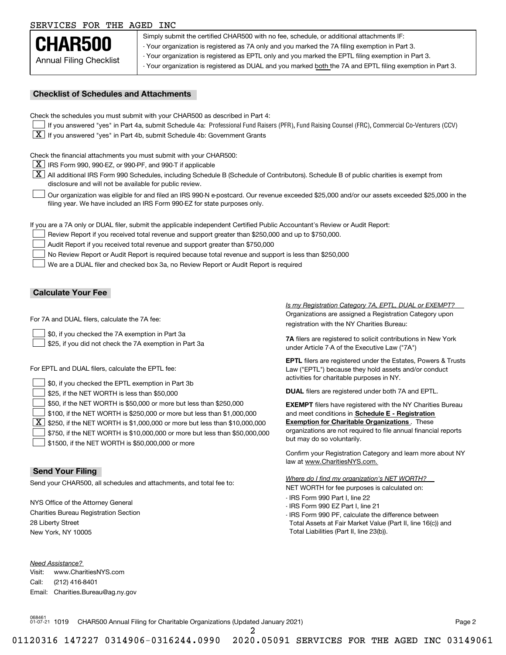# SERVICES FOR THE AGED INC

Annual Filing Checklist **CHAR500**

Simply submit the certified CHAR500 with no fee, schedule, or additional attachments IF: - Your organization is registered as 7A only and you marked the 7A filing exemption in Part 3.

- Your organization is registered as EPTL only and you marked the EPTL filing exemption in Part 3.

- Your organization is registered as DUAL and you marked both the 7A and EPTL filing exemption in Part 3.

## **Checklist of Schedules and Attachments**

Check the schedules you must submit with your CHAR500 as described in Part 4:

- If you answered "yes" in Part 4a, submit Schedule 4a: Professional Fund Raisers (PFR), Fund Raising Counsel (FRC), Commercial Co-Venturers (CCV)
- $\boxed{\textbf{X}}$  If you answered "yes" in Part 4b, submit Schedule 4b: Government Grants

Check the financial attachments you must submit with your CHAR500:

 $\boxed{\textbf{X}}$  IRS Form 990, 990-EZ, or 990-PF, and 990-T if applicable

 $\boxed{\textbf{X}}$  All additional IRS Form 990 Schedules, including Schedule B (Schedule of Contributors). Schedule B of public charities is exempt from disclosure and will not be available for public review.

Our organization was eligible for and filed an IRS 990-N e-postcard. Our revenue exceeded \$25,000 and/or our assets exceeded \$25,000 in the filing year. We have included an IRS Form 990-EZ for state purposes only.  $\mathcal{L}^{\text{max}}$ 

If you are a 7A only or DUAL filer, submit the applicable independent Certified Public Accountant's Review or Audit Report:

Review Report if you received total revenue and support greater than \$250,000 and up to \$750,000.  $\mathcal{L}^{\text{max}}$ 

Audit Report if you received total revenue and support greater than \$750,000  $\mathcal{L}^{\text{max}}$ 

No Review Report or Audit Report is required because total revenue and support is less than \$250,000  $\mathcal{L}^{\text{max}}$ 

We are a DUAL filer and checked box 3a, no Review Report or Audit Report is required  $\mathcal{L}^{\text{max}}$ 

# **Calculate Your Fee**

For 7A and DUAL filers, calculate the 7A fee:

\$0, if you checked the 7A exemption in Part 3a  $\mathcal{L}^{\text{max}}$ 

\$25, if you did not check the 7A exemption in Part 3a  $\mathcal{L}^{\text{max}}$ 

For EPTL and DUAL filers, calculate the EPTL fee:

| $\vert$ \$0, if you checked the EPTL exemption in Part 3b                                      | activities for charitable purposes in NY.                         |
|------------------------------------------------------------------------------------------------|-------------------------------------------------------------------|
| \$25, if the NET WORTH is less than \$50,000                                                   | <b>DUAL</b> filers are registered under both 7A and EPTL.         |
| \$50, if the NET WORTH is \$50,000 or more but less than \$250,000                             | <b>EXEMPT</b> filers have registered with the NY Charities Bureau |
| $\vert$ \$100, if the NET WORTH is \$250,000 or more but less than \$1,000,000                 | and meet conditions in Schedule E - Registration                  |
| $\boxed{\textbf{X}}$ \$250, if the NET WORTH is \$1,000,000 or more but less than \$10,000,000 | <b>Exemption for Charitable Organizations.</b> These              |
| \$750, if the NET WORTH is \$10,000,000 or more but less than \$50,000,000                     | organizations are not required to file annual financial reports   |
| \$1500, if the NET WORTH is \$50,000,000 or more                                               | but may do so voluntarily.                                        |

# **Send Your Filing**

Send your CHAR500, all schedules and attachments, and total fee to:

NYS Office of the Attorney General Charities Bureau Registration Section 28 Liberty Street New York, NY 10005

*Need Assistance?*

Visit:Call:Email:Charities.Bureau@ag.ny.gov www.CharitiesNYS.com(212) 416-8401

Organizations are assigned a Registration Category upon registration with the NY Charities Bureau: *Is my Registration Category 7A, EPTL, DUAL or EXEMPT?* 

**7A** filers are registered to solicit contributions in New York under Article 7-A of the Executive Law ("7A")

**EPTL** filers are registered under the Estates, Powers & Trusts Law ("EPTL") because they hold assets and/or conduct activities for charitable purposes in NY.

Confirm your Registration Category and learn more about NY law at www.CharitiesNYS.com.

NET WORTH for fee purposes is calculated on: *Where do I find my organization's NET WORTH?*

- IRS Form 990 Part I, line 22
- IRS Form 990 EZ Part I, line 21
- IRS Form 990 PF, calculate the difference between Total Assets at Fair Market Value (Part II, line 16(c)) and Total Liabilities (Part II, line 23(b)).

068461 01-07-21 1019 CHAR500 Annual Filing for Charitable Organizations (Updated January 2021) Page 2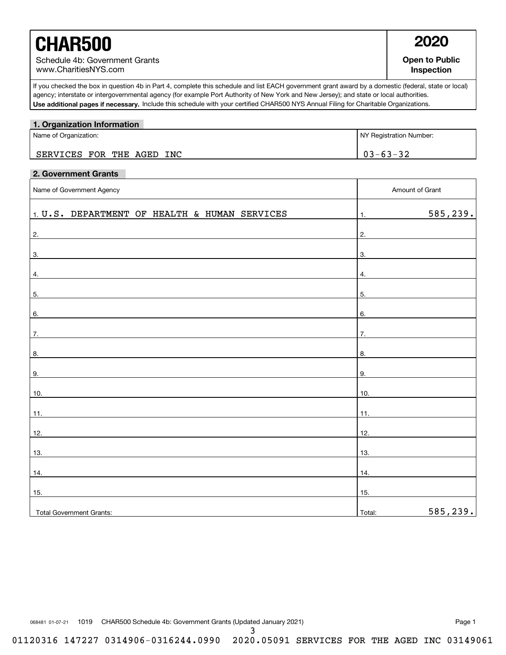# **CHAR500 2020**

**Open to Public Inspection**

-1

٦

**Use additional pages if necessary.** Include this schedule with your certified CHAR500 NYS Annual Filing for Charitable Organizations. If you checked the box in question 4b in Part 4, complete this schedule and list EACH government grant award by a domestic (federal, state or local) agency; interstate or intergovernmental agency (for example Port Authority of New York and New Jersey); and state or local authorities.

# Name of Organization: Number: Note that the state of Organization Number: NY Registration Number: **1. Organization Information**  $03 - 63 - 32$ SERVICES FOR THE AGED INC

# **2. Government Grants**

| Name of Government Agency                             |                | Amount of Grant |  |
|-------------------------------------------------------|----------------|-----------------|--|
| $\vert$ 1. U.S. DEPARTMENT OF HEALTH & HUMAN SERVICES | $\mathbf{1}$ . | 585,239.        |  |
| 2.                                                    | 2.             |                 |  |
| 3.                                                    | 3.             |                 |  |
| $\overline{4}$ .                                      | 4.             |                 |  |
| 5.                                                    | 5.             |                 |  |
| 6.                                                    | 6.             |                 |  |
| 7.                                                    | 7.             |                 |  |
| 8.                                                    | 8.             |                 |  |
| 9.                                                    | 9.             |                 |  |
| 10.                                                   | 10.            |                 |  |
| 11.                                                   | 11.            |                 |  |
| 12.                                                   | 12.            |                 |  |
| 13.                                                   | 13.            |                 |  |
| 14.                                                   | 14.            |                 |  |
| 15.                                                   | 15.            |                 |  |
| Total Government Grants:                              | Total:         | 585,239.        |  |

068481 01-07-21 1019 CHAR500 Schedule 4b: Government Grants (Updated January 2021) Nage 1